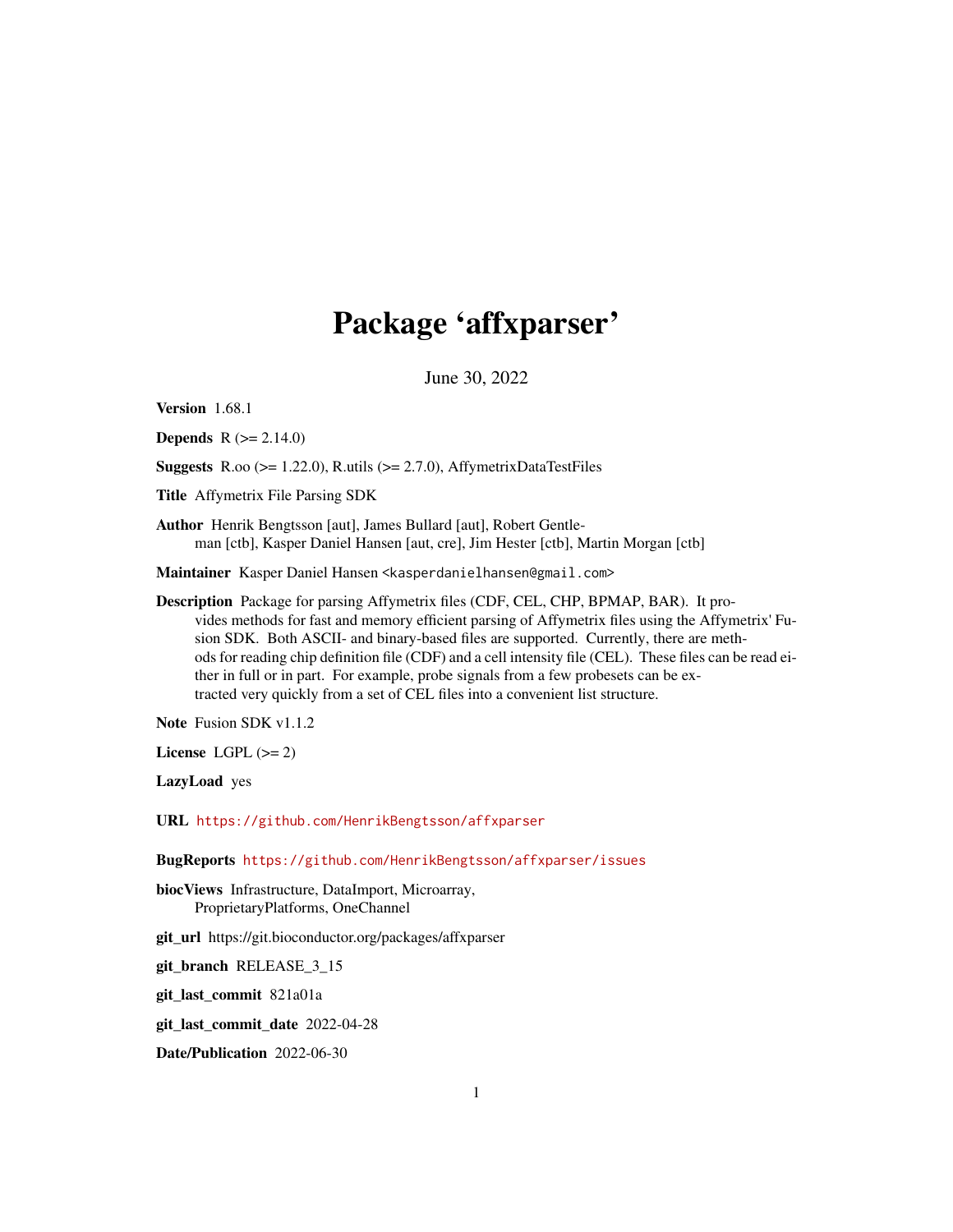## Package 'affxparser'

June 30, 2022

<span id="page-0-0"></span>Version 1.68.1

**Depends** R  $(>= 2.14.0)$ 

**Suggests** R.oo ( $>= 1.22.0$ ), R.utils ( $>= 2.7.0$ ), AffymetrixDataTestFiles

Title Affymetrix File Parsing SDK

Author Henrik Bengtsson [aut], James Bullard [aut], Robert Gentleman [ctb], Kasper Daniel Hansen [aut, cre], Jim Hester [ctb], Martin Morgan [ctb]

Maintainer Kasper Daniel Hansen <kasperdanielhansen@gmail.com>

Description Package for parsing Affymetrix files (CDF, CEL, CHP, BPMAP, BAR). It provides methods for fast and memory efficient parsing of Affymetrix files using the Affymetrix' Fusion SDK. Both ASCII- and binary-based files are supported. Currently, there are methods for reading chip definition file (CDF) and a cell intensity file (CEL). These files can be read either in full or in part. For example, probe signals from a few probesets can be extracted very quickly from a set of CEL files into a convenient list structure.

Note Fusion SDK v1.1.2

License LGPL  $(>= 2)$ 

LazyLoad yes

URL <https://github.com/HenrikBengtsson/affxparser>

BugReports <https://github.com/HenrikBengtsson/affxparser/issues>

biocViews Infrastructure, DataImport, Microarray, ProprietaryPlatforms, OneChannel

git\_url https://git.bioconductor.org/packages/affxparser

git\_branch RELEASE\_3\_15

git\_last\_commit 821a01a

git\_last\_commit\_date 2022-04-28

Date/Publication 2022-06-30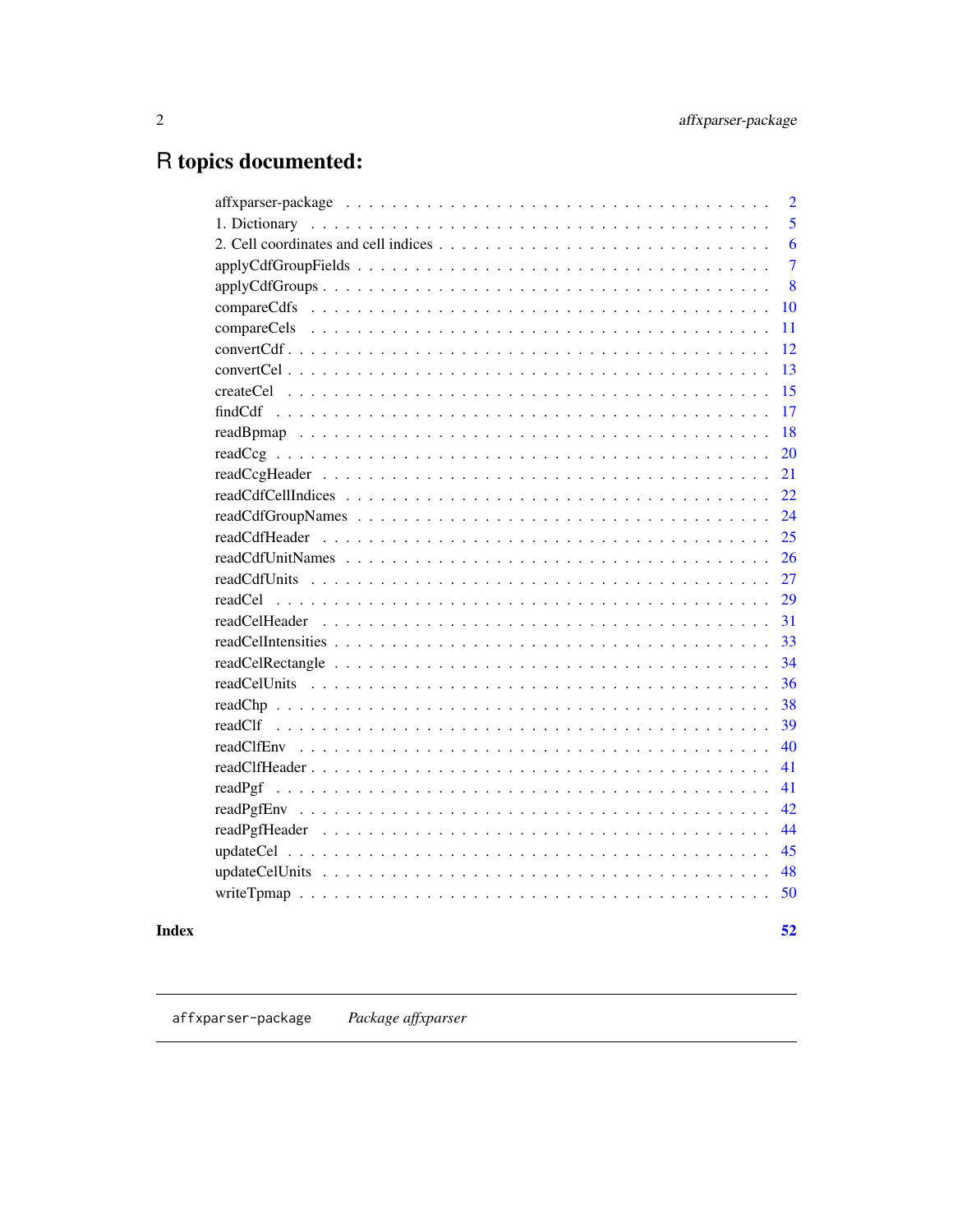## <span id="page-1-0"></span>R topics documented:

| $\overline{2}$ |
|----------------|
| 5              |
| 6              |
| $\overline{7}$ |
| 8              |
| 10             |
| 11             |
| 12             |
| 13             |
| 15             |
| 17             |
| 18             |
| 20             |
| 21             |
| 22             |
| 24             |
|                |
|                |
|                |
|                |
| 31             |
|                |
| 34             |
| 36             |
| 38             |
| 39             |
|                |
| 41             |
| 41             |
| 42             |
| 44             |
| 45             |
| 48             |
|                |

## **Index**

 $52$ 

affxparser-package Package affxparser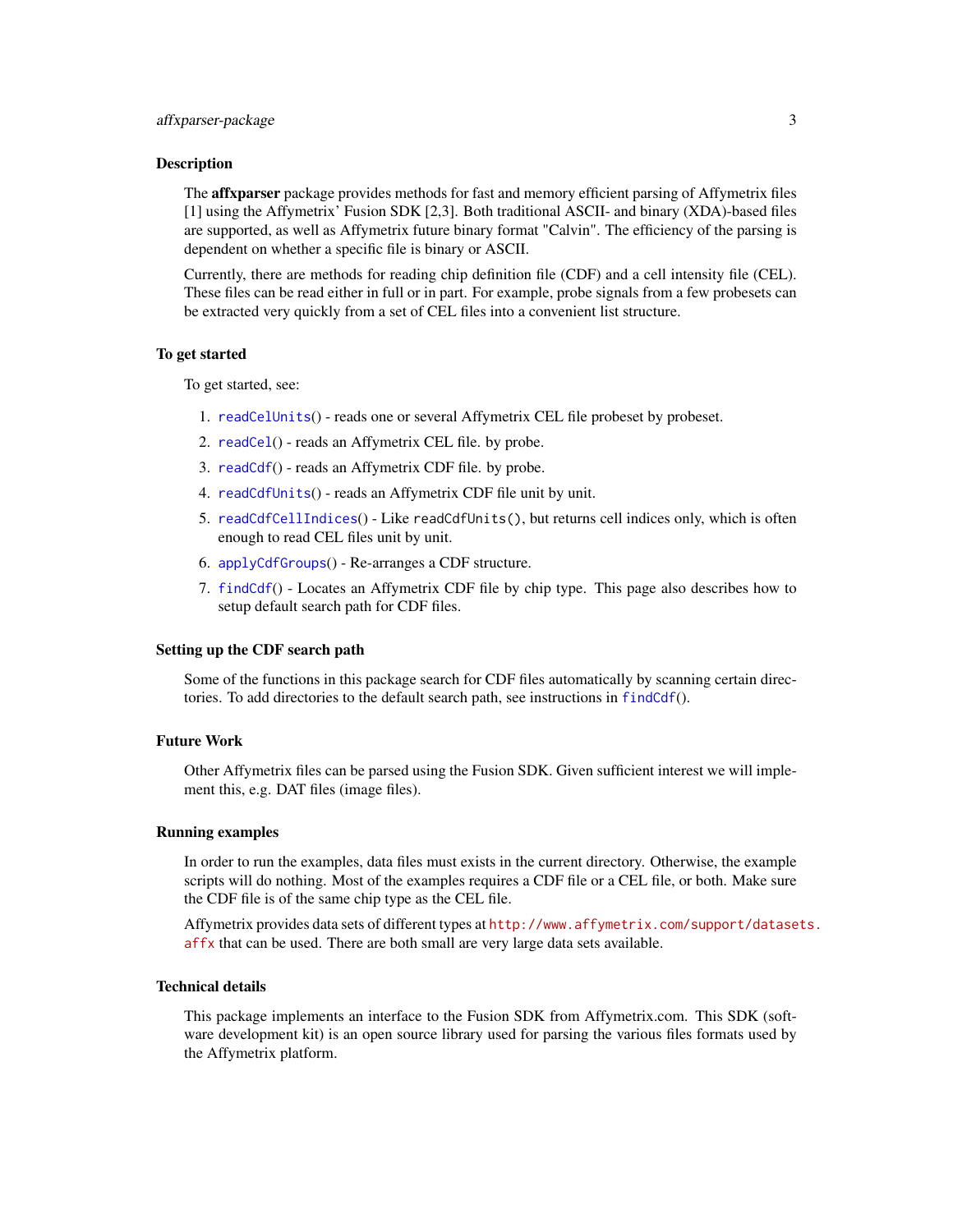<span id="page-2-0"></span>The **affxparser** package provides methods for fast and memory efficient parsing of Affymetrix files [1] using the Affymetrix' Fusion SDK [2,3]. Both traditional ASCII- and binary (XDA)-based files are supported, as well as Affymetrix future binary format "Calvin". The efficiency of the parsing is dependent on whether a specific file is binary or ASCII.

Currently, there are methods for reading chip definition file (CDF) and a cell intensity file (CEL). These files can be read either in full or in part. For example, probe signals from a few probesets can be extracted very quickly from a set of CEL files into a convenient list structure.

#### To get started

To get started, see:

- 1. [readCelUnits](#page-35-1)() reads one or several Affymetrix CEL file probeset by probeset.
- 2. [readCel](#page-28-1)() reads an Affymetrix CEL file. by probe.
- 3. [readCdf](#page-0-0)() reads an Affymetrix CDF file. by probe.
- 4. [readCdfUnits](#page-26-1)() reads an Affymetrix CDF file unit by unit.
- 5. [readCdfCellIndices](#page-21-1)() Like readCdfUnits(), but returns cell indices only, which is often enough to read CEL files unit by unit.
- 6. [applyCdfGroups](#page-7-1)() Re-arranges a CDF structure.
- 7. [findCdf](#page-16-1)() Locates an Affymetrix CDF file by chip type. This page also describes how to setup default search path for CDF files.

## Setting up the CDF search path

Some of the functions in this package search for CDF files automatically by scanning certain directories. To add directories to the default search path, see instructions in [findCdf](#page-16-1)().

#### Future Work

Other Affymetrix files can be parsed using the Fusion SDK. Given sufficient interest we will implement this, e.g. DAT files (image files).

#### Running examples

In order to run the examples, data files must exists in the current directory. Otherwise, the example scripts will do nothing. Most of the examples requires a CDF file or a CEL file, or both. Make sure the CDF file is of the same chip type as the CEL file.

Affymetrix provides data sets of different types at [http://www.affymetrix.com/support/datase](http://www.affymetrix.com/support/datasets.affx)ts. [affx](http://www.affymetrix.com/support/datasets.affx) that can be used. There are both small are very large data sets available.

#### Technical details

This package implements an interface to the Fusion SDK from Affymetrix.com. This SDK (software development kit) is an open source library used for parsing the various files formats used by the Affymetrix platform.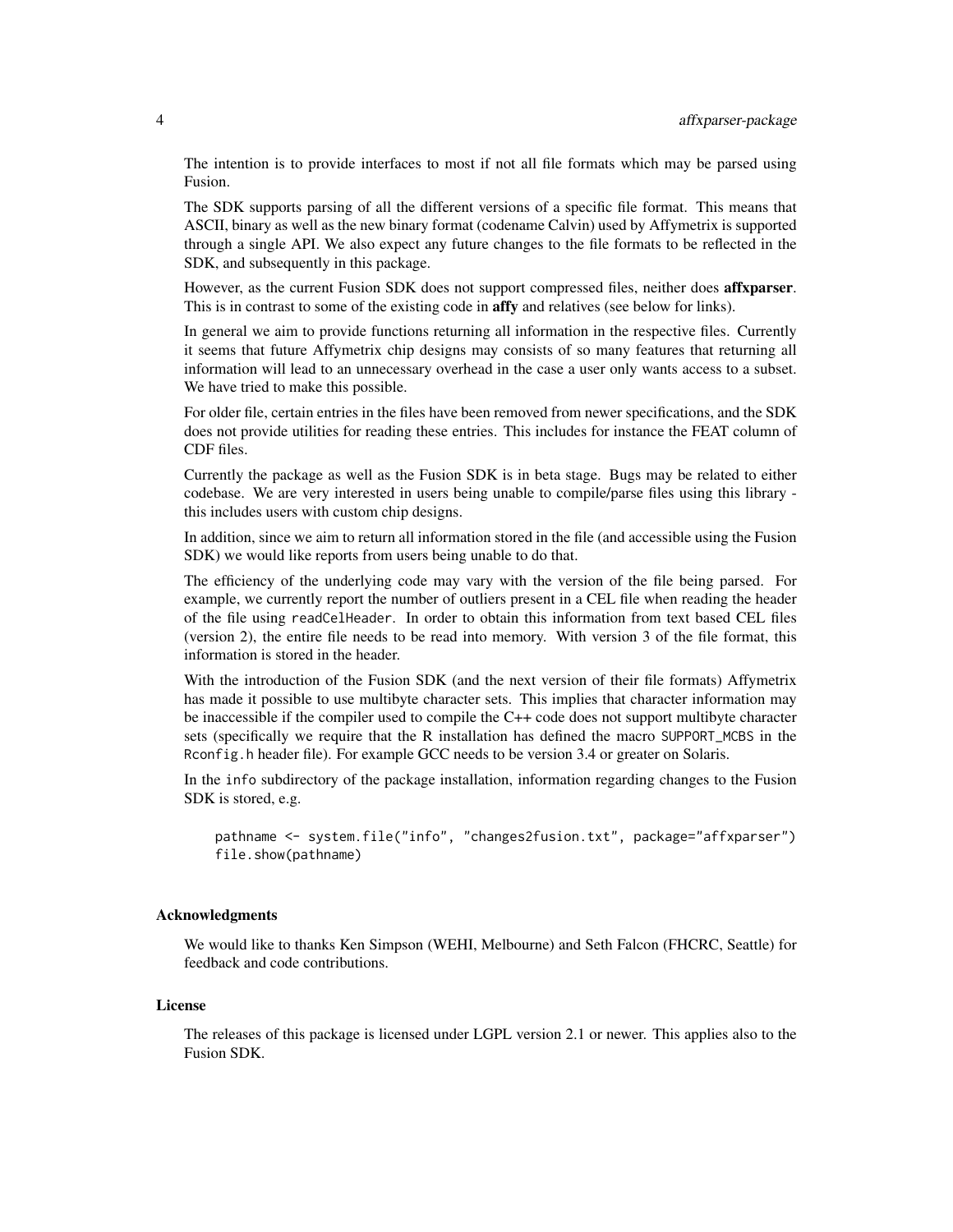The intention is to provide interfaces to most if not all file formats which may be parsed using Fusion.

The SDK supports parsing of all the different versions of a specific file format. This means that ASCII, binary as well as the new binary format (codename Calvin) used by Affymetrix is supported through a single API. We also expect any future changes to the file formats to be reflected in the SDK, and subsequently in this package.

However, as the current Fusion SDK does not support compressed files, neither does **affxparser**. This is in contrast to some of the existing code in affy and relatives (see below for links).

In general we aim to provide functions returning all information in the respective files. Currently it seems that future Affymetrix chip designs may consists of so many features that returning all information will lead to an unnecessary overhead in the case a user only wants access to a subset. We have tried to make this possible.

For older file, certain entries in the files have been removed from newer specifications, and the SDK does not provide utilities for reading these entries. This includes for instance the FEAT column of CDF files.

Currently the package as well as the Fusion SDK is in beta stage. Bugs may be related to either codebase. We are very interested in users being unable to compile/parse files using this library this includes users with custom chip designs.

In addition, since we aim to return all information stored in the file (and accessible using the Fusion SDK) we would like reports from users being unable to do that.

The efficiency of the underlying code may vary with the version of the file being parsed. For example, we currently report the number of outliers present in a CEL file when reading the header of the file using readCelHeader. In order to obtain this information from text based CEL files (version 2), the entire file needs to be read into memory. With version 3 of the file format, this information is stored in the header.

With the introduction of the Fusion SDK (and the next version of their file formats) Affymetrix has made it possible to use multibyte character sets. This implies that character information may be inaccessible if the compiler used to compile the C++ code does not support multibyte character sets (specifically we require that the R installation has defined the macro SUPPORT\_MCBS in the Rconfig.h header file). For example GCC needs to be version 3.4 or greater on Solaris.

In the info subdirectory of the package installation, information regarding changes to the Fusion SDK is stored, e.g.

pathname <- system.file("info", "changes2fusion.txt", package="affxparser") file.show(pathname)

#### Acknowledgments

We would like to thanks Ken Simpson (WEHI, Melbourne) and Seth Falcon (FHCRC, Seattle) for feedback and code contributions.

#### License

The releases of this package is licensed under LGPL version 2.1 or newer. This applies also to the Fusion SDK.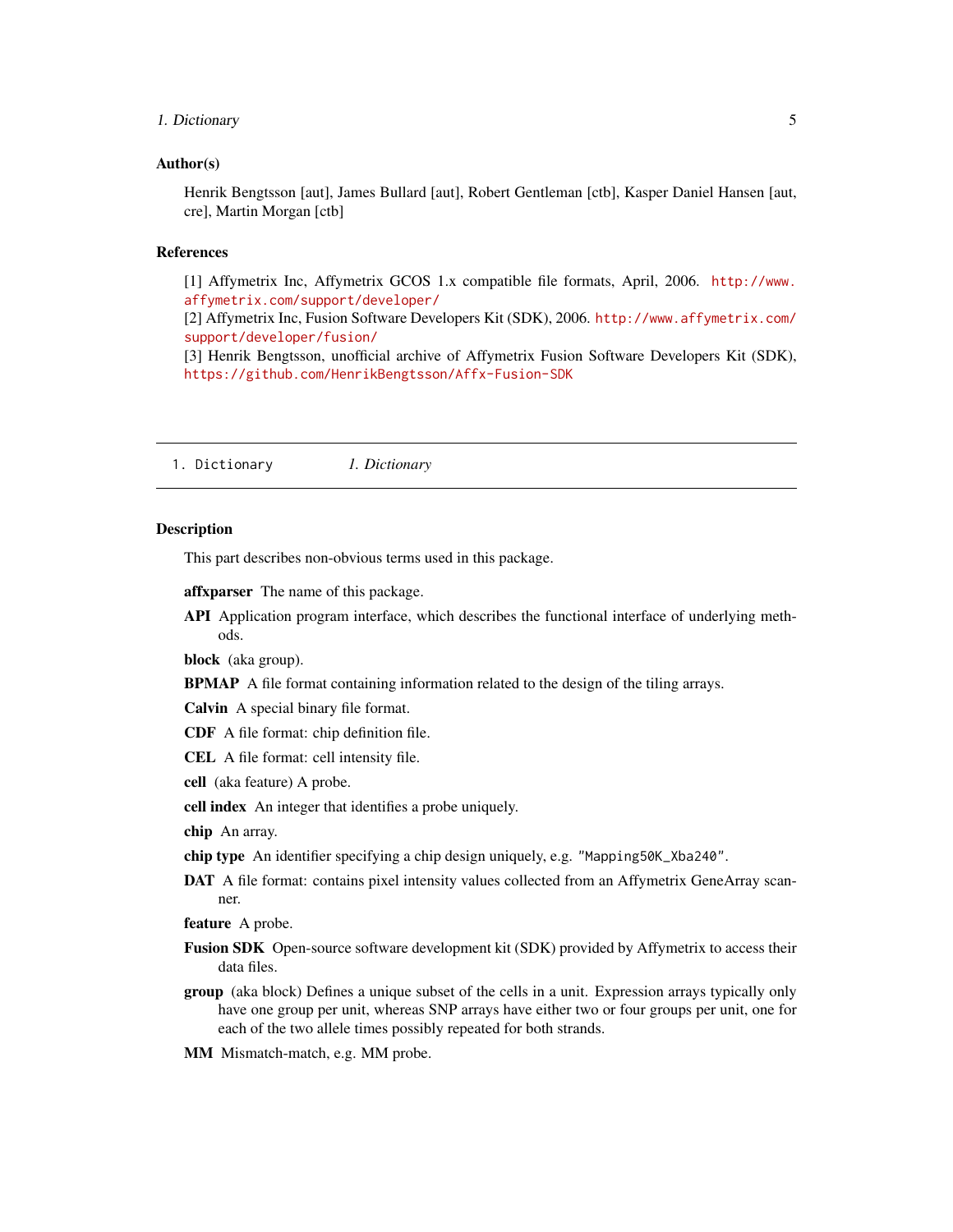## <span id="page-4-0"></span>1. Dictionary 5

#### Author(s)

Henrik Bengtsson [aut], James Bullard [aut], Robert Gentleman [ctb], Kasper Daniel Hansen [aut, cre], Martin Morgan [ctb]

#### References

[1] Affymetrix Inc, Affymetrix GCOS 1.x compatible file formats, April, 2006. [http://www.](http://www.affymetrix.com/support/developer/) [affymetrix.com/support/developer/](http://www.affymetrix.com/support/developer/)

[2] Affymetrix Inc, Fusion Software Developers Kit (SDK), 2006. [http://www.affymetrix.com/](http://www.affymetrix.com/support/developer/fusion/) [support/developer/fusion/](http://www.affymetrix.com/support/developer/fusion/)

[3] Henrik Bengtsson, unofficial archive of Affymetrix Fusion Software Developers Kit (SDK), <https://github.com/HenrikBengtsson/Affx-Fusion-SDK>

1. Dictionary *1. Dictionary*

#### Description

This part describes non-obvious terms used in this package.

affxparser The name of this package.

API Application program interface, which describes the functional interface of underlying methods.

block (aka group).

BPMAP A file format containing information related to the design of the tiling arrays.

Calvin A special binary file format.

CDF A file format: chip definition file.

CEL A file format: cell intensity file.

cell (aka feature) A probe.

cell index An integer that identifies a probe uniquely.

chip An array.

chip type An identifier specifying a chip design uniquely, e.g. "Mapping50K\_Xba240".

DAT A file format: contains pixel intensity values collected from an Affymetrix GeneArray scanner.

feature A probe.

- Fusion SDK Open-source software development kit (SDK) provided by Affymetrix to access their data files.
- group (aka block) Defines a unique subset of the cells in a unit. Expression arrays typically only have one group per unit, whereas SNP arrays have either two or four groups per unit, one for each of the two allele times possibly repeated for both strands.
- MM Mismatch-match, e.g. MM probe.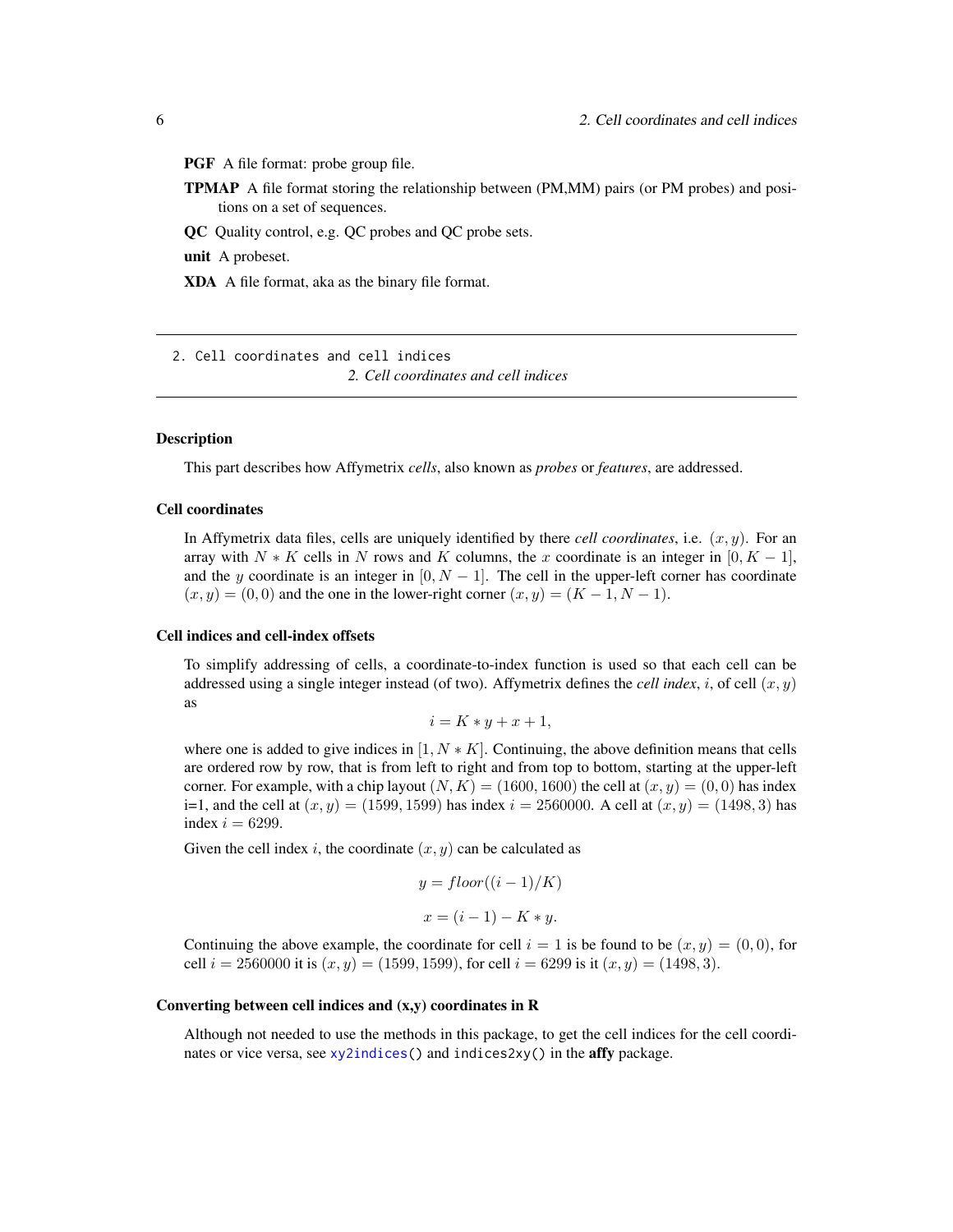<span id="page-5-0"></span>PGF A file format: probe group file.

TPMAP A file format storing the relationship between (PM,MM) pairs (or PM probes) and positions on a set of sequences.

QC Quality control, e.g. QC probes and QC probe sets.

unit A probeset.

XDA A file format, aka as the binary file format.

2. Cell coordinates and cell indices *2. Cell coordinates and cell indices*

#### **Description**

This part describes how Affymetrix *cells*, also known as *probes* or *features*, are addressed.

#### Cell coordinates

In Affymetrix data files, cells are uniquely identified by there *cell coordinates*, i.e.  $(x, y)$ . For an array with  $N * K$  cells in N rows and K columns, the x coordinate is an integer in [0,  $K - 1$ ], and the y coordinate is an integer in  $[0, N - 1]$ . The cell in the upper-left corner has coordinate  $(x, y) = (0, 0)$  and the one in the lower-right corner  $(x, y) = (K - 1, N - 1)$ .

#### Cell indices and cell-index offsets

To simplify addressing of cells, a coordinate-to-index function is used so that each cell can be addressed using a single integer instead (of two). Affymetrix defines the *cell index*, i, of cell  $(x, y)$ as

$$
i = K * y + x + 1,
$$

where one is added to give indices in  $[1, N \ast K]$ . Continuing, the above definition means that cells are ordered row by row, that is from left to right and from top to bottom, starting at the upper-left corner. For example, with a chip layout  $(N, K) = (1600, 1600)$  the cell at  $(x, y) = (0, 0)$  has index i=1, and the cell at  $(x, y) = (1599, 1599)$  has index  $i = 2560000$ . A cell at  $(x, y) = (1498, 3)$  has index  $i = 6299$ .

Given the cell index i, the coordinate  $(x, y)$  can be calculated as

$$
y = floor((i - 1)/K)
$$

$$
x = (i - 1) - K * y.
$$

Continuing the above example, the coordinate for cell  $i = 1$  is be found to be  $(x, y) = (0, 0)$ , for cell  $i = 2560000$  it is  $(x, y) = (1599, 1599)$ , for cell  $i = 6299$  is it  $(x, y) = (1498, 3)$ .

#### Converting between cell indices and (x,y) coordinates in R

Although not needed to use the methods in this package, to get the cell indices for the cell coordinates or vice versa, see [xy2indices\(](#page-0-0)) and indices2xy() in the affy package.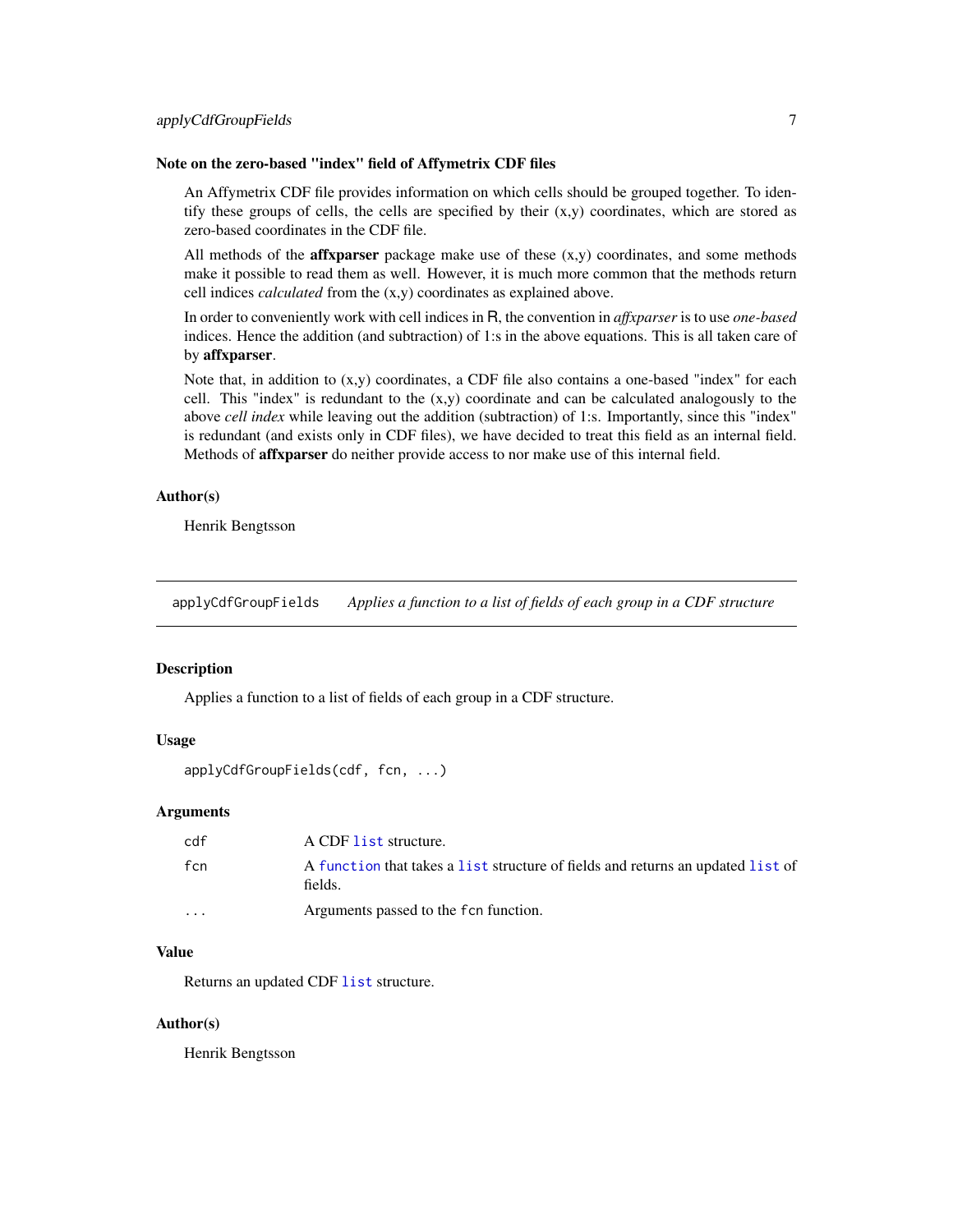## <span id="page-6-0"></span>Note on the zero-based "index" field of Affymetrix CDF files

An Affymetrix CDF file provides information on which cells should be grouped together. To identify these groups of cells, the cells are specified by their  $(x,y)$  coordinates, which are stored as zero-based coordinates in the CDF file.

All methods of the **affxparser** package make use of these  $(x,y)$  coordinates, and some methods make it possible to read them as well. However, it is much more common that the methods return cell indices *calculated* from the (x,y) coordinates as explained above.

In order to conveniently work with cell indices in R, the convention in *affxparser* is to use *one-based* indices. Hence the addition (and subtraction) of 1:s in the above equations. This is all taken care of by affxparser.

Note that, in addition to  $(x,y)$  coordinates, a CDF file also contains a one-based "index" for each cell. This "index" is redundant to the  $(x,y)$  coordinate and can be calculated analogously to the above *cell index* while leaving out the addition (subtraction) of 1:s. Importantly, since this "index" is redundant (and exists only in CDF files), we have decided to treat this field as an internal field. Methods of affxparser do neither provide access to nor make use of this internal field.

## Author(s)

Henrik Bengtsson

applyCdfGroupFields *Applies a function to a list of fields of each group in a CDF structure*

#### Description

Applies a function to a list of fields of each group in a CDF structure.

#### Usage

```
applyCdfGroupFields(cdf, fcn, ...)
```
#### Arguments

| cdf                     | A CDF list structure.                                                                      |
|-------------------------|--------------------------------------------------------------------------------------------|
| fcn                     | A function that takes a list structure of fields and returns an updated list of<br>fields. |
| $\cdot$ $\cdot$ $\cdot$ | Arguments passed to the f cn function.                                                     |

#### Value

Returns an updated CDF [list](#page-0-0) structure.

#### Author(s)

Henrik Bengtsson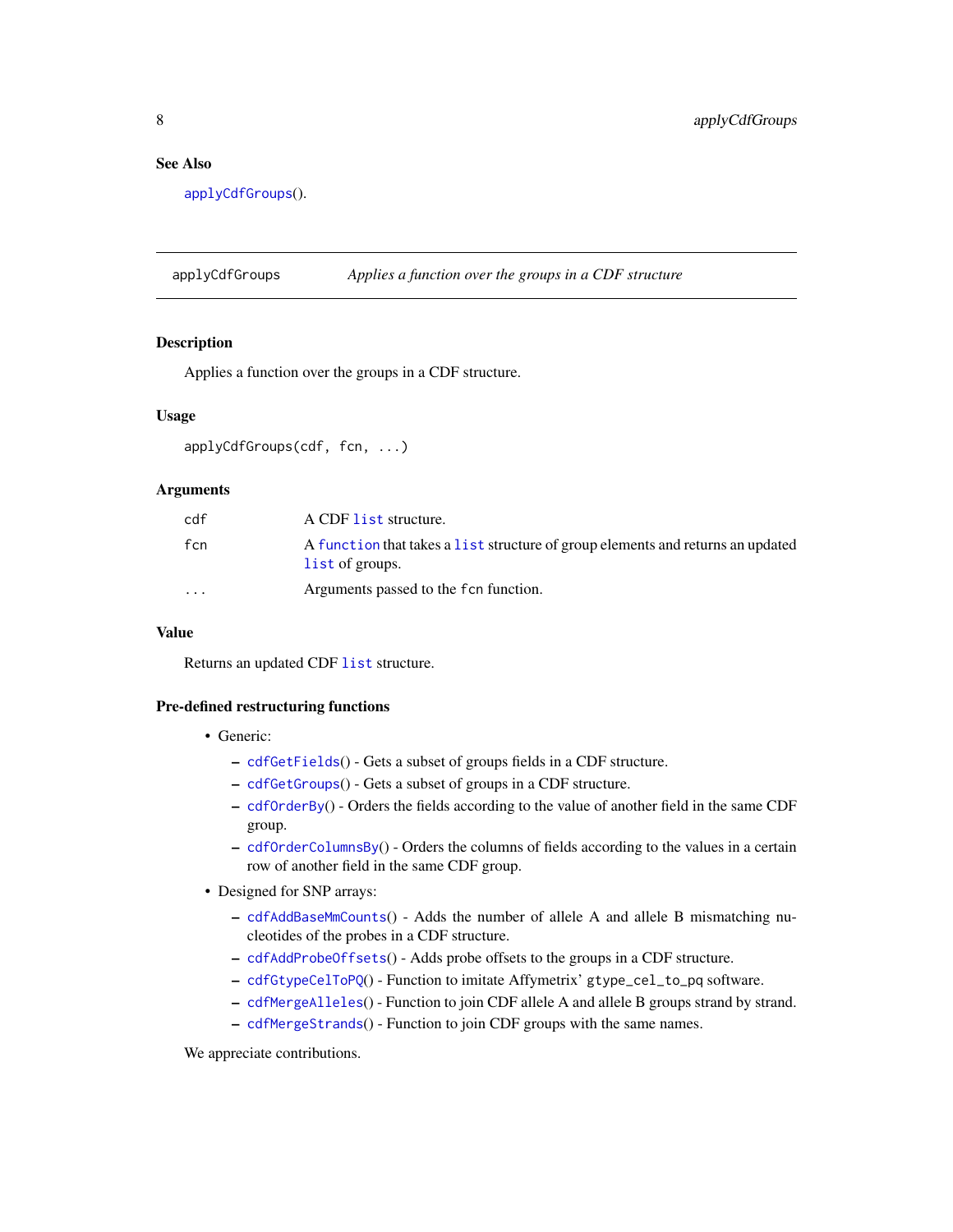## <span id="page-7-0"></span>See Also

[applyCdfGroups](#page-7-1)().

<span id="page-7-1"></span>applyCdfGroups *Applies a function over the groups in a CDF structure*

## Description

Applies a function over the groups in a CDF structure.

#### Usage

```
applyCdfGroups(cdf, fcn, ...)
```
## Arguments

| cdf                     | A CDF list structure.                                                                              |
|-------------------------|----------------------------------------------------------------------------------------------------|
| fcn                     | A function that takes a list structure of group elements and returns an updated<br>list of groups. |
| $\cdot$ $\cdot$ $\cdot$ | Arguments passed to the f cn function.                                                             |

## Value

Returns an updated CDF [list](#page-0-0) structure.

#### Pre-defined restructuring functions

- Generic:
	- [cdfGetFields](#page-0-0)() Gets a subset of groups fields in a CDF structure.
	- [cdfGetGroups](#page-0-0)() Gets a subset of groups in a CDF structure.
	- [cdfOrderBy](#page-0-0)() Orders the fields according to the value of another field in the same CDF group.
	- [cdfOrderColumnsBy](#page-0-0)() Orders the columns of fields according to the values in a certain row of another field in the same CDF group.
- Designed for SNP arrays:
	- [cdfAddBaseMmCounts](#page-0-0)() Adds the number of allele A and allele B mismatching nucleotides of the probes in a CDF structure.
	- [cdfAddProbeOffsets](#page-0-0)() Adds probe offsets to the groups in a CDF structure.
	- [cdfGtypeCelToPQ](#page-0-0)() Function to imitate Affymetrix' gtype\_cel\_to\_pq software.
	- [cdfMergeAlleles](#page-0-0)() Function to join CDF allele A and allele B groups strand by strand.
	- [cdfMergeStrands](#page-0-0)() Function to join CDF groups with the same names.

We appreciate contributions.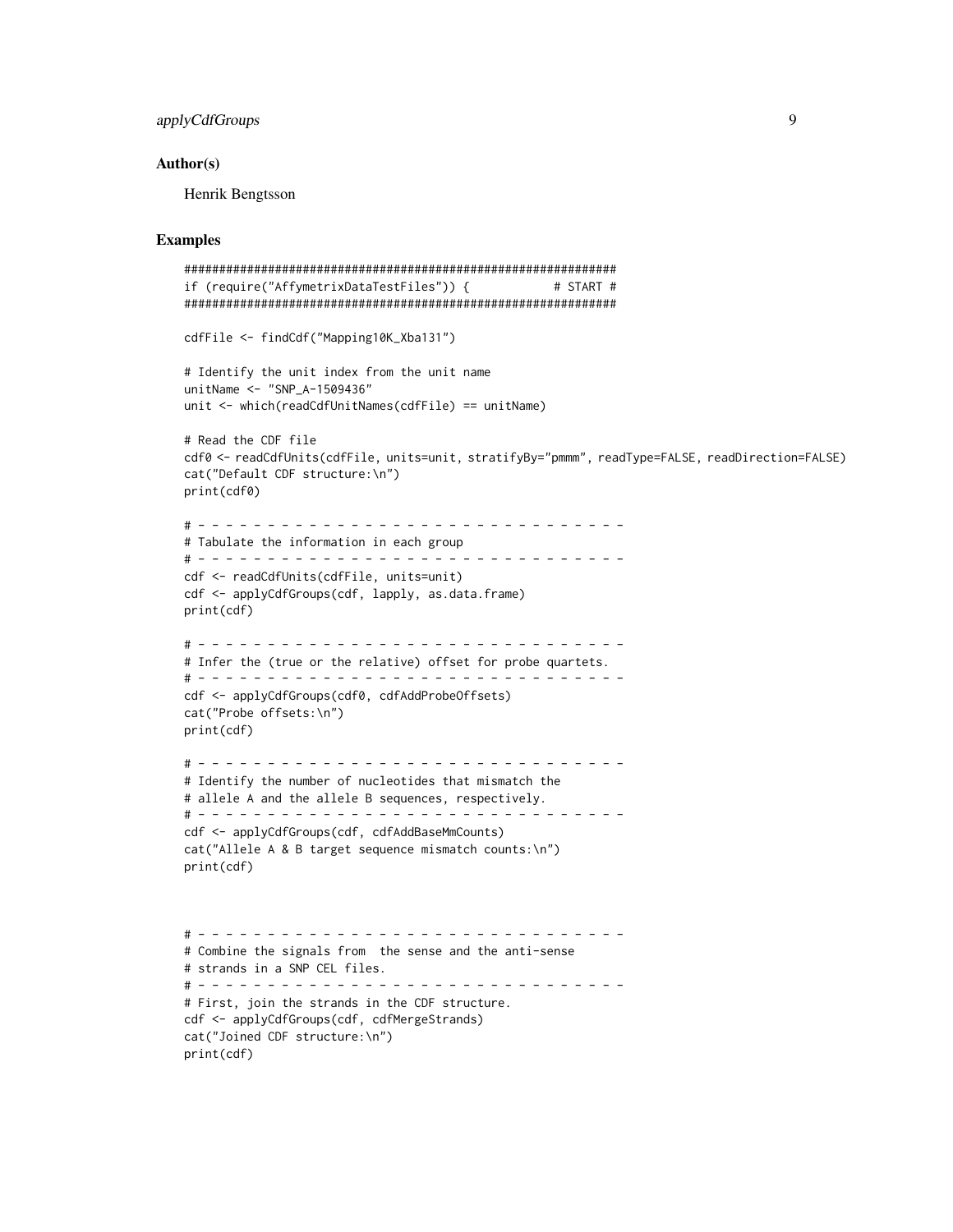## applyCdfGroups 9

#### Author(s)

Henrik Bengtsson

## Examples

```
##############################################################
if (require("AffymetrixDataTestFiles")) { # START #
##############################################################
cdfFile <- findCdf("Mapping10K_Xba131")
# Identify the unit index from the unit name
unitName <- "SNP_A-1509436"
unit <- which(readCdfUnitNames(cdfFile) == unitName)
# Read the CDF file
cdf0 <- readCdfUnits(cdfFile, units=unit, stratifyBy="pmmm", readType=FALSE, readDirection=FALSE)
cat("Default CDF structure:\n")
print(cdf0)
# - - - - - - - - - - - - - - - - - - - - - - - - - - - - - - -
# Tabulate the information in each group
# - - - - - - - - - - - - - - - - - - - - - - - - - - - - - - -
cdf <- readCdfUnits(cdfFile, units=unit)
cdf <- applyCdfGroups(cdf, lapply, as.data.frame)
print(cdf)
# - - - - - - - - - - - - - - - - - - - - - - - - - - - - - - -
# Infer the (true or the relative) offset for probe quartets.
# - - - - - - - - - - - - - - - - - - - - - - - - - - - - - - -
cdf <- applyCdfGroups(cdf0, cdfAddProbeOffsets)
cat("Probe offsets:\n")
print(cdf)
# - - - - - - - - - - - - - - - - - - - - - - - - - - - - - - -
# Identify the number of nucleotides that mismatch the
# allele A and the allele B sequences, respectively.
# - - - - - - - - - - - - - - - - - - - - - - - - - - - - - - -
cdf <- applyCdfGroups(cdf, cdfAddBaseMmCounts)
cat("Allele A & B target sequence mismatch counts:\n")
print(cdf)
# - - - - - - - - - - - - - - - - - - - - - - - - - - - - - - -
# Combine the signals from the sense and the anti-sense
# strands in a SNP CEL files.
# - - - - - - - - - - - - - - - - - - - - - - - - - - - - - - -
# First, join the strands in the CDF structure.
cdf <- applyCdfGroups(cdf, cdfMergeStrands)
cat("Joined CDF structure:\n")
print(cdf)
```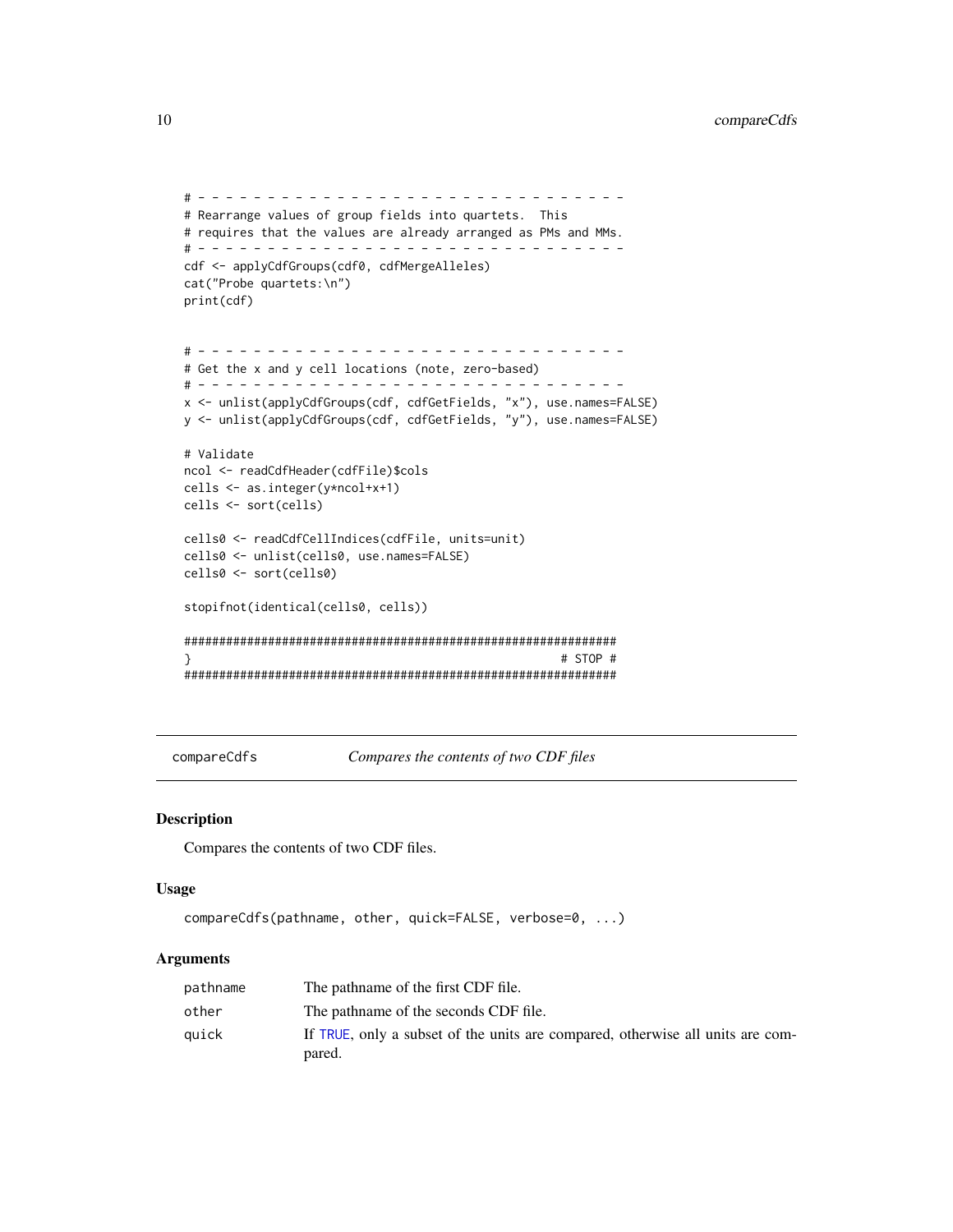```
# - - - - - - - - - - - - - - - - - - - - - - - - - - - - - - -
# Rearrange values of group fields into quartets. This
# requires that the values are already arranged as PMs and MMs.
# - - - - - - - - - - - - - - - - - - - - - - - - - - - - - - -
cdf <- applyCdfGroups(cdf0, cdfMergeAlleles)
cat("Probe quartets:\n")
print(cdf)
# - - - - - - - - - - - - - - - - - - - - - - - - - - - - - - -
# Get the x and y cell locations (note, zero-based)
# - - - - - - - - - - - - - - - - - - - - - - - - - - - - - - -
x <- unlist(applyCdfGroups(cdf, cdfGetFields, "x"), use.names=FALSE)
y <- unlist(applyCdfGroups(cdf, cdfGetFields, "y"), use.names=FALSE)
# Validate
ncol <- readCdfHeader(cdfFile)$cols
cells <- as.integer(y*ncol+x+1)
cells <- sort(cells)
cells0 <- readCdfCellIndices(cdfFile, units=unit)
cells0 <- unlist(cells0, use.names=FALSE)
cells0 <- sort(cells0)
stopifnot(identical(cells0, cells))
##############################################################
} # STOP #
##############################################################
```
<span id="page-9-1"></span>compareCdfs *Compares the contents of two CDF files*

#### Description

Compares the contents of two CDF files.

#### Usage

```
compareCdfs(pathname, other, quick=FALSE, verbose=0, ...)
```
## Arguments

| pathname | The pathname of the first CDF file.                                                      |
|----------|------------------------------------------------------------------------------------------|
| other    | The pathname of the seconds CDF file.                                                    |
| auick    | If TRUE, only a subset of the units are compared, otherwise all units are com-<br>pared. |

<span id="page-9-0"></span>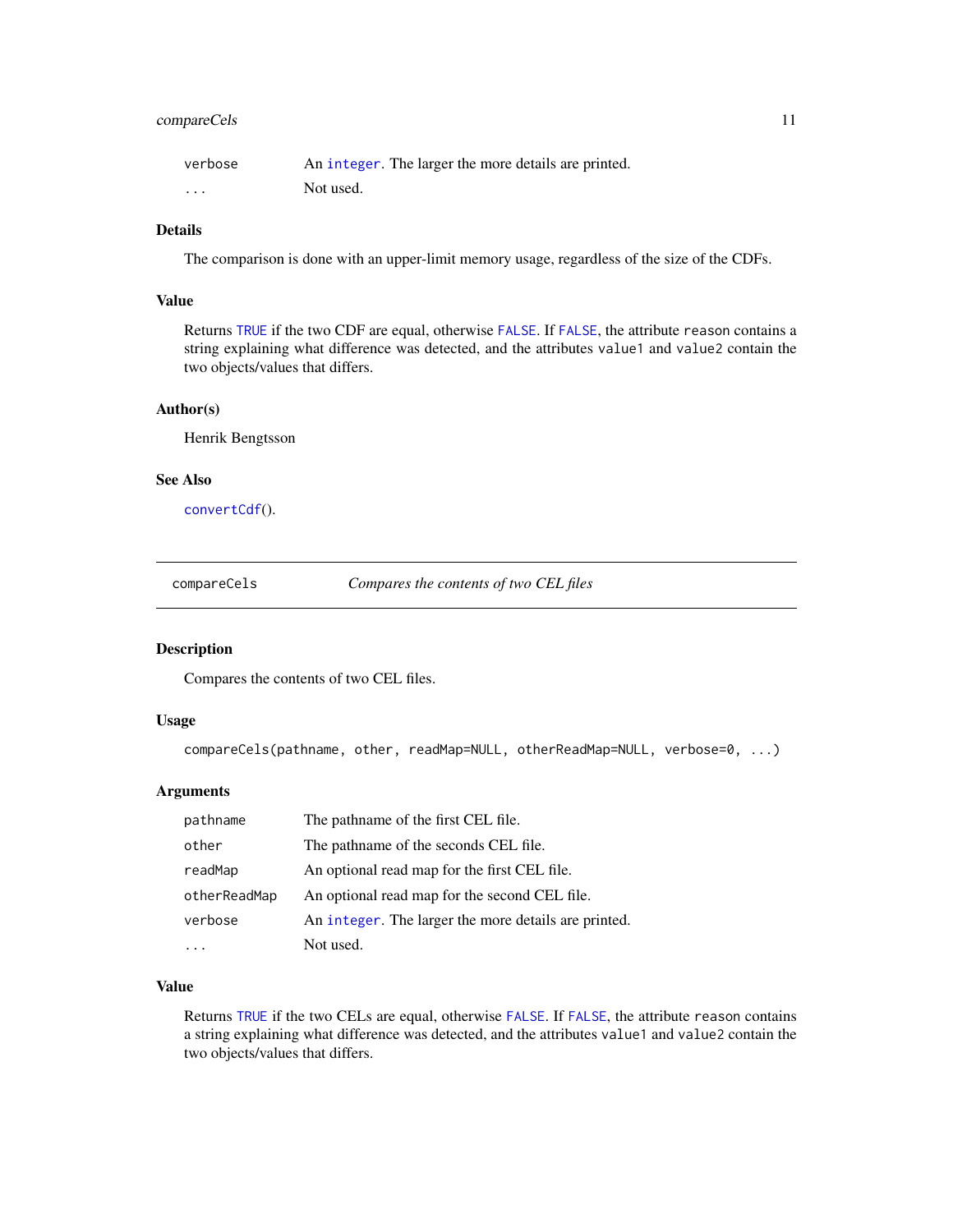## <span id="page-10-0"></span>compareCels 11

| verbose  | An integer. The larger the more details are printed. |
|----------|------------------------------------------------------|
| $\cdots$ | Not used.                                            |

## Details

The comparison is done with an upper-limit memory usage, regardless of the size of the CDFs.

## Value

Returns [TRUE](#page-0-0) if the two CDF are equal, otherwise [FALSE](#page-0-0). If [FALSE](#page-0-0), the attribute reason contains a string explaining what difference was detected, and the attributes value1 and value2 contain the two objects/values that differs.

## Author(s)

Henrik Bengtsson

#### See Also

[convertCdf](#page-11-1)().

compareCels *Compares the contents of two CEL files*

## Description

Compares the contents of two CEL files.

#### Usage

compareCels(pathname, other, readMap=NULL, otherReadMap=NULL, verbose=0, ...)

#### Arguments

| pathname     | The pathname of the first CEL file.                  |
|--------------|------------------------------------------------------|
| other        | The pathname of the seconds CEL file.                |
| readMap      | An optional read map for the first CEL file.         |
| otherReadMap | An optional read map for the second CEL file.        |
| verbose      | An integer. The larger the more details are printed. |
|              | Not used.                                            |

## Value

Returns [TRUE](#page-0-0) if the two CELs are equal, otherwise [FALSE](#page-0-0). If [FALSE](#page-0-0), the attribute reason contains a string explaining what difference was detected, and the attributes value1 and value2 contain the two objects/values that differs.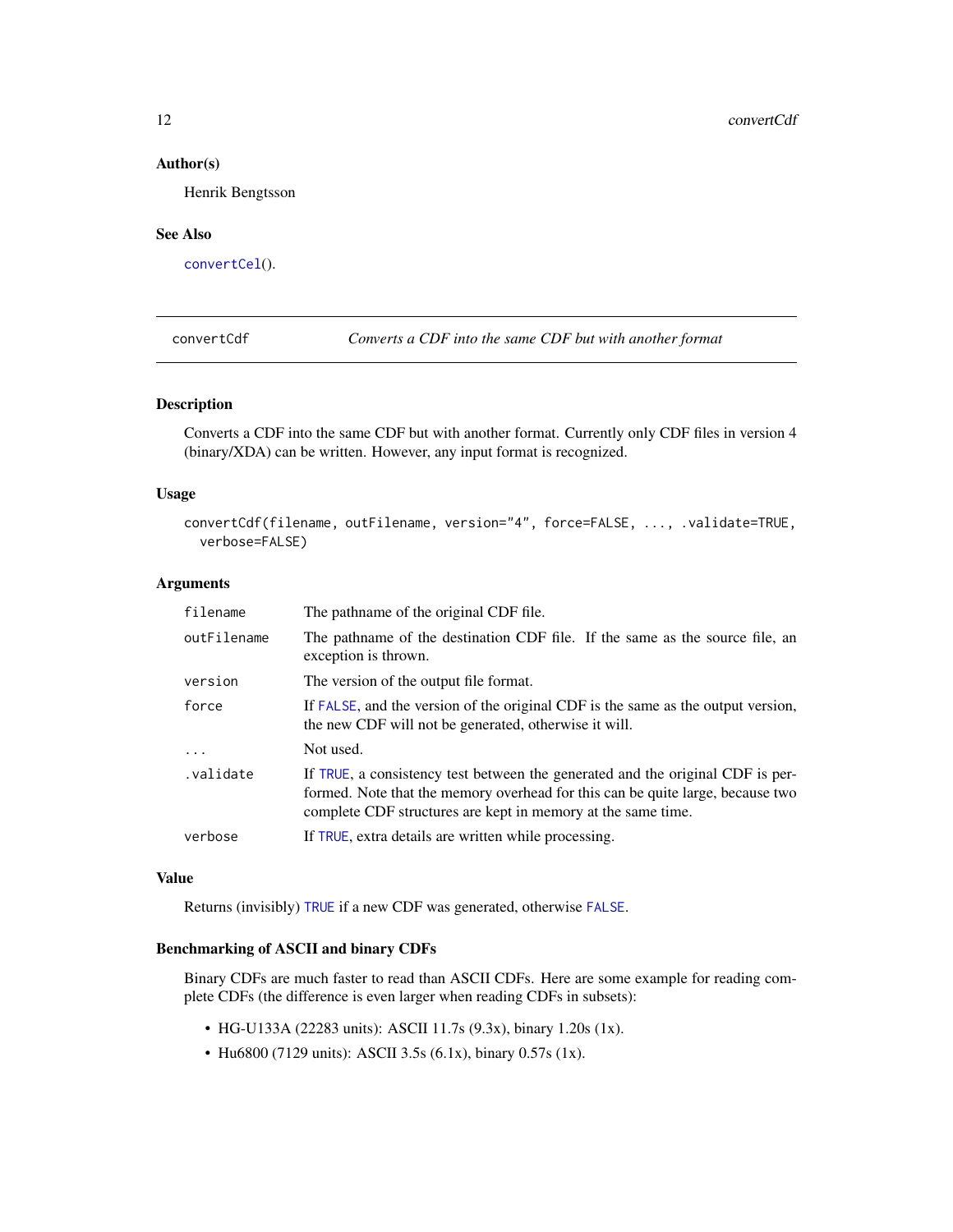#### Author(s)

Henrik Bengtsson

#### See Also

[convertCel](#page-12-1)().

<span id="page-11-1"></span>convertCdf *Converts a CDF into the same CDF but with another format*

## Description

Converts a CDF into the same CDF but with another format. Currently only CDF files in version 4 (binary/XDA) can be written. However, any input format is recognized.

#### Usage

convertCdf(filename, outFilename, version="4", force=FALSE, ..., .validate=TRUE, verbose=FALSE)

## Arguments

| filename    | The pathname of the original CDF file.                                                                                                                                                                                           |
|-------------|----------------------------------------------------------------------------------------------------------------------------------------------------------------------------------------------------------------------------------|
| outFilename | The pathname of the destination CDF file. If the same as the source file, an<br>exception is thrown.                                                                                                                             |
| version     | The version of the output file format.                                                                                                                                                                                           |
| force       | If FALSE, and the version of the original CDF is the same as the output version,<br>the new CDF will not be generated, otherwise it will.                                                                                        |
| $\cdot$     | Not used.                                                                                                                                                                                                                        |
| .validate   | If TRUE, a consistency test between the generated and the original CDF is per-<br>formed. Note that the memory overhead for this can be quite large, because two<br>complete CDF structures are kept in memory at the same time. |
| verbose     | If TRUE, extra details are written while processing.                                                                                                                                                                             |

#### Value

Returns (invisibly) [TRUE](#page-0-0) if a new CDF was generated, otherwise [FALSE](#page-0-0).

## Benchmarking of ASCII and binary CDFs

Binary CDFs are much faster to read than ASCII CDFs. Here are some example for reading complete CDFs (the difference is even larger when reading CDFs in subsets):

- HG-U133A (22283 units): ASCII 11.7s (9.3x), binary 1.20s (1x).
- Hu6800 (7129 units): ASCII 3.5s (6.1x), binary 0.57s (1x).

<span id="page-11-0"></span>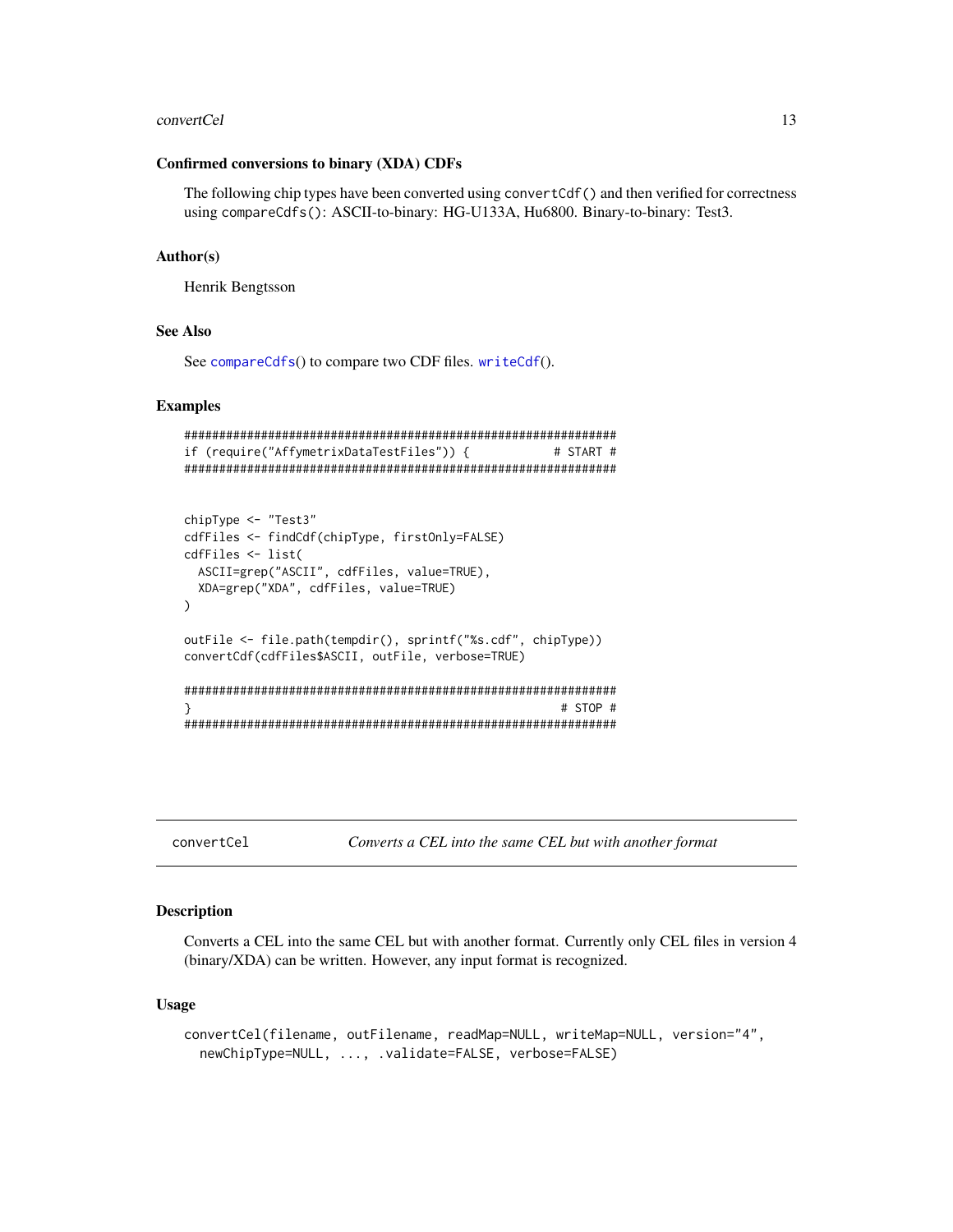#### <span id="page-12-0"></span>convertCel 23

#### Confirmed conversions to binary (XDA) CDFs

The following chip types have been converted using convertCdf() and then verified for correctness using compareCdfs(): ASCII-to-binary: HG-U133A, Hu6800. Binary-to-binary: Test3.

### Author(s)

Henrik Bengtsson

#### See Also

See [compareCdfs](#page-9-1)() to compare two CDF files. [writeCdf](#page-0-0)().

#### Examples

```
##############################################################
if (require("AffymetrixDataTestFiles")) { # START #
##############################################################
chipType <- "Test3"
cdfFiles <- findCdf(chipType, firstOnly=FALSE)
cdfFiles <- list(
 ASCII=grep("ASCII", cdfFiles, value=TRUE),
 XDA=grep("XDA", cdfFiles, value=TRUE)
)
outFile <- file.path(tempdir(), sprintf("%s.cdf", chipType))
convertCdf(cdfFiles$ASCII, outFile, verbose=TRUE)
##############################################################
} # STOP #
##############################################################
```
<span id="page-12-1"></span>convertCel *Converts a CEL into the same CEL but with another format*

#### Description

Converts a CEL into the same CEL but with another format. Currently only CEL files in version 4 (binary/XDA) can be written. However, any input format is recognized.

#### Usage

```
convertCel(filename, outFilename, readMap=NULL, writeMap=NULL, version="4",
  newChipType=NULL, ..., .validate=FALSE, verbose=FALSE)
```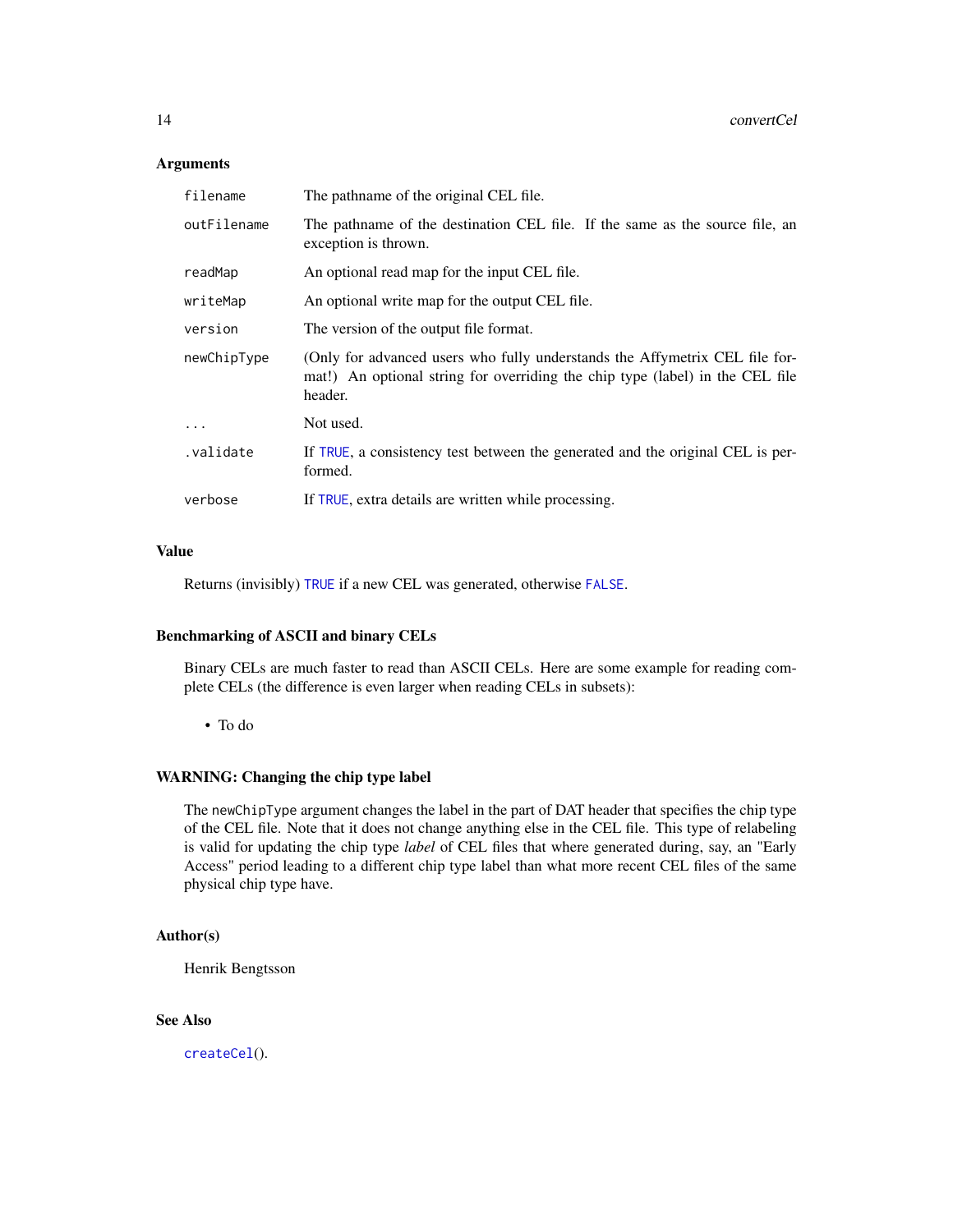#### <span id="page-13-0"></span>Arguments

| filename    | The pathname of the original CEL file.                                                                                                                                  |
|-------------|-------------------------------------------------------------------------------------------------------------------------------------------------------------------------|
| outFilename | The pathname of the destination CEL file. If the same as the source file, an<br>exception is thrown.                                                                    |
| readMap     | An optional read map for the input CEL file.                                                                                                                            |
| writeMap    | An optional write map for the output CEL file.                                                                                                                          |
| version     | The version of the output file format.                                                                                                                                  |
| newChipType | (Only for advanced users who fully understands the Affymetrix CEL file for-<br>mat!) An optional string for overriding the chip type (label) in the CEL file<br>header. |
| .           | Not used.                                                                                                                                                               |
| validate.   | If TRUE, a consistency test between the generated and the original CEL is per-<br>formed.                                                                               |
| verbose     | If TRUE, extra details are written while processing.                                                                                                                    |

## Value

Returns (invisibly) [TRUE](#page-0-0) if a new CEL was generated, otherwise [FALSE](#page-0-0).

## Benchmarking of ASCII and binary CELs

Binary CELs are much faster to read than ASCII CELs. Here are some example for reading complete CELs (the difference is even larger when reading CELs in subsets):

• To do

## WARNING: Changing the chip type label

The newChipType argument changes the label in the part of DAT header that specifies the chip type of the CEL file. Note that it does not change anything else in the CEL file. This type of relabeling is valid for updating the chip type *label* of CEL files that where generated during, say, an "Early Access" period leading to a different chip type label than what more recent CEL files of the same physical chip type have.

#### Author(s)

Henrik Bengtsson

## See Also

[createCel](#page-14-1)().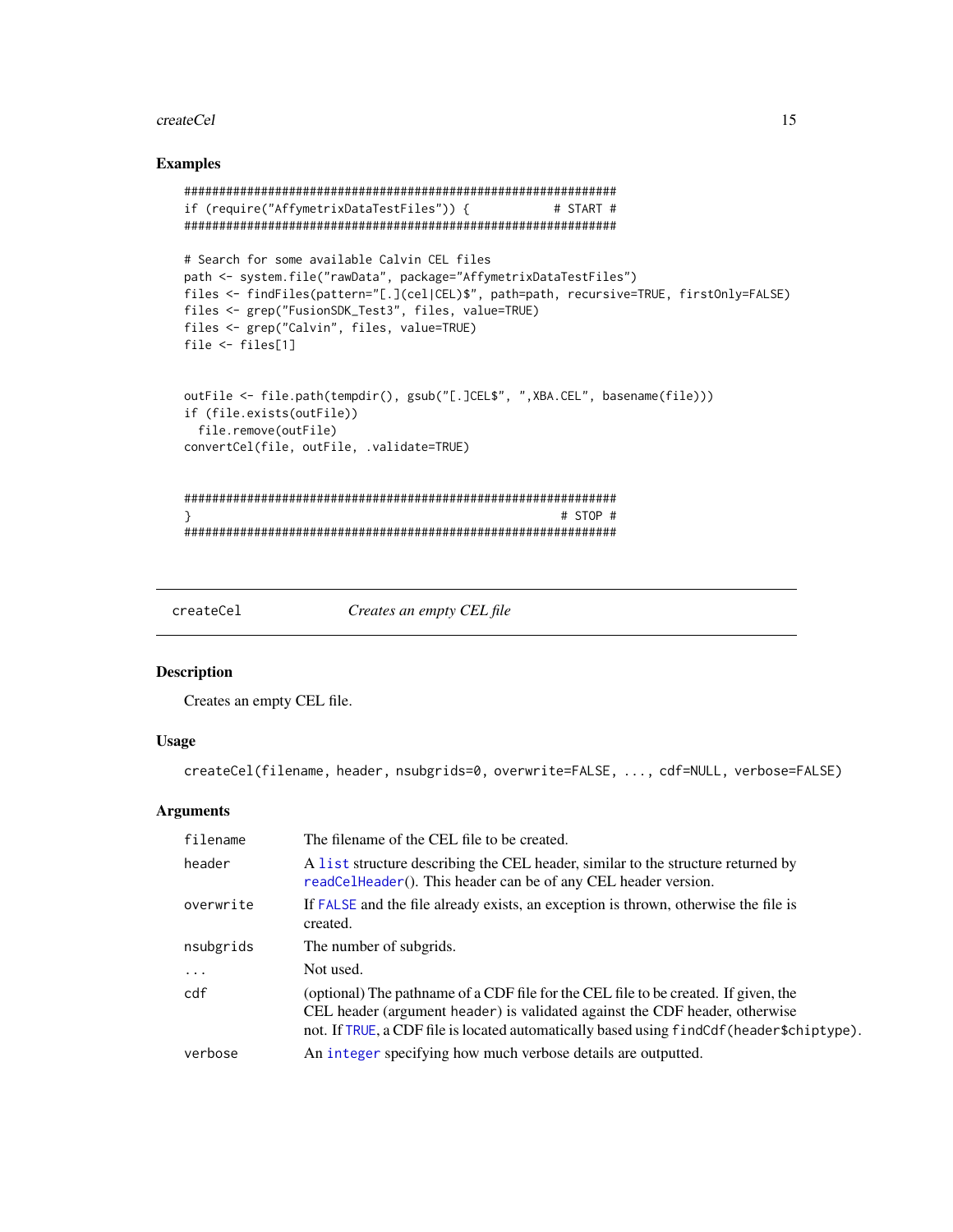#### <span id="page-14-0"></span>createCel 15

## Examples

```
##############################################################
if (require("AffymetrixDataTestFiles")) { # START #
##############################################################
# Search for some available Calvin CEL files
path <- system.file("rawData", package="AffymetrixDataTestFiles")
files <- findFiles(pattern="[.](cel|CEL)$", path=path, recursive=TRUE, firstOnly=FALSE)
files <- grep("FusionSDK_Test3", files, value=TRUE)
files <- grep("Calvin", files, value=TRUE)
file <- files[1]
outFile <- file.path(tempdir(), gsub("[.]CEL$", ",XBA.CEL", basename(file)))
if (file.exists(outFile))
 file.remove(outFile)
convertCel(file, outFile, .validate=TRUE)
##############################################################
} # STOP #
##############################################################
```
<span id="page-14-1"></span>

createCel *Creates an empty CEL file*

## Description

Creates an empty CEL file.

#### Usage

createCel(filename, header, nsubgrids=0, overwrite=FALSE, ..., cdf=NULL, verbose=FALSE)

## **Arguments**

| filename  | The filename of the CEL file to be created.                                                                                                                                                                                                                      |
|-----------|------------------------------------------------------------------------------------------------------------------------------------------------------------------------------------------------------------------------------------------------------------------|
| header    | A list structure describing the CEL header, similar to the structure returned by<br>readCelHeader(). This header can be of any CEL header version.                                                                                                               |
| overwrite | If FALSE and the file already exists, an exception is thrown, otherwise the file is<br>created.                                                                                                                                                                  |
| nsubgrids | The number of subgrids.                                                                                                                                                                                                                                          |
| $\ddotsc$ | Not used.                                                                                                                                                                                                                                                        |
| cdf       | (optional) The pathname of a CDF file for the CEL file to be created. If given, the<br>CEL header (argument header) is validated against the CDF header, otherwise<br>not. If TRUE, a CDF file is located automatically based using findCdf (header \$chiptype). |
| verbose   | An integer specifying how much verbose details are outputted.                                                                                                                                                                                                    |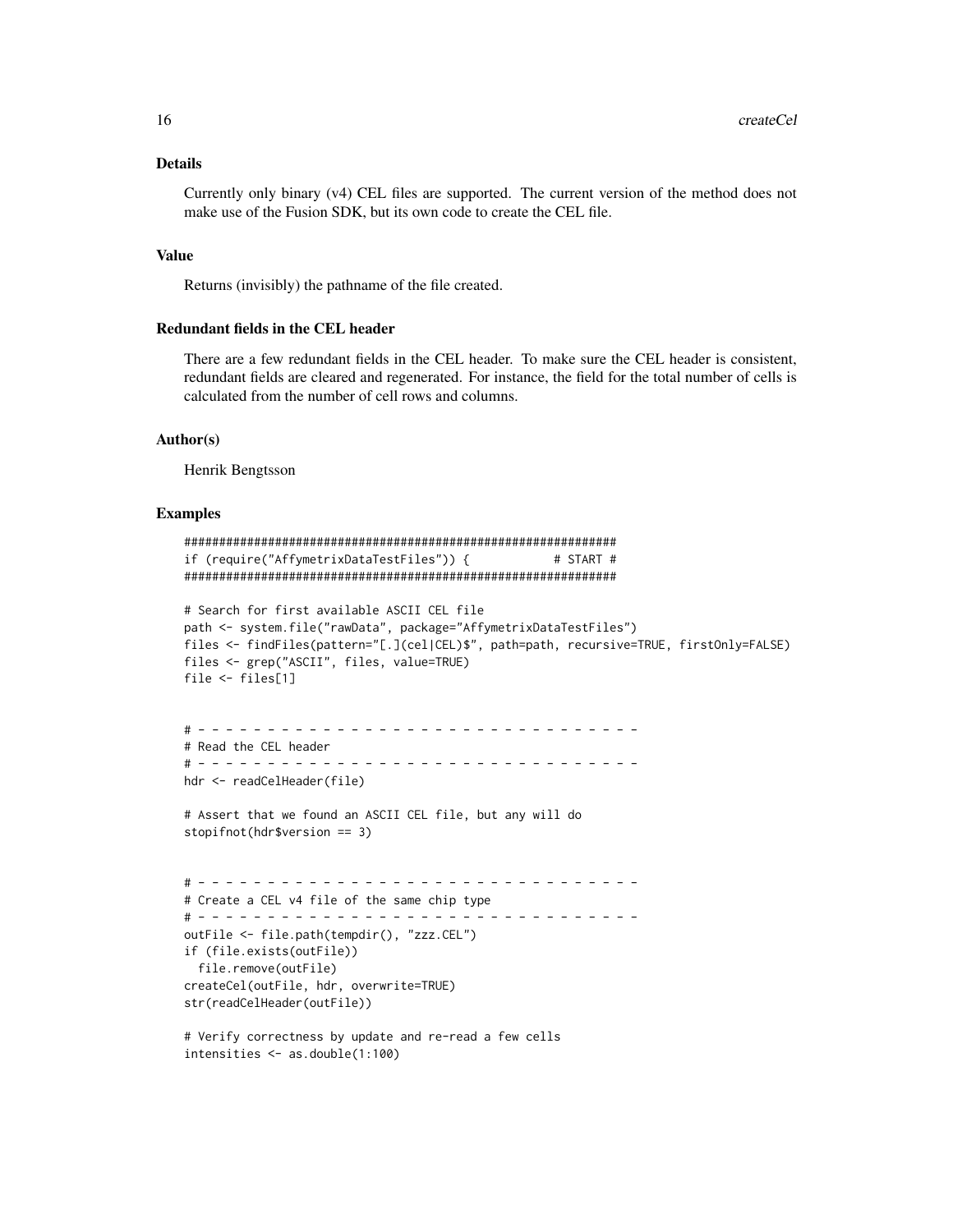## Details

Currently only binary (v4) CEL files are supported. The current version of the method does not make use of the Fusion SDK, but its own code to create the CEL file.

## Value

Returns (invisibly) the pathname of the file created.

#### Redundant fields in the CEL header

There are a few redundant fields in the CEL header. To make sure the CEL header is consistent, redundant fields are cleared and regenerated. For instance, the field for the total number of cells is calculated from the number of cell rows and columns.

#### Author(s)

Henrik Bengtsson

#### Examples

```
##############################################################
if (require("AffymetrixDataTestFiles")) { # START #
##############################################################
# Search for first available ASCII CEL file
path <- system.file("rawData", package="AffymetrixDataTestFiles")
files <- findFiles(pattern="[.](cel|CEL)$", path=path, recursive=TRUE, firstOnly=FALSE)
files <- grep("ASCII", files, value=TRUE)
file <- files[1]
# - - - - - - - - - - - - - - - - - - - - - - - - - - - - - - - -
# Read the CEL header
# - - - - - - - - - - - - - - - - - - - - - - - - - - - - - - - -
hdr <- readCelHeader(file)
# Assert that we found an ASCII CEL file, but any will do
stopifnot(hdr$version == 3)
# - - - - - - - - - - - - - - - - - - - - - - - - - - - - - - - -
# Create a CEL v4 file of the same chip type
# - - - - - - - - - - - - - - - - - - - - - - - - - - - - - - - -
outFile <- file.path(tempdir(), "zzz.CEL")
if (file.exists(outFile))
  file.remove(outFile)
createCel(outFile, hdr, overwrite=TRUE)
str(readCelHeader(outFile))
# Verify correctness by update and re-read a few cells
intensities <- as.double(1:100)
```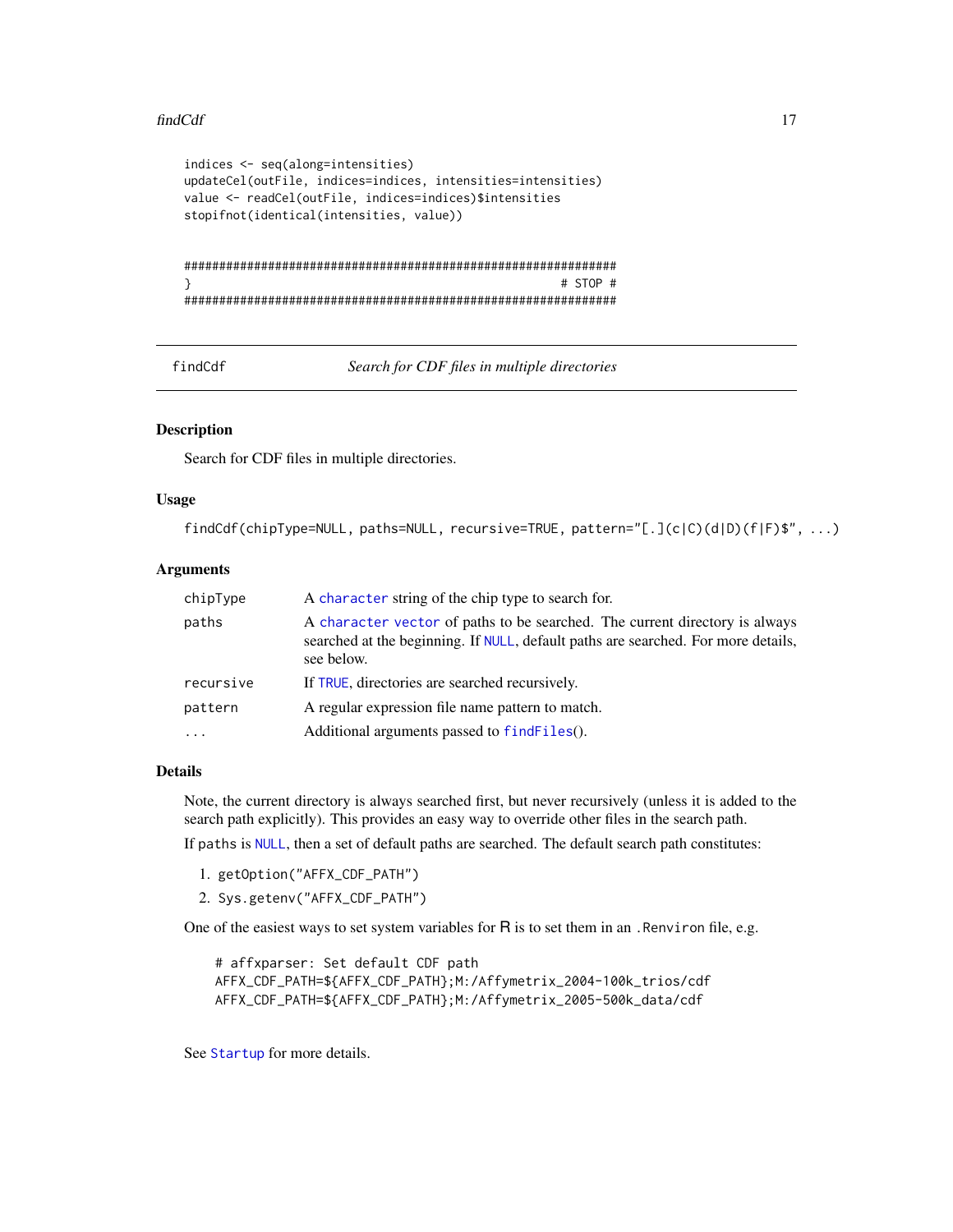#### <span id="page-16-0"></span>findCdf and the contract of the contract of the contract of the contract of the contract of the contract of the contract of the contract of the contract of the contract of the contract of the contract of the contract of th

```
indices <- seq(along=intensities)
updateCel(outFile, indices=indices, intensities=intensities)
value <- readCel(outFile, indices=indices)$intensities
stopifnot(identical(intensities, value))
##############################################################
} # STOP #
##############################################################
```
<span id="page-16-1"></span>findCdf *Search for CDF files in multiple directories*

## Description

Search for CDF files in multiple directories.

#### Usage

```
findCdf(chipType=NULL, paths=NULL, recursive=TRUE, pattern="[.](c|C)(d|D)(f|F)$", ...)
```
## Arguments

| chipType  | A character string of the chip type to search for.                                                                                                                             |
|-----------|--------------------------------------------------------------------------------------------------------------------------------------------------------------------------------|
| paths     | A character vector of paths to be searched. The current directory is always<br>searched at the beginning. If NULL, default paths are searched. For more details,<br>see below. |
| recursive | If TRUE, directories are searched recursively.                                                                                                                                 |
| pattern   | A regular expression file name pattern to match.                                                                                                                               |
| $\ddotsc$ | Additional arguments passed to find Files().                                                                                                                                   |

## Details

Note, the current directory is always searched first, but never recursively (unless it is added to the search path explicitly). This provides an easy way to override other files in the search path.

If paths is [NULL](#page-0-0), then a set of default paths are searched. The default search path constitutes:

- 1. getOption("AFFX\_CDF\_PATH")
- 2. Sys.getenv("AFFX\_CDF\_PATH")

One of the easiest ways to set system variables for R is to set them in an . Renviron file, e.g.

# affxparser: Set default CDF path AFFX\_CDF\_PATH=\${AFFX\_CDF\_PATH};M:/Affymetrix\_2004-100k\_trios/cdf AFFX\_CDF\_PATH=\${AFFX\_CDF\_PATH};M:/Affymetrix\_2005-500k\_data/cdf

See [Startup](#page-0-0) for more details.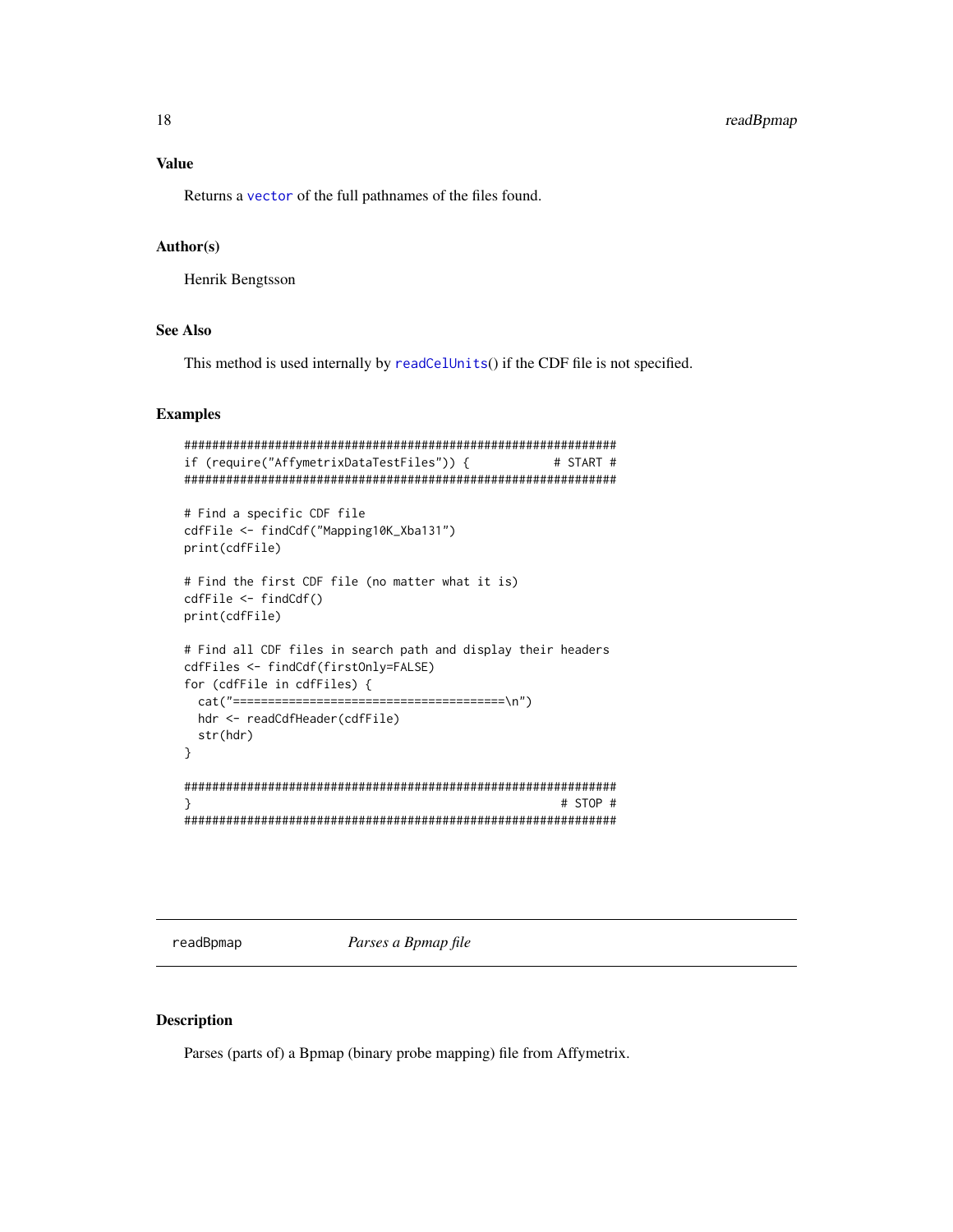## <span id="page-17-0"></span>Value

Returns a [vector](#page-0-0) of the full pathnames of the files found.

## Author(s)

Henrik Bengtsson

### See Also

This method is used internally by [readCelUnits](#page-35-1)() if the CDF file is not specified.

#### Examples

```
##############################################################
if (require("AffymetrixDataTestFiles")) { # START #
##############################################################
# Find a specific CDF file
cdfFile <- findCdf("Mapping10K_Xba131")
print(cdfFile)
# Find the first CDF file (no matter what it is)
cdfFile <- findCdf()
print(cdfFile)
# Find all CDF files in search path and display their headers
cdfFiles <- findCdf(firstOnly=FALSE)
for (cdfFile in cdfFiles) {
 cat("=======================================\n")
 hdr <- readCdfHeader(cdfFile)
 str(hdr)
}
##############################################################
} # STOP #
##############################################################
```
<span id="page-17-1"></span>readBpmap *Parses a Bpmap file*

## Description

Parses (parts of) a Bpmap (binary probe mapping) file from Affymetrix.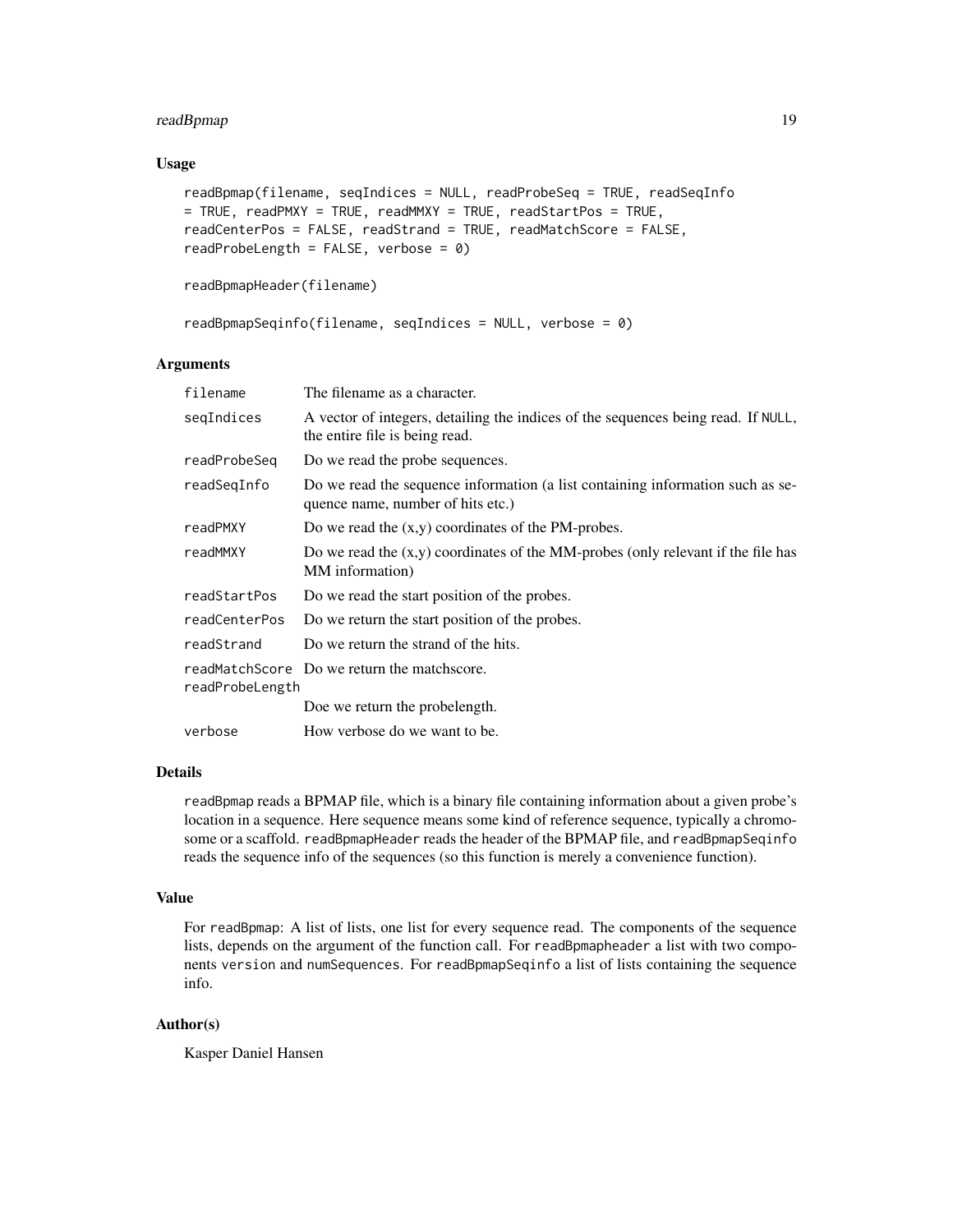## readBpmap 19

## Usage

```
readBpmap(filename, seqIndices = NULL, readProbeSeq = TRUE, readSeqInfo
= TRUE, readPMXY = TRUE, readMMXY = TRUE, readStartPos = TRUE,
readCenterPos = FALSE, readStrand = TRUE, readMatchScore = FALSE,
readProbeLength = FALSE, verbose = 0)
```

```
readBpmapHeader(filename)
```

```
readBpmapSeqinfo(filename, seqIndices = NULL, verbose = 0)
```
## Arguments

| filename        | The filename as a character.                                                                                        |
|-----------------|---------------------------------------------------------------------------------------------------------------------|
| seqIndices      | A vector of integers, detailing the indices of the sequences being read. If NULL,<br>the entire file is being read. |
| readProbeSeq    | Do we read the probe sequences.                                                                                     |
| readSeqInfo     | Do we read the sequence information (a list containing information such as se-<br>quence name, number of hits etc.) |
| readPMXY        | Do we read the $(x,y)$ coordinates of the PM-probes.                                                                |
| readMMXY        | Do we read the $(x,y)$ coordinates of the MM-probes (only relevant if the file has<br>MM information)               |
| readStartPos    | Do we read the start position of the probes.                                                                        |
| readCenterPos   | Do we return the start position of the probes.                                                                      |
| readStrand      | Do we return the strand of the hits.                                                                                |
| readProbeLength | readMatchScore Do we return the matchscore.                                                                         |
|                 | Doe we return the probelength.                                                                                      |
| verbose         | How verbose do we want to be.                                                                                       |

## Details

readBpmap reads a BPMAP file, which is a binary file containing information about a given probe's location in a sequence. Here sequence means some kind of reference sequence, typically a chromosome or a scaffold. readBpmapHeader reads the header of the BPMAP file, and readBpmapSeqinfo reads the sequence info of the sequences (so this function is merely a convenience function).

## Value

For readBpmap: A list of lists, one list for every sequence read. The components of the sequence lists, depends on the argument of the function call. For readBpmapheader a list with two components version and numSequences. For readBpmapSeqinfo a list of lists containing the sequence info.

## Author(s)

Kasper Daniel Hansen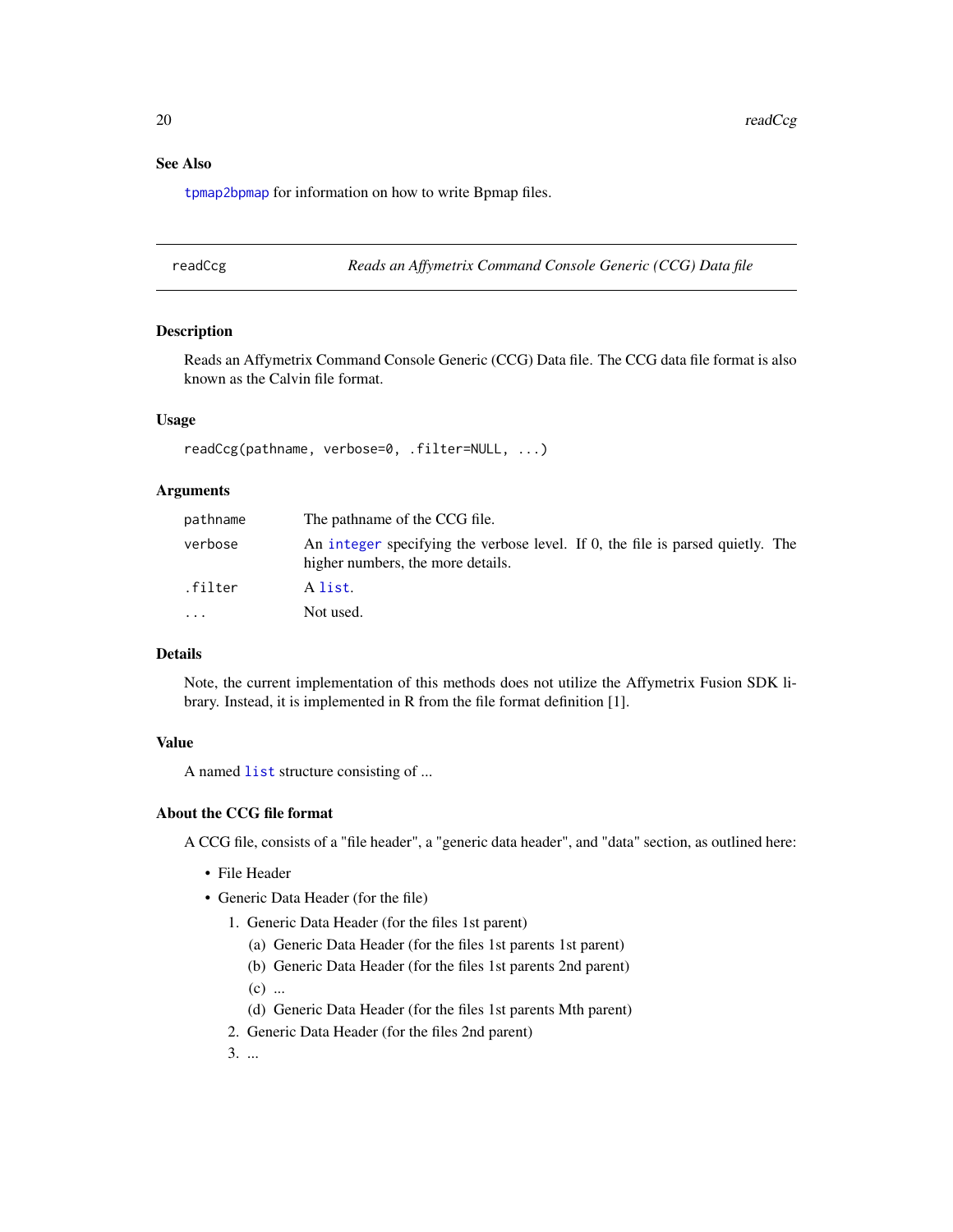## <span id="page-19-0"></span>See Also

[tpmap2bpmap](#page-49-1) for information on how to write Bpmap files.

<span id="page-19-1"></span>readCcg *Reads an Affymetrix Command Console Generic (CCG) Data file*

#### Description

Reads an Affymetrix Command Console Generic (CCG) Data file. The CCG data file format is also known as the Calvin file format.

## Usage

readCcg(pathname, verbose=0, .filter=NULL, ...)

#### Arguments

| pathname                | The pathname of the CCG file.                                                                                       |
|-------------------------|---------------------------------------------------------------------------------------------------------------------|
| verbose                 | An integer specifying the verbose level. If 0, the file is parsed quietly. The<br>higher numbers, the more details. |
| .filter                 | A list.                                                                                                             |
| $\cdot$ $\cdot$ $\cdot$ | Not used.                                                                                                           |

## Details

Note, the current implementation of this methods does not utilize the Affymetrix Fusion SDK library. Instead, it is implemented in R from the file format definition [1].

#### Value

A named [list](#page-0-0) structure consisting of ...

#### About the CCG file format

A CCG file, consists of a "file header", a "generic data header", and "data" section, as outlined here:

- File Header
- Generic Data Header (for the file)
	- 1. Generic Data Header (for the files 1st parent)
		- (a) Generic Data Header (for the files 1st parents 1st parent)
		- (b) Generic Data Header (for the files 1st parents 2nd parent)
		- $(c)$  ...
		- (d) Generic Data Header (for the files 1st parents Mth parent)
	- 2. Generic Data Header (for the files 2nd parent)
	- 3. ...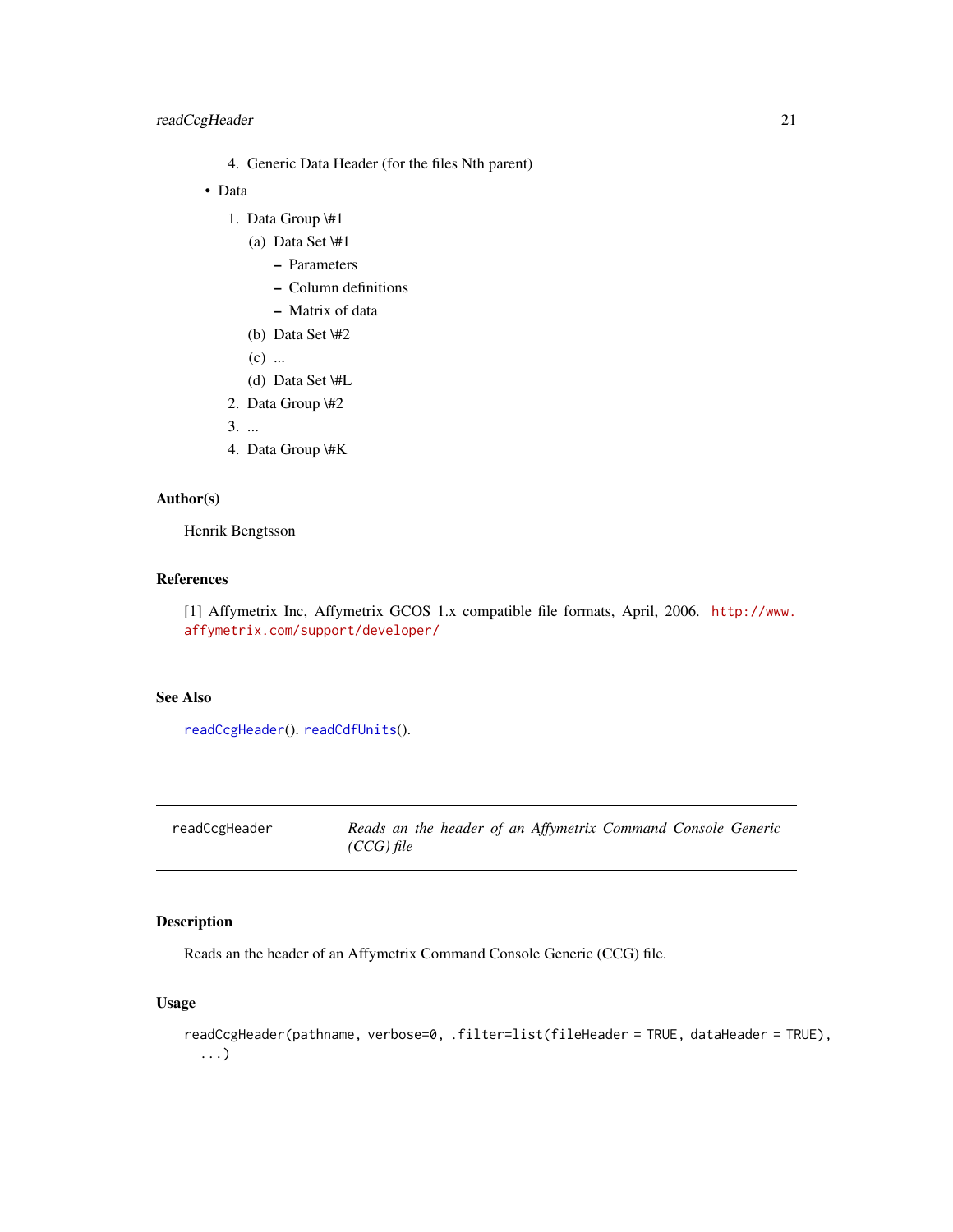## <span id="page-20-0"></span>readCcgHeader 21

- 4. Generic Data Header (for the files Nth parent)
- Data
	- 1. Data Group \#1
		- (a) Data Set \#1
			- Parameters
			- Column definitions
			- Matrix of data
		- (b) Data Set \#2
		- $(c)$  ...
		- (d) Data Set \#L
	- 2. Data Group \#2

3. ...

4. Data Group \#K

## Author(s)

Henrik Bengtsson

#### References

[1] Affymetrix Inc, Affymetrix GCOS 1.x compatible file formats, April, 2006. [http://www.](http://www.affymetrix.com/support/developer/) [affymetrix.com/support/developer/](http://www.affymetrix.com/support/developer/)

## See Also

[readCcgHeader](#page-20-1)(). [readCdfUnits](#page-26-1)().

<span id="page-20-1"></span>

| readCcgHeader | Reads an the header of an Affymetrix Command Console Generic |  |  |  |
|---------------|--------------------------------------------------------------|--|--|--|
|               | (CCG) file                                                   |  |  |  |

## Description

Reads an the header of an Affymetrix Command Console Generic (CCG) file.

## Usage

```
readCcgHeader(pathname, verbose=0, .filter=list(fileHeader = TRUE, dataHeader = TRUE),
  ...)
```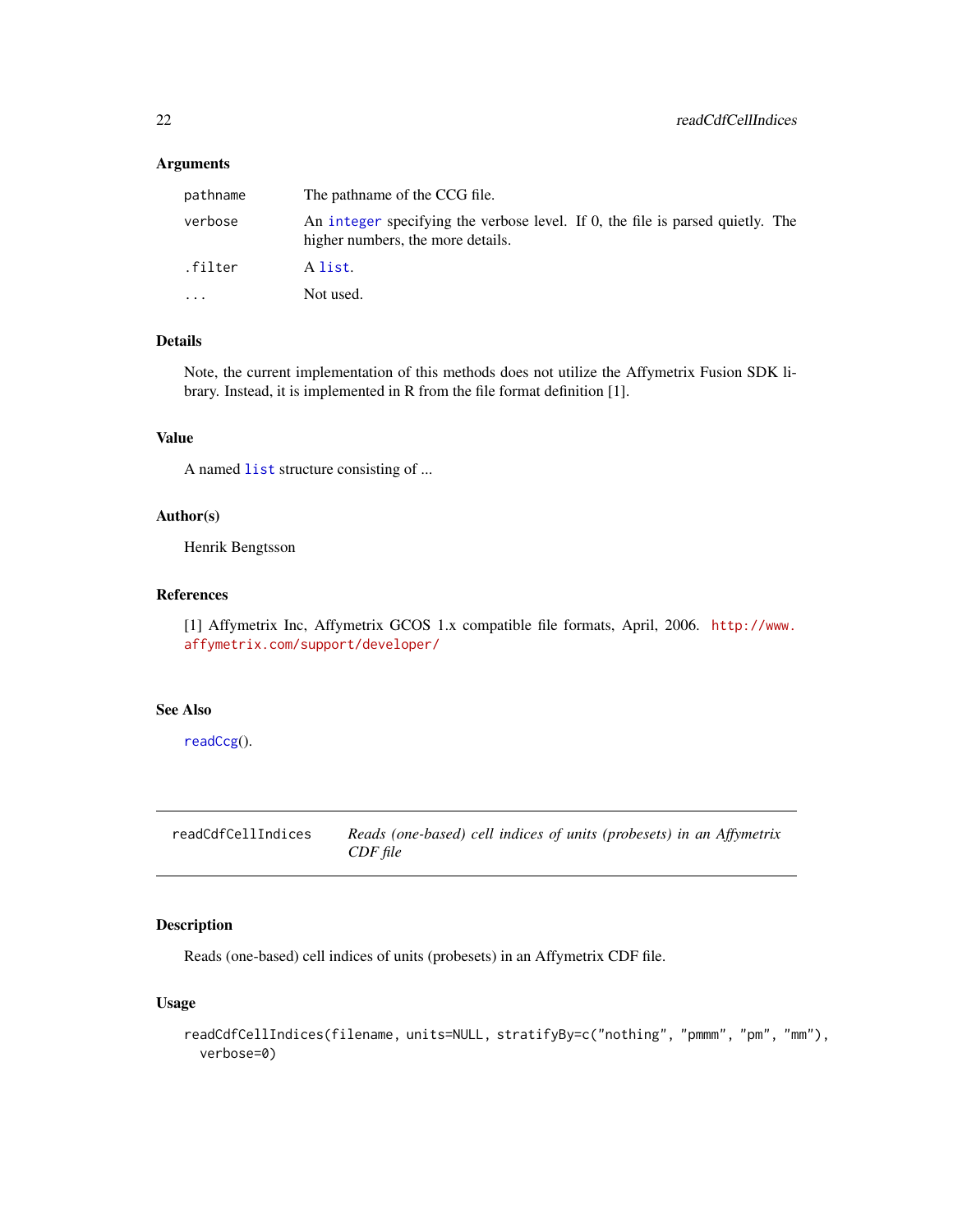#### <span id="page-21-0"></span>Arguments

| pathname  | The pathname of the CCG file.                                                                                       |
|-----------|---------------------------------------------------------------------------------------------------------------------|
| verbose   | An integer specifying the verbose level. If 0, the file is parsed quietly. The<br>higher numbers, the more details. |
| .filter   | A list.                                                                                                             |
| $\ddotsc$ | Not used.                                                                                                           |

## Details

Note, the current implementation of this methods does not utilize the Affymetrix Fusion SDK library. Instead, it is implemented in R from the file format definition [1].

### Value

A named [list](#page-0-0) structure consisting of ...

#### Author(s)

Henrik Bengtsson

#### References

[1] Affymetrix Inc, Affymetrix GCOS 1.x compatible file formats, April, 2006. [http://www.](http://www.affymetrix.com/support/developer/) [affymetrix.com/support/developer/](http://www.affymetrix.com/support/developer/)

#### See Also

[readCcg](#page-19-1)().

<span id="page-21-1"></span>readCdfCellIndices *Reads (one-based) cell indices of units (probesets) in an Affymetrix CDF file*

## Description

Reads (one-based) cell indices of units (probesets) in an Affymetrix CDF file.

#### Usage

```
readCdfCellIndices(filename, units=NULL, stratifyBy=c("nothing", "pmmm", "pm", "mm"),
  verbose=0)
```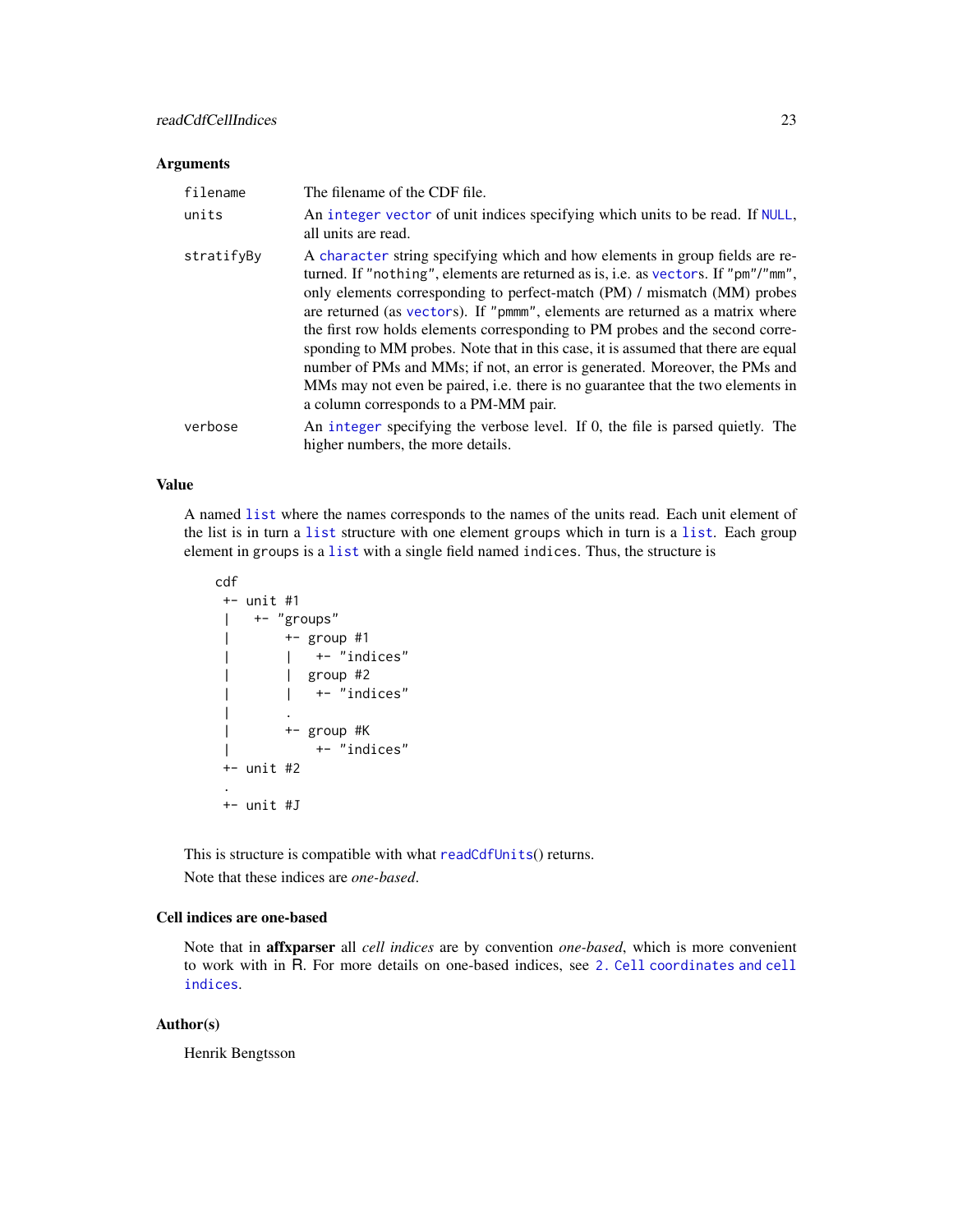## <span id="page-22-0"></span>Arguments

| filename   | The filename of the CDF file.                                                                                                                                                                                                                                                                                                                                                                                                                                                                                                                                                                                                                                                                                   |
|------------|-----------------------------------------------------------------------------------------------------------------------------------------------------------------------------------------------------------------------------------------------------------------------------------------------------------------------------------------------------------------------------------------------------------------------------------------------------------------------------------------------------------------------------------------------------------------------------------------------------------------------------------------------------------------------------------------------------------------|
| units      | An integer vector of unit indices specifying which units to be read. If NULL,<br>all units are read.                                                                                                                                                                                                                                                                                                                                                                                                                                                                                                                                                                                                            |
| stratifyBy | A character string specifying which and how elements in group fields are re-<br>turned. If "nothing", elements are returned as is, i.e. as vectors. If "pm"/"mm",<br>only elements corresponding to perfect-match (PM) / mismatch (MM) probes<br>are returned (as vectors). If "pmmm", elements are returned as a matrix where<br>the first row holds elements corresponding to PM probes and the second corre-<br>sponding to MM probes. Note that in this case, it is assumed that there are equal<br>number of PMs and MMs; if not, an error is generated. Moreover, the PMs and<br>MMs may not even be paired, i.e. there is no guarantee that the two elements in<br>a column corresponds to a PM-MM pair. |
| verbose    | An integer specifying the verbose level. If 0, the file is parsed quietly. The<br>higher numbers, the more details.                                                                                                                                                                                                                                                                                                                                                                                                                                                                                                                                                                                             |

#### Value

A named [list](#page-0-0) where the names corresponds to the names of the units read. Each unit element of the list is in turn a [list](#page-0-0) structure with one element groups which in turn is a [list](#page-0-0). Each group element in groups is a [list](#page-0-0) with a single field named indices. Thus, the structure is

```
cdf
+- unit #1
| +- "groups"
| +- group #1
| | +- "indices"
| | group #2
\vert \vert +- "indices"
| .
| +- group #K
| +- "indices"
+- unit #2
.
+- unit #J
```
This is structure is compatible with what [readCdfUnits](#page-26-1)() returns.

Note that these indices are *one-based*.

## Cell indices are one-based

Note that in affxparser all *cell indices* are by convention *one-based*, which is more convenient to work with in R. For more details on one-based indices, see [2. Cell coordinates and cell](#page-0-0) [indices](#page-0-0).

## Author(s)

Henrik Bengtsson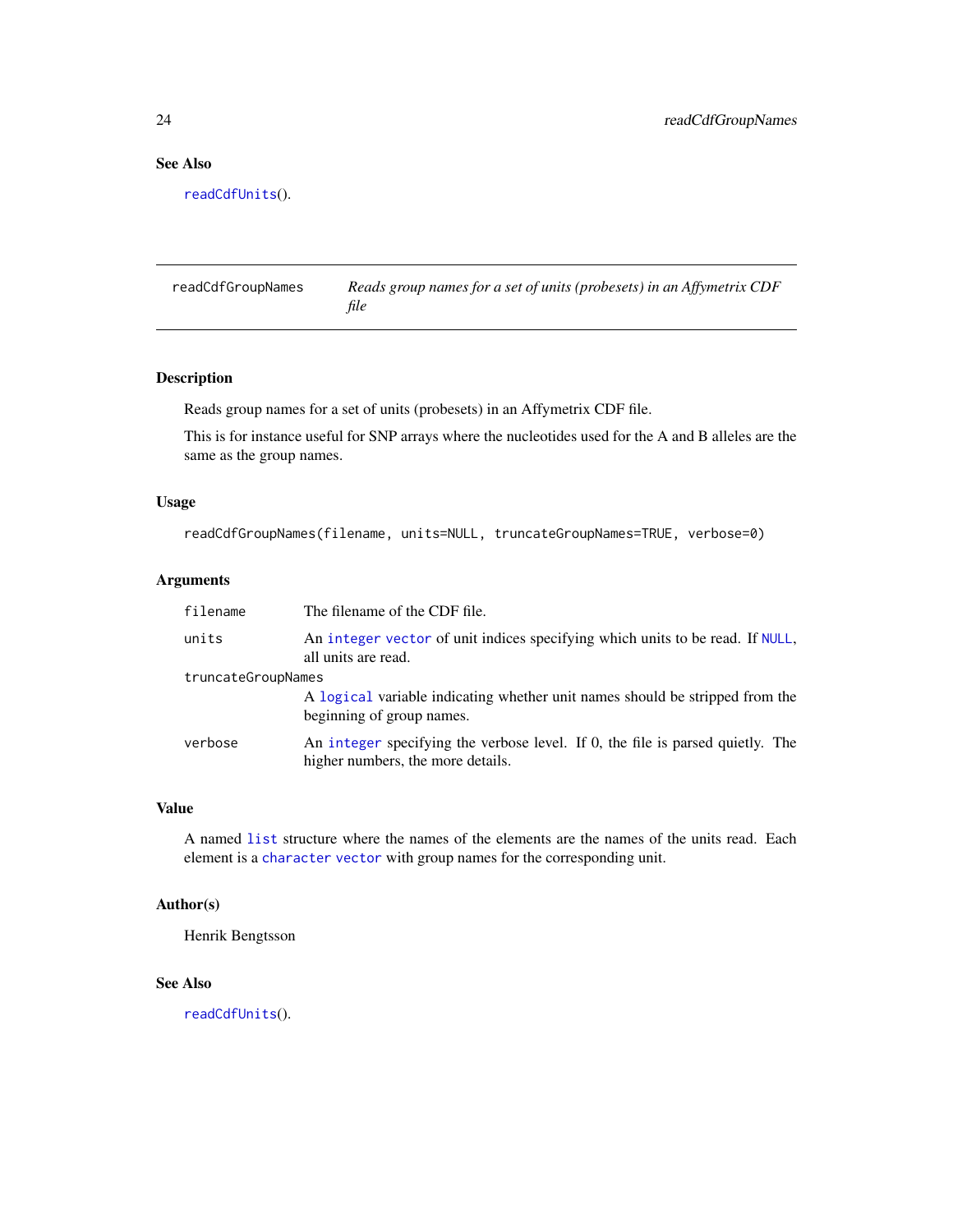## See Also

[readCdfUnits](#page-26-1)().

readCdfGroupNames *Reads group names for a set of units (probesets) in an Affymetrix CDF file*

## Description

Reads group names for a set of units (probesets) in an Affymetrix CDF file.

This is for instance useful for SNP arrays where the nucleotides used for the A and B alleles are the same as the group names.

## Usage

```
readCdfGroupNames(filename, units=NULL, truncateGroupNames=TRUE, verbose=0)
```
## Arguments

| filename           | The filename of the CDF file.                                                                                       |
|--------------------|---------------------------------------------------------------------------------------------------------------------|
| units              | An integer vector of unit indices specifying which units to be read. If NULL,<br>all units are read.                |
| truncateGroupNames |                                                                                                                     |
|                    | A logical variable indicating whether unit names should be stripped from the<br>beginning of group names.           |
| verbose            | An integer specifying the verbose level. If 0, the file is parsed quietly. The<br>higher numbers, the more details. |

#### Value

A named [list](#page-0-0) structure where the names of the elements are the names of the units read. Each element is a [character](#page-0-0) [vector](#page-0-0) with group names for the corresponding unit.

#### Author(s)

Henrik Bengtsson

## See Also

[readCdfUnits](#page-26-1)().

<span id="page-23-0"></span>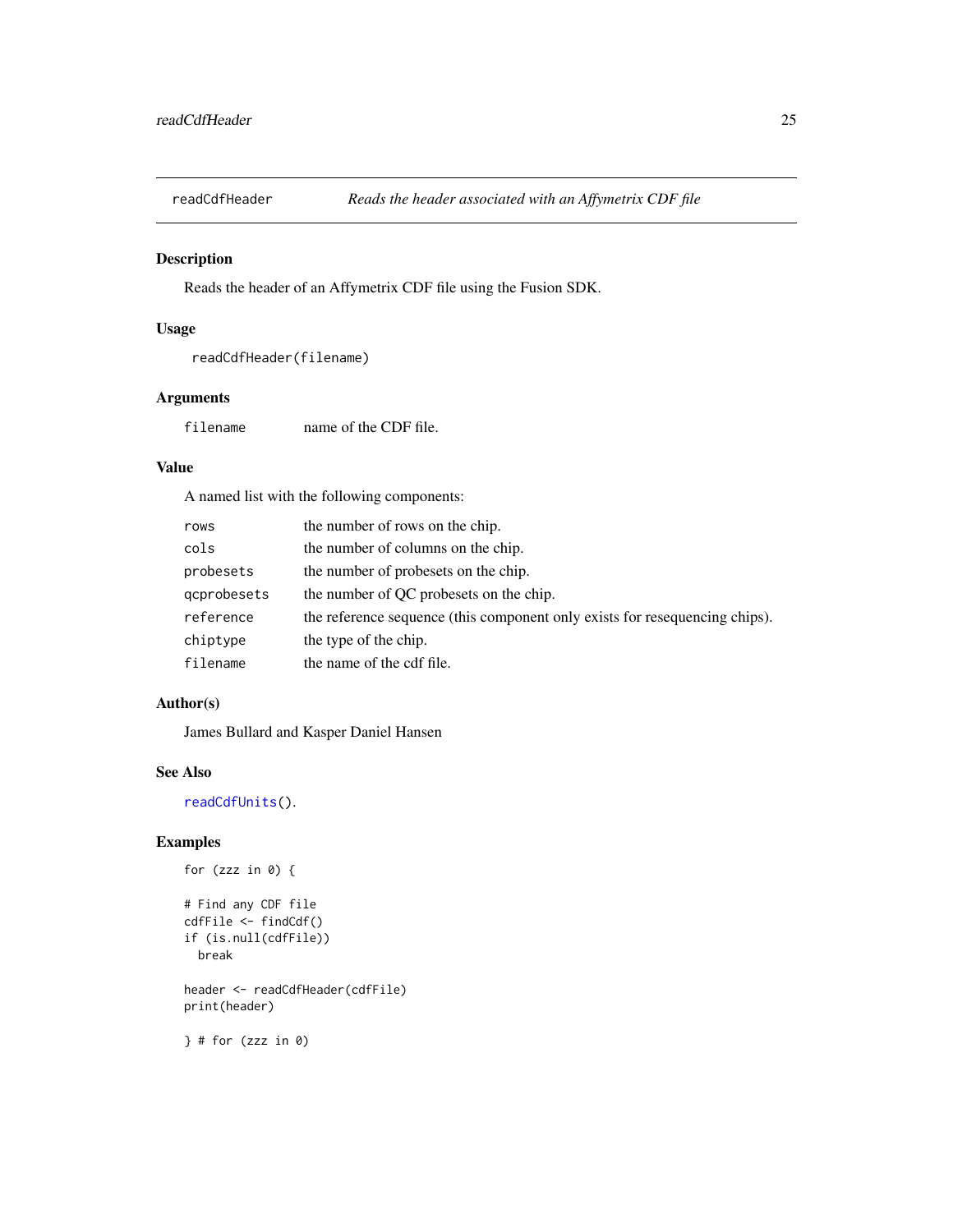<span id="page-24-0"></span>

Reads the header of an Affymetrix CDF file using the Fusion SDK.

#### Usage

```
readCdfHeader(filename)
```
#### Arguments

filename name of the CDF file.

#### Value

A named list with the following components:

| rows        | the number of rows on the chip.                                             |
|-------------|-----------------------------------------------------------------------------|
| cols        | the number of columns on the chip.                                          |
| probesets   | the number of probesets on the chip.                                        |
| gcprobesets | the number of QC probesets on the chip.                                     |
| reference   | the reference sequence (this component only exists for resequencing chips). |
| chiptype    | the type of the chip.                                                       |
| filename    | the name of the cdf file.                                                   |

## Author(s)

James Bullard and Kasper Daniel Hansen

#### See Also

[readCdfUnits\(](#page-26-1)).

## Examples

```
for (zzz in 0) {
# Find any CDF file
cdfFile <- findCdf()
if (is.null(cdfFile))
  break
header <- readCdfHeader(cdfFile)
print(header)
```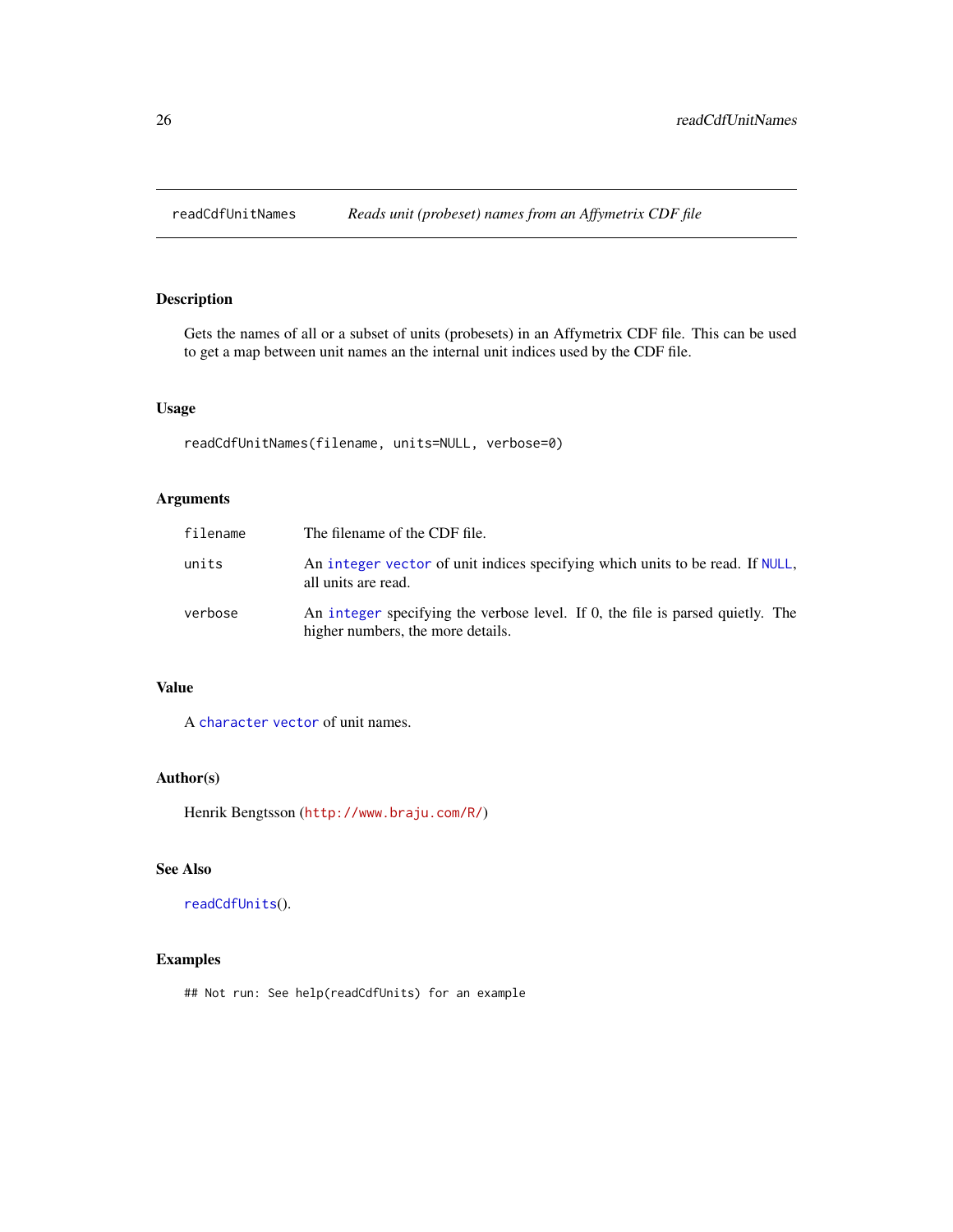<span id="page-25-0"></span>

Gets the names of all or a subset of units (probesets) in an Affymetrix CDF file. This can be used to get a map between unit names an the internal unit indices used by the CDF file.

## Usage

readCdfUnitNames(filename, units=NULL, verbose=0)

## Arguments

| filename | The filename of the CDF file.                                                                                       |
|----------|---------------------------------------------------------------------------------------------------------------------|
| units    | An integer vector of unit indices specifying which units to be read. If NULL,<br>all units are read.                |
| verbose  | An integer specifying the verbose level. If 0, the file is parsed quietly. The<br>higher numbers, the more details. |

## Value

A [character](#page-0-0) [vector](#page-0-0) of unit names.

## Author(s)

Henrik Bengtsson (<http://www.braju.com/R/>)

## See Also

[readCdfUnits](#page-26-1)().

## Examples

## Not run: See help(readCdfUnits) for an example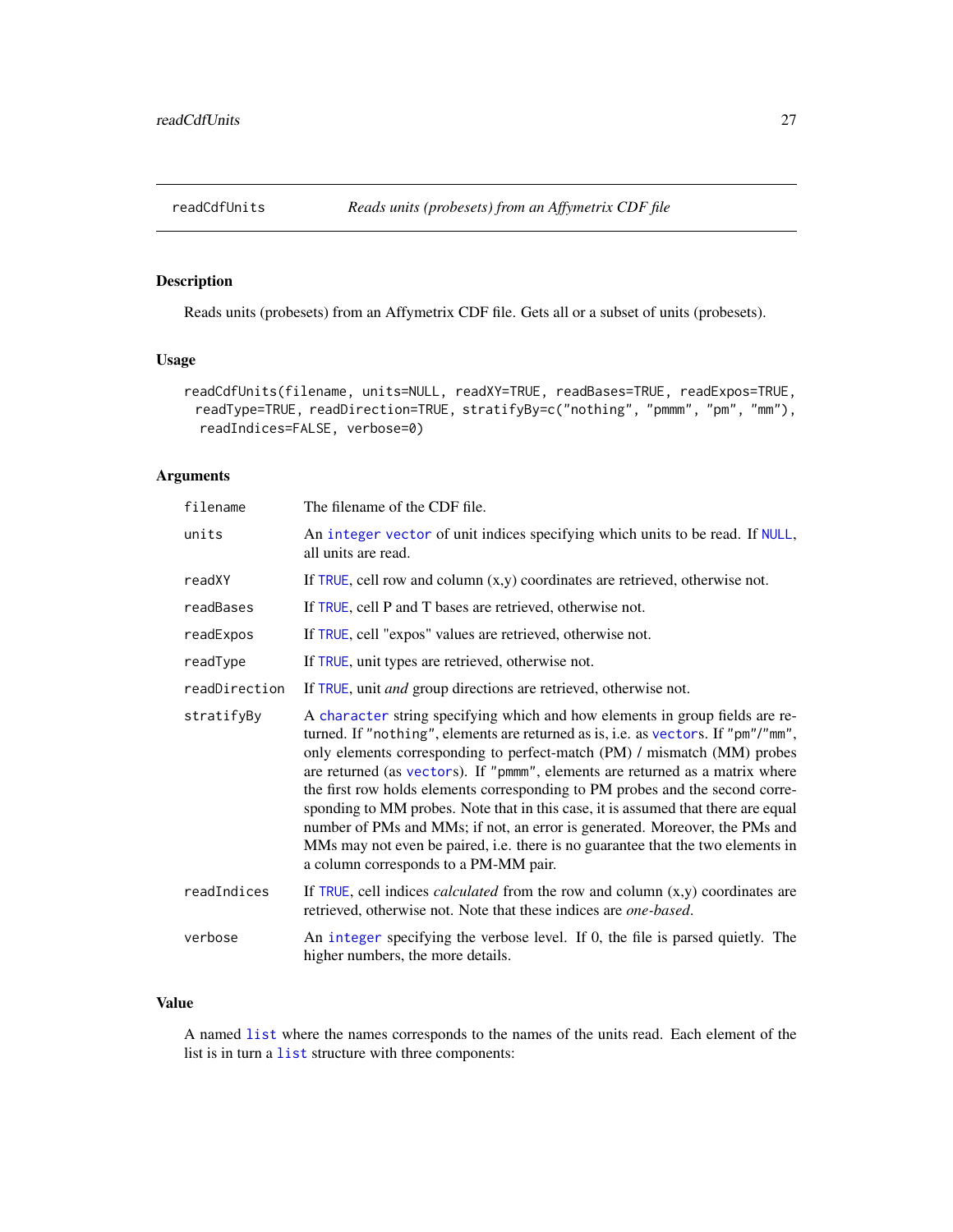<span id="page-26-1"></span><span id="page-26-0"></span>

Reads units (probesets) from an Affymetrix CDF file. Gets all or a subset of units (probesets).

## Usage

```
readCdfUnits(filename, units=NULL, readXY=TRUE, readBases=TRUE, readExpos=TRUE,
 readType=TRUE, readDirection=TRUE, stratifyBy=c("nothing", "pmmm", "pm", "mm"),
 readIndices=FALSE, verbose=0)
```
## Arguments

| filename      | The filename of the CDF file.                                                                                                                                                                                                                                                                                                                                                                                                                                                                                                                                                                                                                                                                                   |
|---------------|-----------------------------------------------------------------------------------------------------------------------------------------------------------------------------------------------------------------------------------------------------------------------------------------------------------------------------------------------------------------------------------------------------------------------------------------------------------------------------------------------------------------------------------------------------------------------------------------------------------------------------------------------------------------------------------------------------------------|
| units         | An integer vector of unit indices specifying which units to be read. If NULL,<br>all units are read.                                                                                                                                                                                                                                                                                                                                                                                                                                                                                                                                                                                                            |
| readXY        | If TRUE, cell row and column $(x,y)$ coordinates are retrieved, otherwise not.                                                                                                                                                                                                                                                                                                                                                                                                                                                                                                                                                                                                                                  |
| readBases     | If TRUE, cell P and T bases are retrieved, otherwise not.                                                                                                                                                                                                                                                                                                                                                                                                                                                                                                                                                                                                                                                       |
| readExpos     | If TRUE, cell "expos" values are retrieved, otherwise not.                                                                                                                                                                                                                                                                                                                                                                                                                                                                                                                                                                                                                                                      |
| readType      | If TRUE, unit types are retrieved, otherwise not.                                                                                                                                                                                                                                                                                                                                                                                                                                                                                                                                                                                                                                                               |
| readDirection | If TRUE, unit <i>and</i> group directions are retrieved, otherwise not.                                                                                                                                                                                                                                                                                                                                                                                                                                                                                                                                                                                                                                         |
| stratifyBy    | A character string specifying which and how elements in group fields are re-<br>turned. If "nothing", elements are returned as is, i.e. as vectors. If "pm"/"mm",<br>only elements corresponding to perfect-match (PM) / mismatch (MM) probes<br>are returned (as vectors). If "pmmm", elements are returned as a matrix where<br>the first row holds elements corresponding to PM probes and the second corre-<br>sponding to MM probes. Note that in this case, it is assumed that there are equal<br>number of PMs and MMs; if not, an error is generated. Moreover, the PMs and<br>MMs may not even be paired, i.e. there is no guarantee that the two elements in<br>a column corresponds to a PM-MM pair. |
| readIndices   | If TRUE, cell indices <i>calculated</i> from the row and column $(x,y)$ coordinates are<br>retrieved, otherwise not. Note that these indices are one-based.                                                                                                                                                                                                                                                                                                                                                                                                                                                                                                                                                     |
| verbose       | An integer specifying the verbose level. If 0, the file is parsed quietly. The<br>higher numbers, the more details.                                                                                                                                                                                                                                                                                                                                                                                                                                                                                                                                                                                             |

## Value

A named [list](#page-0-0) where the names corresponds to the names of the units read. Each element of the list is in turn a [list](#page-0-0) structure with three components: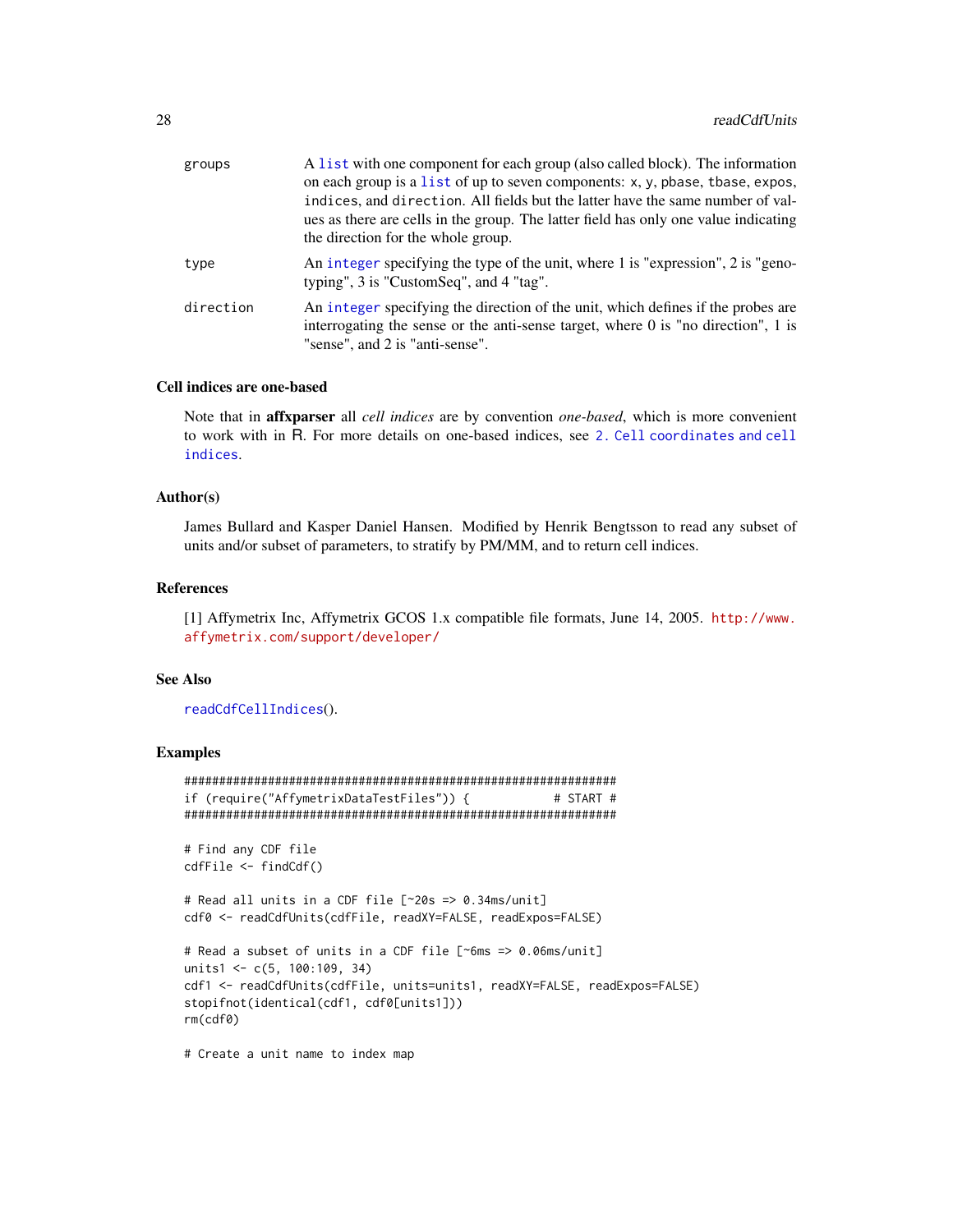<span id="page-27-0"></span>

| groups    | A list with one component for each group (also called block). The information<br>on each group is a list of up to seven components: x, y, pbase, tbase, expos,<br>indices, and direction. All fields but the latter have the same number of val-<br>ues as there are cells in the group. The latter field has only one value indicating<br>the direction for the whole group. |
|-----------|-------------------------------------------------------------------------------------------------------------------------------------------------------------------------------------------------------------------------------------------------------------------------------------------------------------------------------------------------------------------------------|
| type      | An integer specifying the type of the unit, where 1 is "expression", 2 is "geno-<br>typing", 3 is "CustomSeq", and 4 "tag".                                                                                                                                                                                                                                                   |
| direction | An integer specifying the direction of the unit, which defines if the probes are<br>interrogating the sense or the anti-sense target, where $0$ is "no direction", 1 is<br>"sense", and 2 is "anti-sense".                                                                                                                                                                    |

## Cell indices are one-based

Note that in affxparser all *cell indices* are by convention *one-based*, which is more convenient to work with in R. For more details on one-based indices, see [2. Cell coordinates and cell](#page-0-0) [indices](#page-0-0).

## Author(s)

James Bullard and Kasper Daniel Hansen. Modified by Henrik Bengtsson to read any subset of units and/or subset of parameters, to stratify by PM/MM, and to return cell indices.

## References

[1] Affymetrix Inc, Affymetrix GCOS 1.x compatible file formats, June 14, 2005. [http://www.](http://www.affymetrix.com/support/developer/) [affymetrix.com/support/developer/](http://www.affymetrix.com/support/developer/)

#### See Also

[readCdfCellIndices](#page-21-1)().

## Examples

```
##############################################################
if (require("AffymetrixDataTestFiles")) { # START #
##############################################################
# Find any CDF file
cdfFile <- findCdf()
# Read all units in a CDF file [~20s => 0.34ms/unit]
cdf0 <- readCdfUnits(cdfFile, readXY=FALSE, readExpos=FALSE)
# Read a subset of units in a CDF file [~6ms => 0.06ms/unit]
units1 <- c(5, 100:109, 34)
cdf1 <- readCdfUnits(cdfFile, units=units1, readXY=FALSE, readExpos=FALSE)
stopifnot(identical(cdf1, cdf0[units1]))
rm(cdf0)
```
# Create a unit name to index map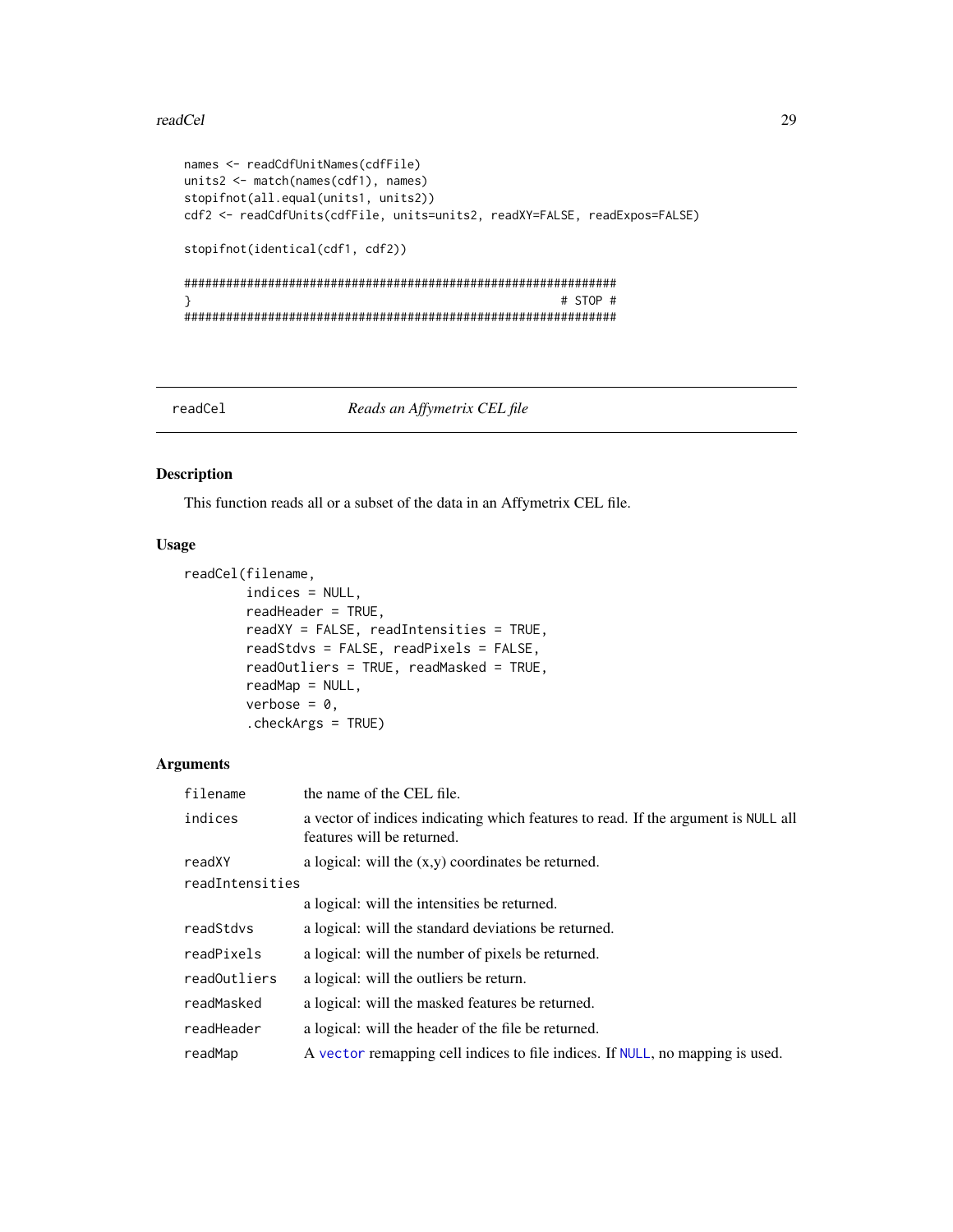#### <span id="page-28-0"></span>readCel 29

```
names <- readCdfUnitNames(cdfFile)
units2 <- match(names(cdf1), names)
stopifnot(all.equal(units1, units2))
cdf2 <- readCdfUnits(cdfFile, units=units2, readXY=FALSE, readExpos=FALSE)
stopifnot(identical(cdf1, cdf2))
##############################################################
} # STOP #
##############################################################
```
#### <span id="page-28-1"></span>readCel *Reads an Affymetrix CEL file*

## Description

This function reads all or a subset of the data in an Affymetrix CEL file.

## Usage

```
readCel(filename,
        indices = NULL,
        readHeader = TRUE,
        readXY = FALSE, readIntensities = TRUE,
        readStdvs = FALSE, readPixels = FALSE,
        readOutliers = TRUE, readMasked = TRUE,
        readMap = NULL,
        verbose = 0,
        .checkArgs = TRUE)
```
#### Arguments

| filename        | the name of the CEL file.                                                                                        |
|-----------------|------------------------------------------------------------------------------------------------------------------|
| indices         | a vector of indices indicating which features to read. If the argument is NULL all<br>features will be returned. |
| readXY          | a logical: will the $(x,y)$ coordinates be returned.                                                             |
| readIntensities |                                                                                                                  |
|                 | a logical: will the intensities be returned.                                                                     |
| readStdvs       | a logical: will the standard deviations be returned.                                                             |
| readPixels      | a logical: will the number of pixels be returned.                                                                |
| readOutliers    | a logical: will the outliers be return.                                                                          |
| readMasked      | a logical: will the masked features be returned.                                                                 |
| readHeader      | a logical: will the header of the file be returned.                                                              |
| readMap         | A vector remapping cell indices to file indices. If NULL, no mapping is used.                                    |
|                 |                                                                                                                  |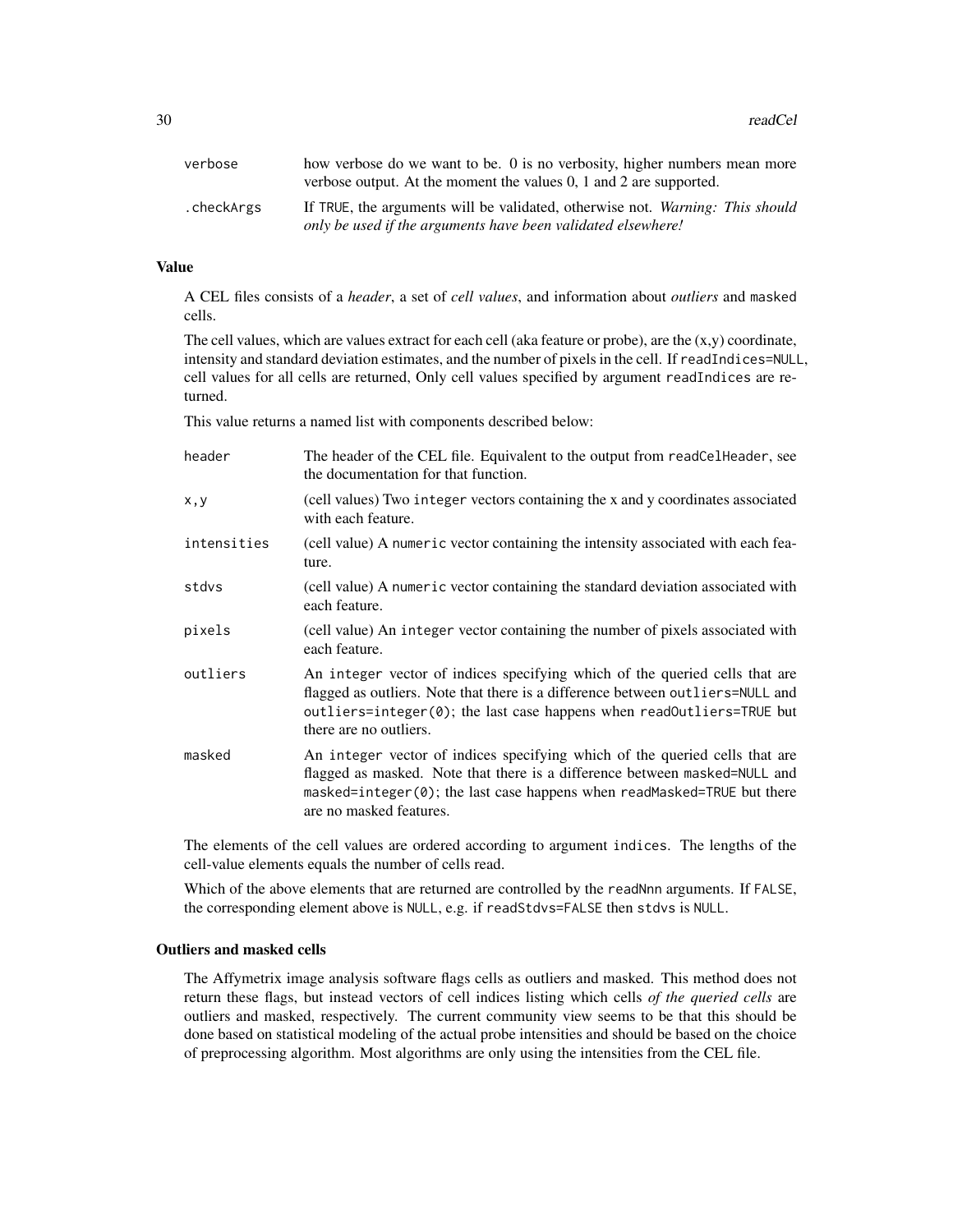| verbose    | how verbose do we want to be. 0 is no verbosity, higher numbers mean more<br>verbose output. At the moment the values $0$ , 1 and 2 are supported. |
|------------|----------------------------------------------------------------------------------------------------------------------------------------------------|
| .checkArgs | If TRUE, the arguments will be validated, otherwise not. Warning: This should<br>only be used if the arguments have been validated elsewhere!      |

## Value

A CEL files consists of a *header*, a set of *cell values*, and information about *outliers* and masked cells.

The cell values, which are values extract for each cell (aka feature or probe), are the  $(x,y)$  coordinate, intensity and standard deviation estimates, and the number of pixels in the cell. If readIndices=NULL, cell values for all cells are returned, Only cell values specified by argument readIndices are returned.

This value returns a named list with components described below:

| header      | The header of the CEL file. Equivalent to the output from readCelHeader, see<br>the documentation for that function.                                                                                                                                                         |
|-------------|------------------------------------------------------------------------------------------------------------------------------------------------------------------------------------------------------------------------------------------------------------------------------|
| x, y        | (cell values) Two integer vectors containing the x and y coordinates associated<br>with each feature.                                                                                                                                                                        |
| intensities | (cell value) A numeric vector containing the intensity associated with each fea-<br>ture.                                                                                                                                                                                    |
| stdvs       | (cell value) A numeric vector containing the standard deviation associated with<br>each feature.                                                                                                                                                                             |
| pixels      | (cell value) An integer vector containing the number of pixels associated with<br>each feature.                                                                                                                                                                              |
| outliers    | An integer vector of indices specifying which of the queried cells that are<br>flagged as outliers. Note that there is a difference between outliers=NULL and<br>outliers=integer( $\emptyset$ ); the last case happens when readOutliers=TRUE but<br>there are no outliers. |
| masked      | An integer vector of indices specifying which of the queried cells that are<br>flagged as masked. Note that there is a difference between masked=NULL and<br>masked=integer(0); the last case happens when readMasked=TRUE but there<br>are no masked features.              |

The elements of the cell values are ordered according to argument indices. The lengths of the cell-value elements equals the number of cells read.

Which of the above elements that are returned are controlled by the readNnn arguments. If FALSE, the corresponding element above is NULL, e.g. if readStdvs=FALSE then stdvs is NULL.

## Outliers and masked cells

The Affymetrix image analysis software flags cells as outliers and masked. This method does not return these flags, but instead vectors of cell indices listing which cells *of the queried cells* are outliers and masked, respectively. The current community view seems to be that this should be done based on statistical modeling of the actual probe intensities and should be based on the choice of preprocessing algorithm. Most algorithms are only using the intensities from the CEL file.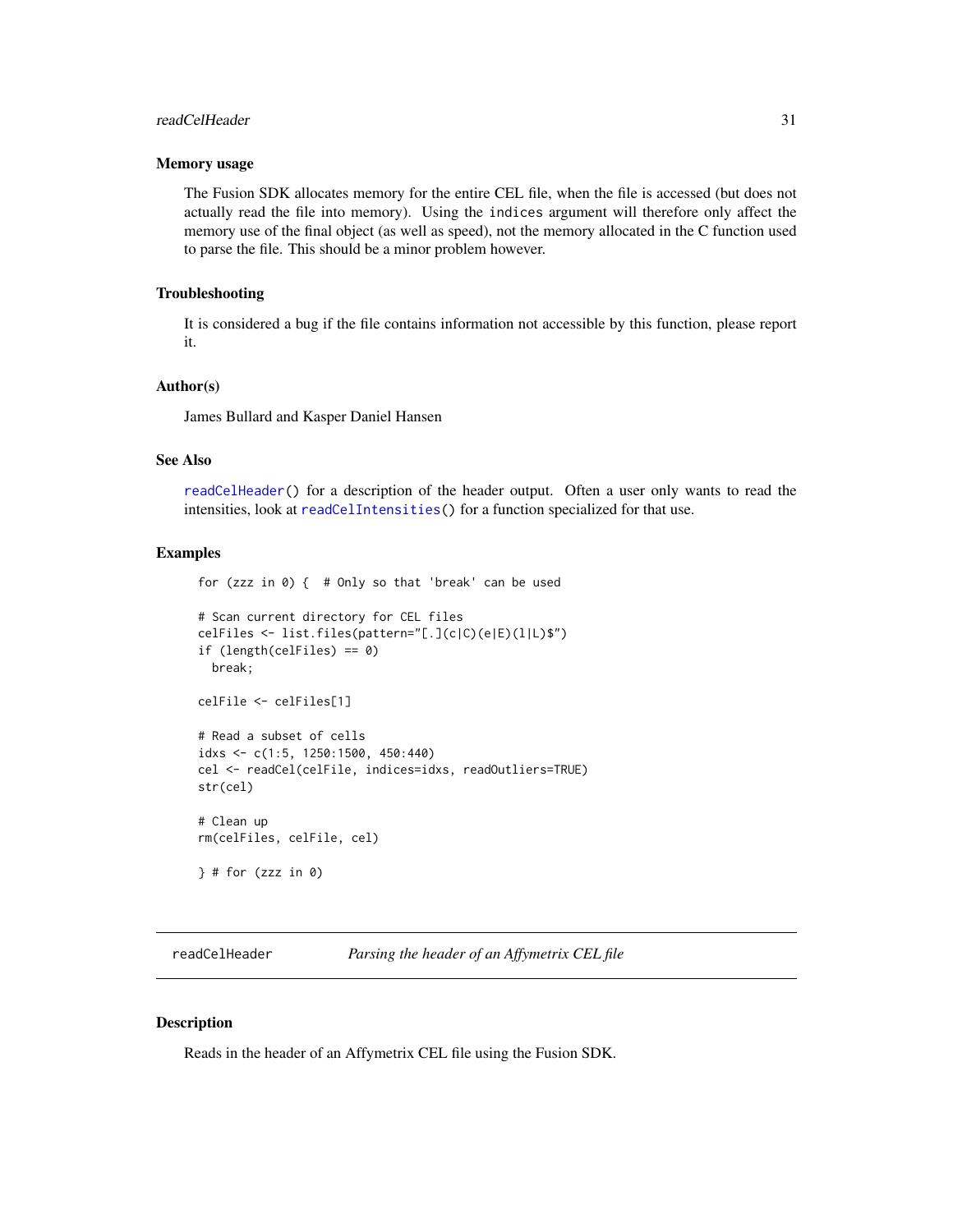## <span id="page-30-0"></span>readCelHeader 31

#### Memory usage

The Fusion SDK allocates memory for the entire CEL file, when the file is accessed (but does not actually read the file into memory). Using the indices argument will therefore only affect the memory use of the final object (as well as speed), not the memory allocated in the C function used to parse the file. This should be a minor problem however.

#### Troubleshooting

It is considered a bug if the file contains information not accessible by this function, please report it.

#### Author(s)

James Bullard and Kasper Daniel Hansen

## See Also

[readCelHeader\(](#page-30-1)) for a description of the header output. Often a user only wants to read the intensities, look at [readCelIntensities\(](#page-32-1)) for a function specialized for that use.

## Examples

for (zzz in 0) { # Only so that 'break' can be used # Scan current directory for CEL files celFiles <- list.files(pattern="[.](c|C)(e|E)(l|L)\$") if (length(celFiles) == 0) break; celFile <- celFiles[1] # Read a subset of cells idxs <- c(1:5, 1250:1500, 450:440) cel <- readCel(celFile, indices=idxs, readOutliers=TRUE) str(cel) # Clean up rm(celFiles, celFile, cel)  $\}$  # for (zzz in 0)

<span id="page-30-1"></span>readCelHeader *Parsing the header of an Affymetrix CEL file*

#### Description

Reads in the header of an Affymetrix CEL file using the Fusion SDK.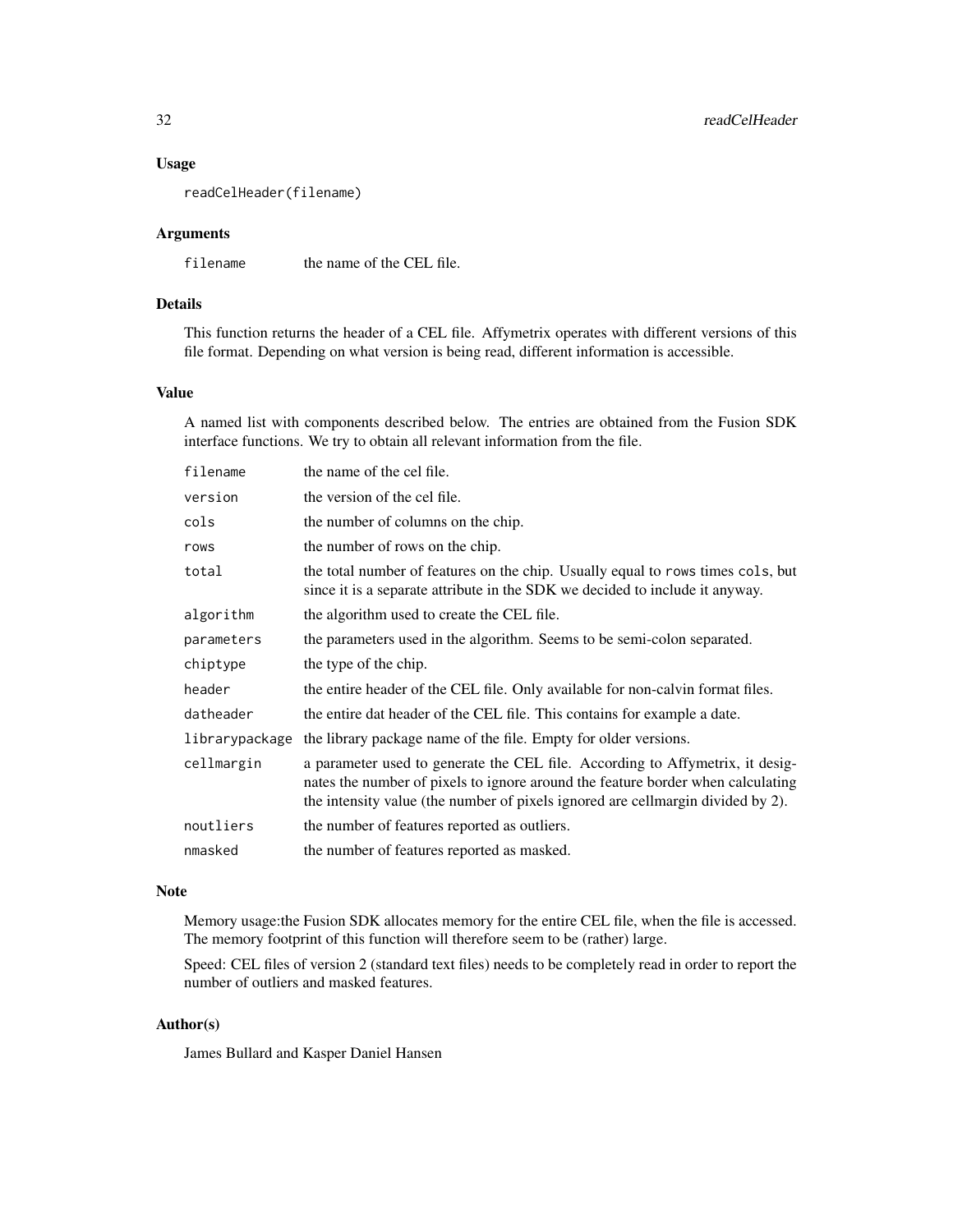#### Usage

readCelHeader(filename)

#### Arguments

filename the name of the CEL file.

## Details

This function returns the header of a CEL file. Affymetrix operates with different versions of this file format. Depending on what version is being read, different information is accessible.

## Value

A named list with components described below. The entries are obtained from the Fusion SDK interface functions. We try to obtain all relevant information from the file.

| filename       | the name of the cel file.                                                                                                                                                                                                                           |
|----------------|-----------------------------------------------------------------------------------------------------------------------------------------------------------------------------------------------------------------------------------------------------|
| version        | the version of the cel file.                                                                                                                                                                                                                        |
| cols           | the number of columns on the chip.                                                                                                                                                                                                                  |
| rows           | the number of rows on the chip.                                                                                                                                                                                                                     |
| total          | the total number of features on the chip. Usually equal to rows times cols, but<br>since it is a separate attribute in the SDK we decided to include it anyway.                                                                                     |
| algorithm      | the algorithm used to create the CEL file.                                                                                                                                                                                                          |
| parameters     | the parameters used in the algorithm. Seems to be semi-colon separated.                                                                                                                                                                             |
| chiptype       | the type of the chip.                                                                                                                                                                                                                               |
| header         | the entire header of the CEL file. Only available for non-calvin format files.                                                                                                                                                                      |
| datheader      | the entire dat header of the CEL file. This contains for example a date.                                                                                                                                                                            |
| librarypackage | the library package name of the file. Empty for older versions.                                                                                                                                                                                     |
| cellmargin     | a parameter used to generate the CEL file. According to Affymetrix, it desig-<br>nates the number of pixels to ignore around the feature border when calculating<br>the intensity value (the number of pixels ignored are cellmargin divided by 2). |
| noutliers      | the number of features reported as outliers.                                                                                                                                                                                                        |
| nmasked        | the number of features reported as masked.                                                                                                                                                                                                          |

## Note

Memory usage:the Fusion SDK allocates memory for the entire CEL file, when the file is accessed. The memory footprint of this function will therefore seem to be (rather) large.

Speed: CEL files of version 2 (standard text files) needs to be completely read in order to report the number of outliers and masked features.

## Author(s)

James Bullard and Kasper Daniel Hansen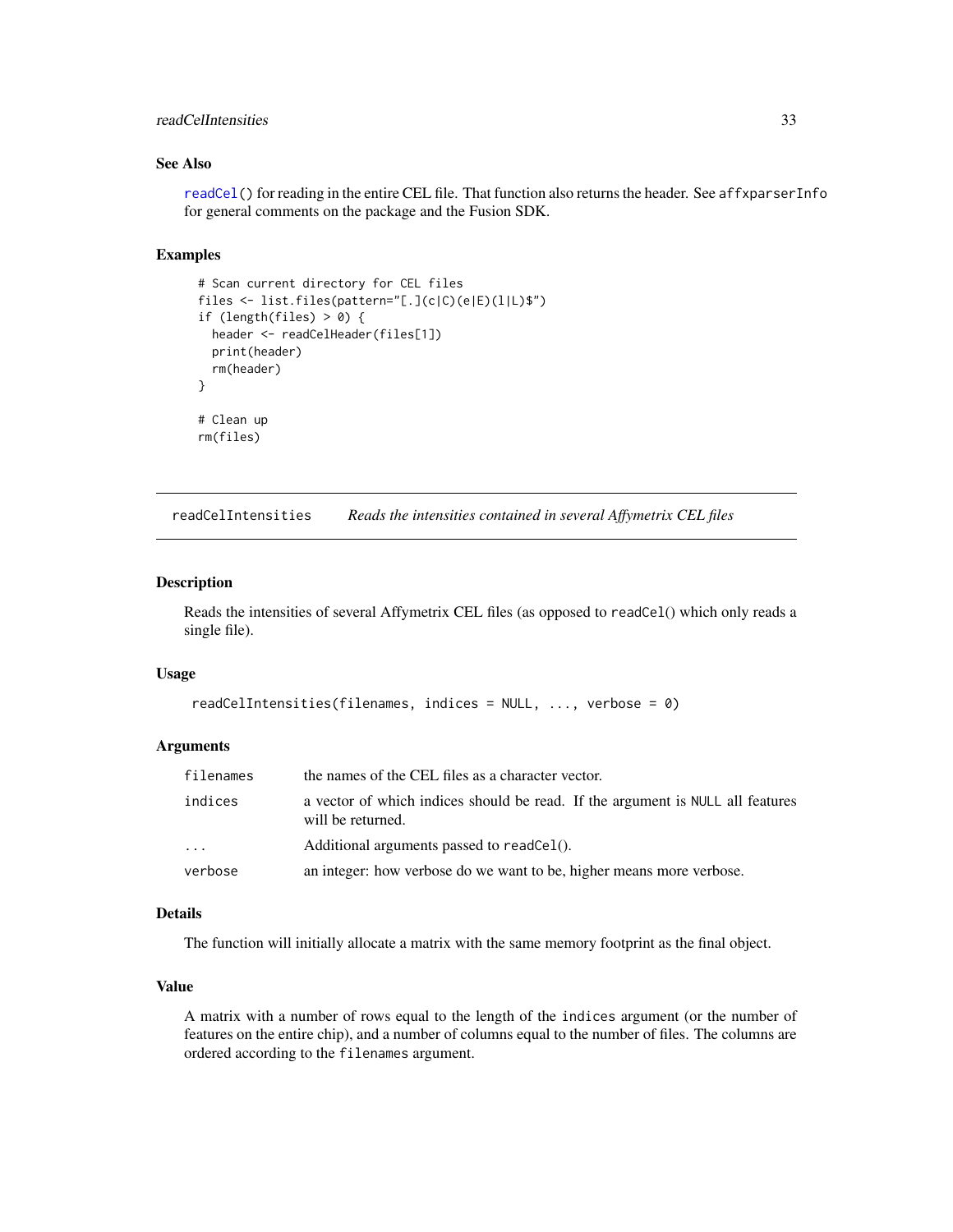## <span id="page-32-0"></span>readCelIntensities 33

## See Also

[readCel\(](#page-28-1)) for reading in the entire CEL file. That function also returns the header. See affxparserInfo for general comments on the package and the Fusion SDK.

## Examples

```
# Scan current directory for CEL files
files <- list.files(pattern="[.](c|C)(e|E)(l|L)$")
if (length(files) > 0) {
  header <- readCelHeader(files[1])
 print(header)
  rm(header)
}
# Clean up
rm(files)
```
<span id="page-32-1"></span>readCelIntensities *Reads the intensities contained in several Affymetrix CEL files*

## Description

Reads the intensities of several Affymetrix CEL files (as opposed to readCel() which only reads a single file).

#### Usage

```
readCelIntensities(filenames, indices = NULL, ..., verbose = 0)
```
#### **Arguments**

| filenames | the names of the CEL files as a character vector.                                                   |
|-----------|-----------------------------------------------------------------------------------------------------|
| indices   | a vector of which indices should be read. If the argument is NULL all features<br>will be returned. |
| $\cdots$  | Additional arguments passed to readCel().                                                           |
| verbose   | an integer: how verbose do we want to be, higher means more verbose.                                |

## Details

The function will initially allocate a matrix with the same memory footprint as the final object.

## Value

A matrix with a number of rows equal to the length of the indices argument (or the number of features on the entire chip), and a number of columns equal to the number of files. The columns are ordered according to the filenames argument.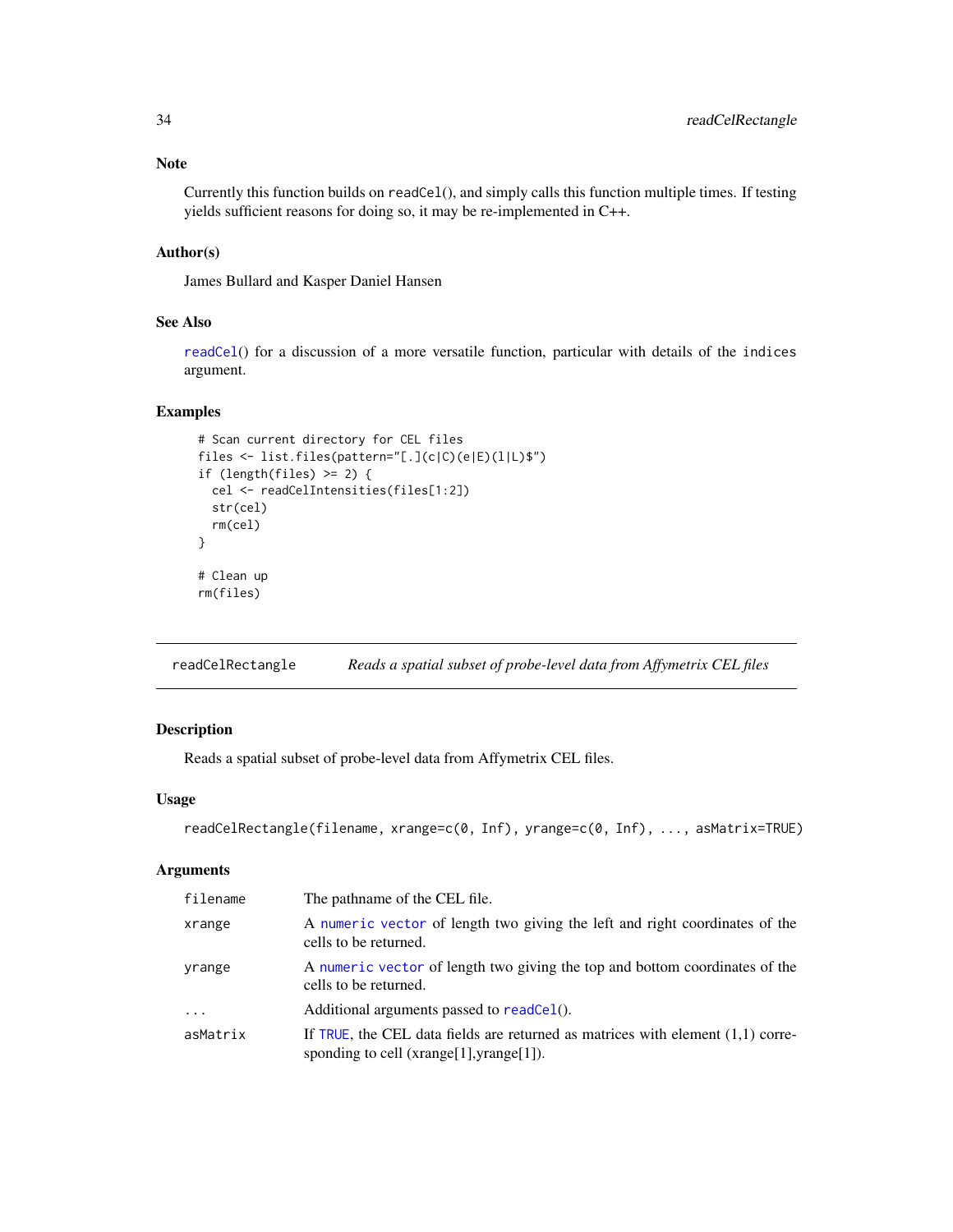## <span id="page-33-0"></span>Note

Currently this function builds on readCel(), and simply calls this function multiple times. If testing yields sufficient reasons for doing so, it may be re-implemented in C++.

## Author(s)

James Bullard and Kasper Daniel Hansen

## See Also

[readCel](#page-28-1)() for a discussion of a more versatile function, particular with details of the indices argument.

## Examples

```
# Scan current directory for CEL files
files <- list.files(pattern="[.](c|C)(e|E)(l|L)$")
if (length(files) > = 2) {
 cel <- readCelIntensities(files[1:2])
  str(cel)
  rm(cel)
}
# Clean up
rm(files)
```
readCelRectangle *Reads a spatial subset of probe-level data from Affymetrix CEL files*

## Description

Reads a spatial subset of probe-level data from Affymetrix CEL files.

## Usage

```
readCelRectangle(filename, xrange=c(0, Inf), yrange=c(0, Inf), ..., asMatrix=TRUE)
```
#### Arguments

| filename | The pathname of the CEL file.                                                                                                   |
|----------|---------------------------------------------------------------------------------------------------------------------------------|
| xrange   | A numeric vector of length two giving the left and right coordinates of the<br>cells to be returned.                            |
| yrange   | A numeric vector of length two giving the top and bottom coordinates of the<br>cells to be returned.                            |
| $\ddots$ | Additional arguments passed to readCel().                                                                                       |
| asMatrix | If TRUE, the CEL data fields are returned as matrices with element $(1,1)$ corre-<br>sponding to cell $(xrange[1],yrange[1])$ . |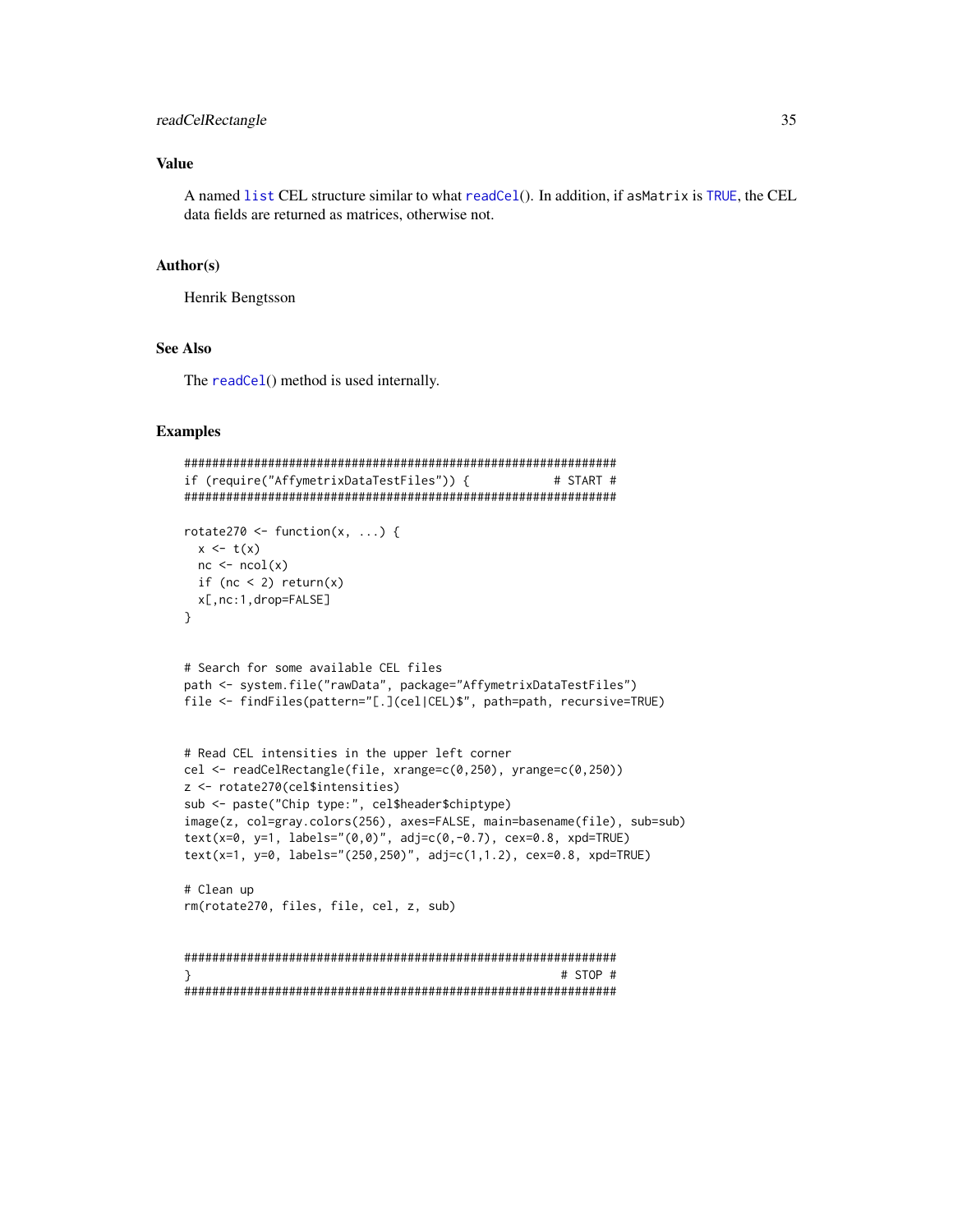## <span id="page-34-0"></span>readCelRectangle 35

## Value

A named [list](#page-0-0) CEL structure similar to what [readCel](#page-28-1)(). In addition, if asMatrix is [TRUE](#page-0-0), the CEL data fields are returned as matrices, otherwise not.

#### Author(s)

Henrik Bengtsson

#### See Also

The [readCel](#page-28-1)() method is used internally.

#### Examples

```
##############################################################
if (require("AffymetrixDataTestFiles")) { # START #
##############################################################
rotate270 <- function(x, ...) {
 x \leftarrow t(x)nc \leftarrow ncol(x)if (nc < 2) return(x)x[,nc:1,drop=FALSE]
}
# Search for some available CEL files
path <- system.file("rawData", package="AffymetrixDataTestFiles")
file <- findFiles(pattern="[.](cel|CEL)$", path=path, recursive=TRUE)
# Read CEL intensities in the upper left corner
cel <- readCelRectangle(file, xrange=c(0,250), yrange=c(0,250))
z <- rotate270(cel$intensities)
sub <- paste("Chip type:", cel$header$chiptype)
image(z, col=gray.colors(256), axes=FALSE, main=basename(file), sub=sub)
text(x=0, y=1, labels="(0,0)", adj=c(0,-0.7), cex=0.8, xpd=TRUE)
text(x=1, y=0, labels="(250,250)", adj=c(1,1.2), cex=0.8, xpd=TRUE)
# Clean up
rm(rotate270, files, file, cel, z, sub)
##############################################################
} # STOP #
##############################################################
```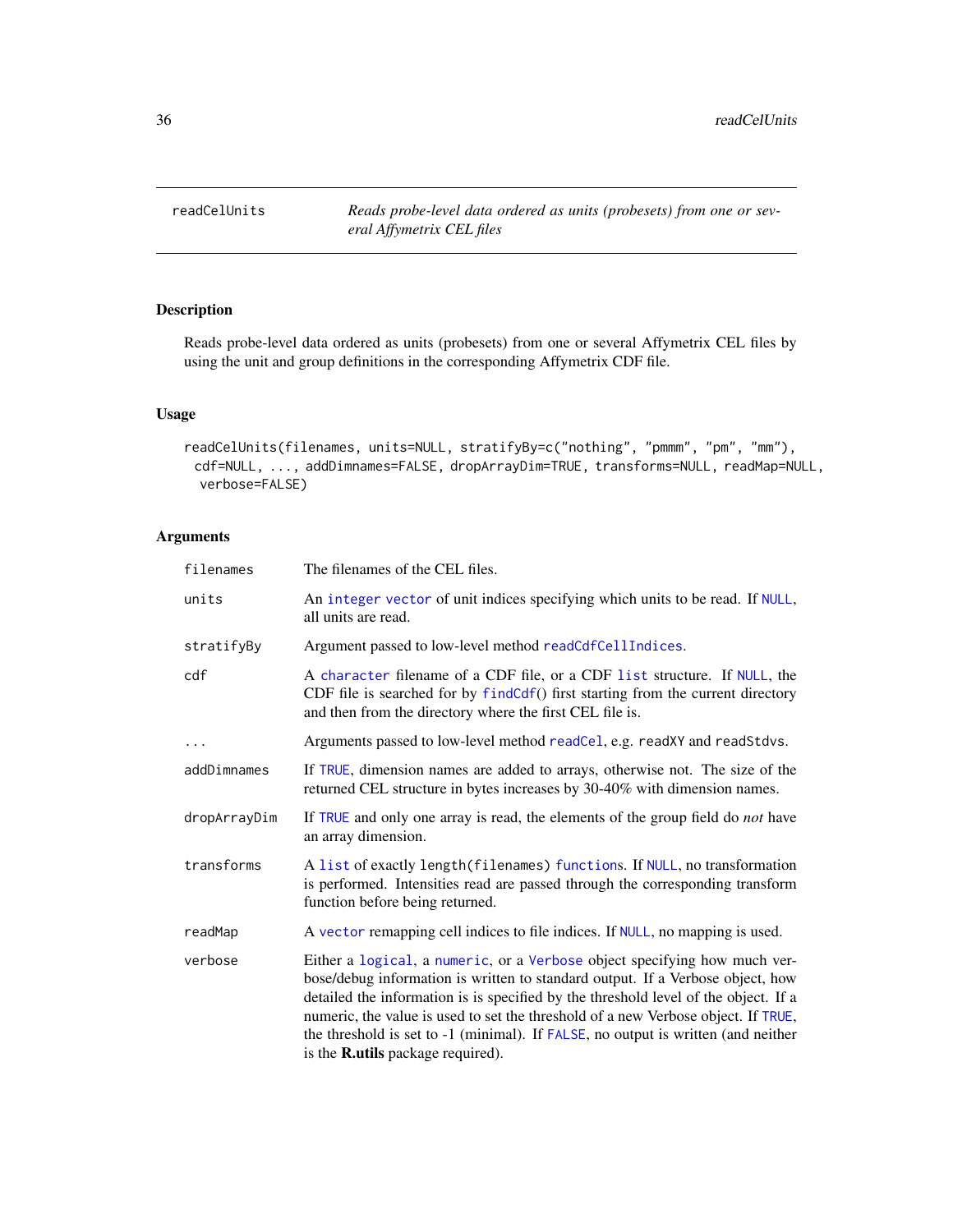<span id="page-35-1"></span><span id="page-35-0"></span>readCelUnits *Reads probe-level data ordered as units (probesets) from one or several Affymetrix CEL files*

## Description

Reads probe-level data ordered as units (probesets) from one or several Affymetrix CEL files by using the unit and group definitions in the corresponding Affymetrix CDF file.

## Usage

```
readCelUnits(filenames, units=NULL, stratifyBy=c("nothing", "pmmm", "pm", "mm"),
 cdf=NULL, ..., addDimnames=FALSE, dropArrayDim=TRUE, transforms=NULL, readMap=NULL,
  verbose=FALSE)
```
## Arguments

| filenames    | The filenames of the CEL files.                                                                                                                                                                                                                                                                                                                                                                                                                                          |
|--------------|--------------------------------------------------------------------------------------------------------------------------------------------------------------------------------------------------------------------------------------------------------------------------------------------------------------------------------------------------------------------------------------------------------------------------------------------------------------------------|
| units        | An integer vector of unit indices specifying which units to be read. If NULL,<br>all units are read.                                                                                                                                                                                                                                                                                                                                                                     |
| stratifyBy   | Argument passed to low-level method readCdfCellIndices.                                                                                                                                                                                                                                                                                                                                                                                                                  |
| cdf          | A character filename of a CDF file, or a CDF list structure. If NULL, the<br>CDF file is searched for by findCdf() first starting from the current directory<br>and then from the directory where the first CEL file is.                                                                                                                                                                                                                                                 |
| .            | Arguments passed to low-level method readCel, e.g. readXY and readStdvs.                                                                                                                                                                                                                                                                                                                                                                                                 |
| addDimnames  | If TRUE, dimension names are added to arrays, otherwise not. The size of the<br>returned CEL structure in bytes increases by 30-40% with dimension names.                                                                                                                                                                                                                                                                                                                |
| dropArrayDim | If TRUE and only one array is read, the elements of the group field do <i>not</i> have<br>an array dimension.                                                                                                                                                                                                                                                                                                                                                            |
| transforms   | A list of exactly length (filenames) functions. If NULL, no transformation<br>is performed. Intensities read are passed through the corresponding transform<br>function before being returned.                                                                                                                                                                                                                                                                           |
| readMap      | A vector remapping cell indices to file indices. If NULL, no mapping is used.                                                                                                                                                                                                                                                                                                                                                                                            |
| verbose      | Either a logical, a numeric, or a Verbose object specifying how much ver-<br>bose/debug information is written to standard output. If a Verbose object, how<br>detailed the information is is specified by the threshold level of the object. If a<br>numeric, the value is used to set the threshold of a new Verbose object. If TRUE,<br>the threshold is set to -1 (minimal). If FALSE, no output is written (and neither<br>is the <b>R.utils</b> package required). |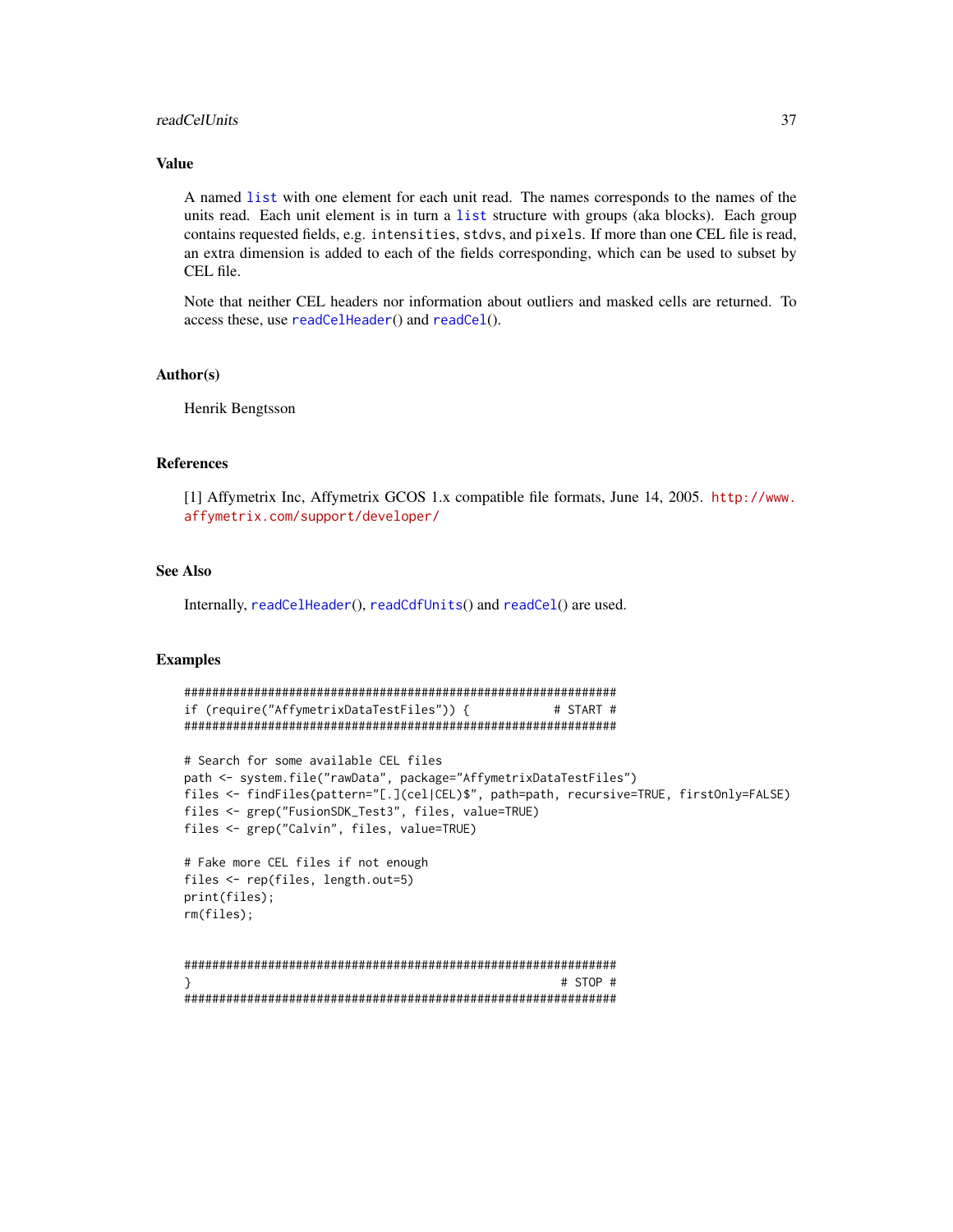#### <span id="page-36-0"></span>readCelUnits 37

## Value

A named [list](#page-0-0) with one element for each unit read. The names corresponds to the names of the units read. Each unit element is in turn a [list](#page-0-0) structure with groups (aka blocks). Each group contains requested fields, e.g. intensities, stdvs, and pixels. If more than one CEL file is read, an extra dimension is added to each of the fields corresponding, which can be used to subset by CEL file.

Note that neither CEL headers nor information about outliers and masked cells are returned. To access these, use [readCelHeader](#page-30-1)() and [readCel](#page-28-1)().

## Author(s)

Henrik Bengtsson

#### References

[1] Affymetrix Inc, Affymetrix GCOS 1.x compatible file formats, June 14, 2005. [http://www.](http://www.affymetrix.com/support/developer/) [affymetrix.com/support/developer/](http://www.affymetrix.com/support/developer/)

#### See Also

Internally, [readCelHeader](#page-30-1)(), [readCdfUnits](#page-26-1)() and [readCel](#page-28-1)() are used.

#### Examples

```
##############################################################
if (require("AffymetrixDataTestFiles")) { # START #
##############################################################
# Search for some available CEL files
path <- system.file("rawData", package="AffymetrixDataTestFiles")
files <- findFiles(pattern="[.](cel|CEL)$", path=path, recursive=TRUE, firstOnly=FALSE)
files <- grep("FusionSDK_Test3", files, value=TRUE)
files <- grep("Calvin", files, value=TRUE)
# Fake more CEL files if not enough
files <- rep(files, length.out=5)
print(files);
rm(files);
##############################################################
} # STOP #
##############################################################
```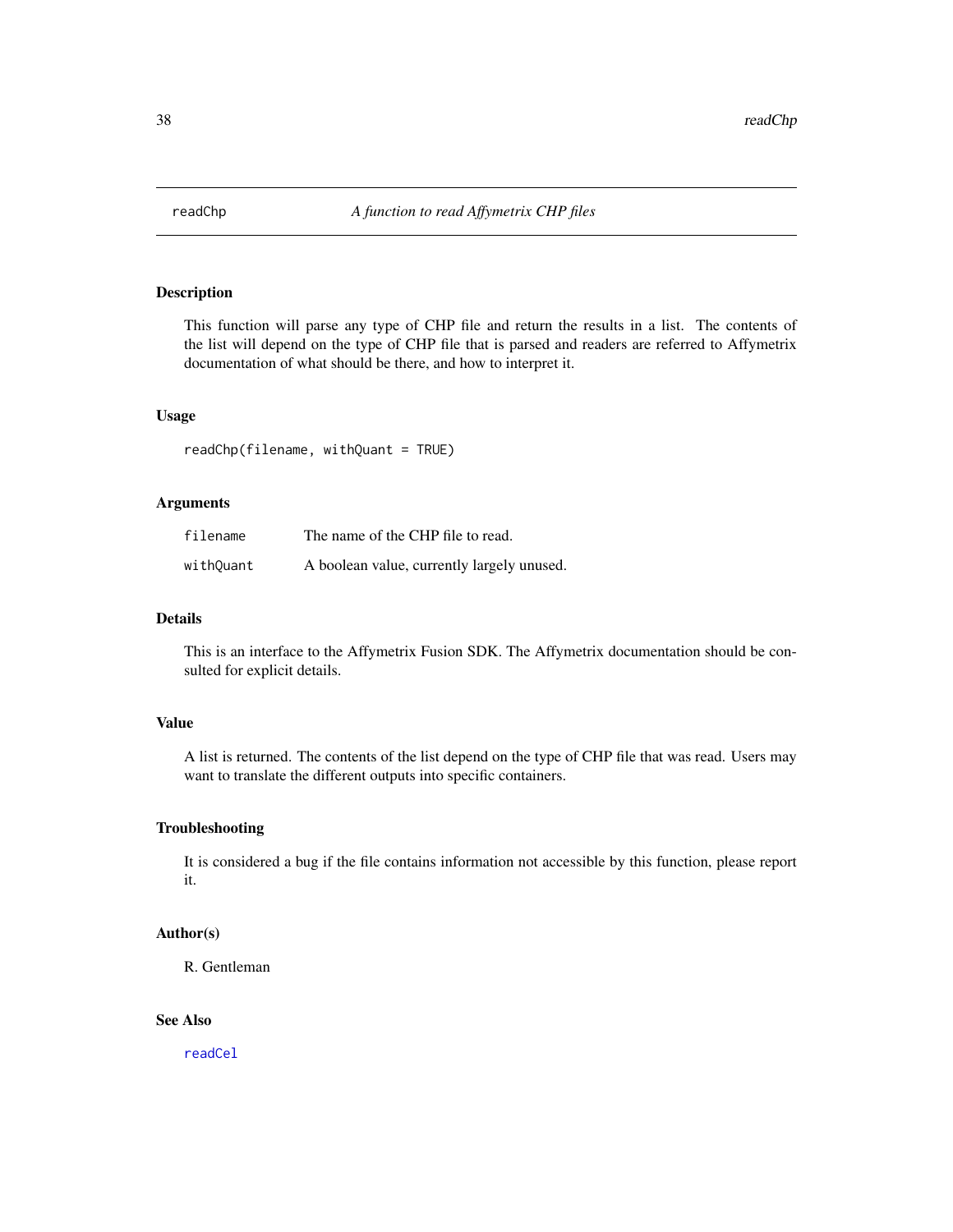<span id="page-37-0"></span>

This function will parse any type of CHP file and return the results in a list. The contents of the list will depend on the type of CHP file that is parsed and readers are referred to Affymetrix documentation of what should be there, and how to interpret it.

#### Usage

readChp(filename, withQuant = TRUE)

#### Arguments

| filename  | The name of the CHP file to read.          |
|-----------|--------------------------------------------|
| withQuant | A boolean value, currently largely unused. |

## Details

This is an interface to the Affymetrix Fusion SDK. The Affymetrix documentation should be consulted for explicit details.

#### Value

A list is returned. The contents of the list depend on the type of CHP file that was read. Users may want to translate the different outputs into specific containers.

#### Troubleshooting

It is considered a bug if the file contains information not accessible by this function, please report it.

#### Author(s)

R. Gentleman

## See Also

[readCel](#page-28-1)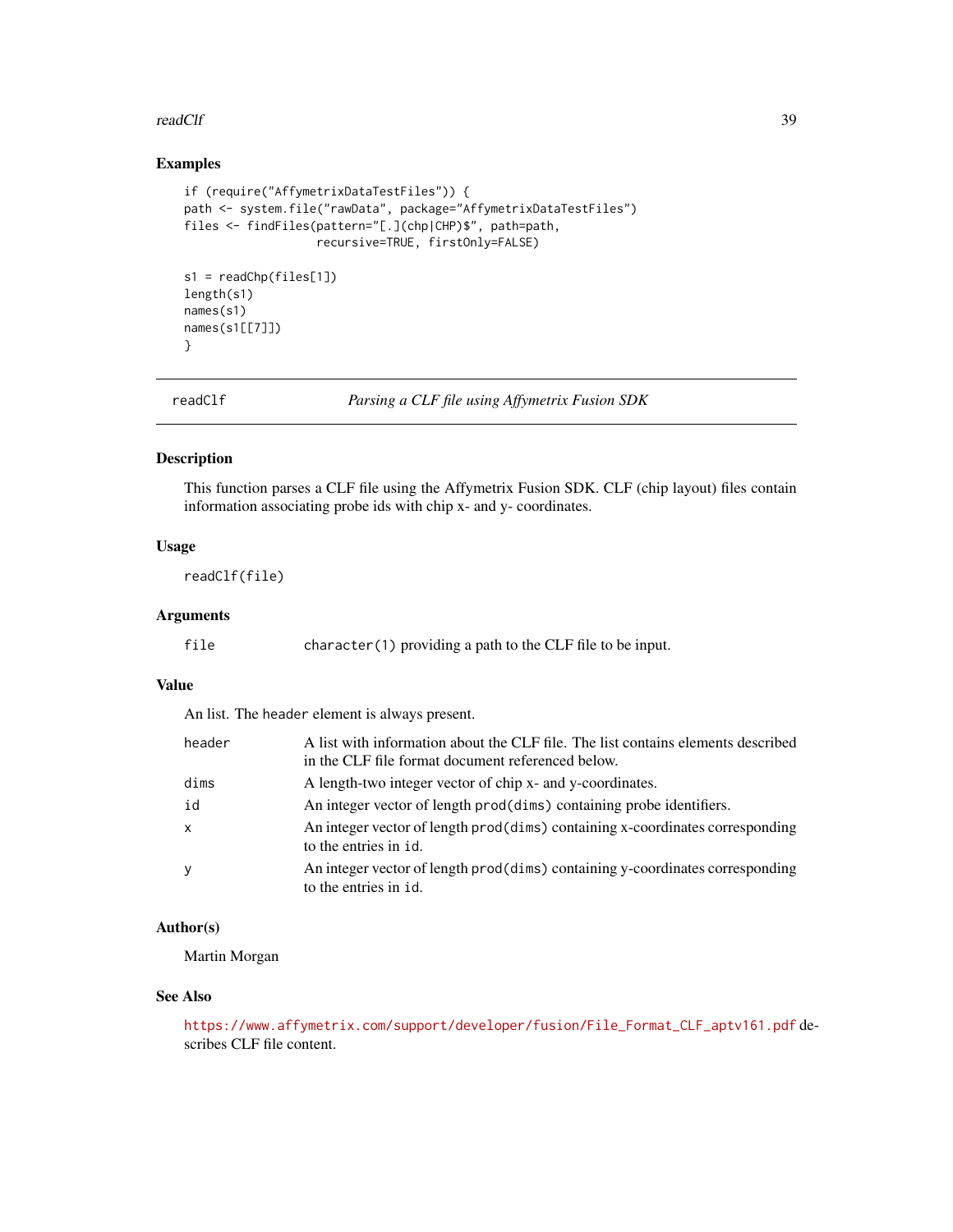#### <span id="page-38-0"></span>readClf 39

## Examples

```
if (require("AffymetrixDataTestFiles")) {
path <- system.file("rawData", package="AffymetrixDataTestFiles")
files <- findFiles(pattern="[.](chp|CHP)$", path=path,
                   recursive=TRUE, firstOnly=FALSE)
s1 = readChp(files[1])
length(s1)
names(s1)
names(s1[[7]])
```
}

readClf *Parsing a CLF file using Affymetrix Fusion SDK*

#### Description

This function parses a CLF file using the Affymetrix Fusion SDK. CLF (chip layout) files contain information associating probe ids with chip x- and y- coordinates.

## Usage

readClf(file)

## Arguments

 $character(1)$  providing a path to the CLF file to be input.

## Value

An list. The header element is always present.

| header | A list with information about the CLF file. The list contains elements described<br>in the CLF file format document referenced below. |
|--------|---------------------------------------------------------------------------------------------------------------------------------------|
| dims   | A length-two integer vector of chip x- and y-coordinates.                                                                             |
| id     | An integer vector of length prod(dims) containing probe identifiers.                                                                  |
| x      | An integer vector of length prod(dims) containing x-coordinates corresponding<br>to the entries in id.                                |
| y      | An integer vector of length prod(dims) containing y-coordinates corresponding<br>to the entries in id.                                |

## Author(s)

Martin Morgan

### See Also

[https://www.affymetrix.com/support/developer/fusion/File\\_Format\\_CLF\\_aptv161.pdf](https://www.affymetrix.com/support/developer/fusion/File_Format_CLF_aptv161.pdf) describes CLF file content.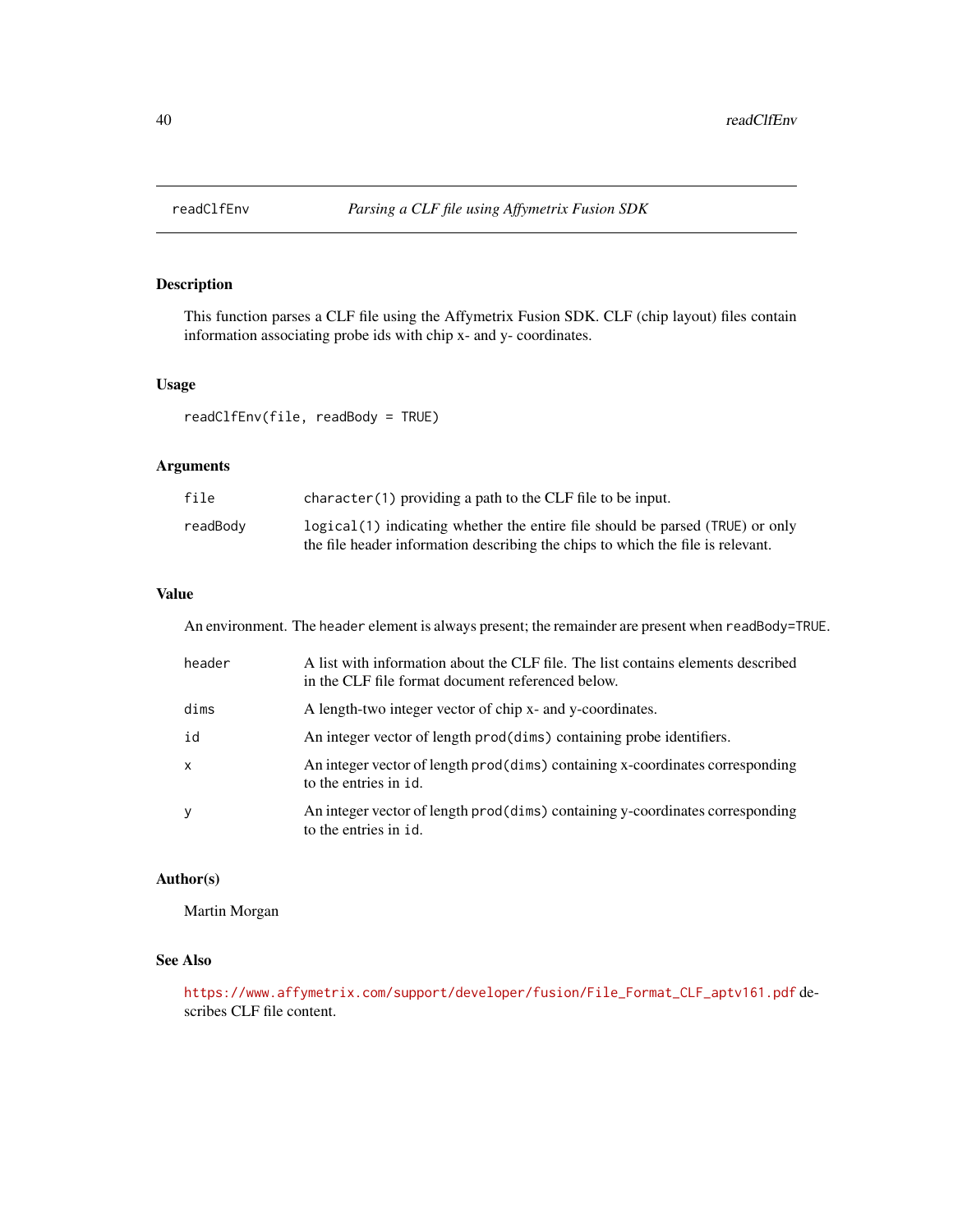<span id="page-39-1"></span><span id="page-39-0"></span>

This function parses a CLF file using the Affymetrix Fusion SDK. CLF (chip layout) files contain information associating probe ids with chip x- and y- coordinates.

## Usage

readClfEnv(file, readBody = TRUE)

## Arguments

| file     | $character(1)$ providing a path to the CLF file to be input.                    |
|----------|---------------------------------------------------------------------------------|
| readBody | $logical(1)$ indicating whether the entire file should be parsed (TRUE) or only |
|          | the file header information describing the chips to which the file is relevant. |

## Value

An environment. The header element is always present; the remainder are present when readBody=TRUE.

| header       | A list with information about the CLF file. The list contains elements described<br>in the CLF file format document referenced below. |
|--------------|---------------------------------------------------------------------------------------------------------------------------------------|
| dims         | A length-two integer vector of chip x- and y-coordinates.                                                                             |
| id           | An integer vector of length prod(dims) containing probe identifiers.                                                                  |
| $\mathsf{x}$ | An integer vector of length prod(dims) containing x-coordinates corresponding<br>to the entries in id.                                |
| У            | An integer vector of length prod(dims) containing y-coordinates corresponding<br>to the entries in id.                                |

#### Author(s)

Martin Morgan

## See Also

[https://www.affymetrix.com/support/developer/fusion/File\\_Format\\_CLF\\_aptv161.pdf](https://www.affymetrix.com/support/developer/fusion/File_Format_CLF_aptv161.pdf) describes CLF file content.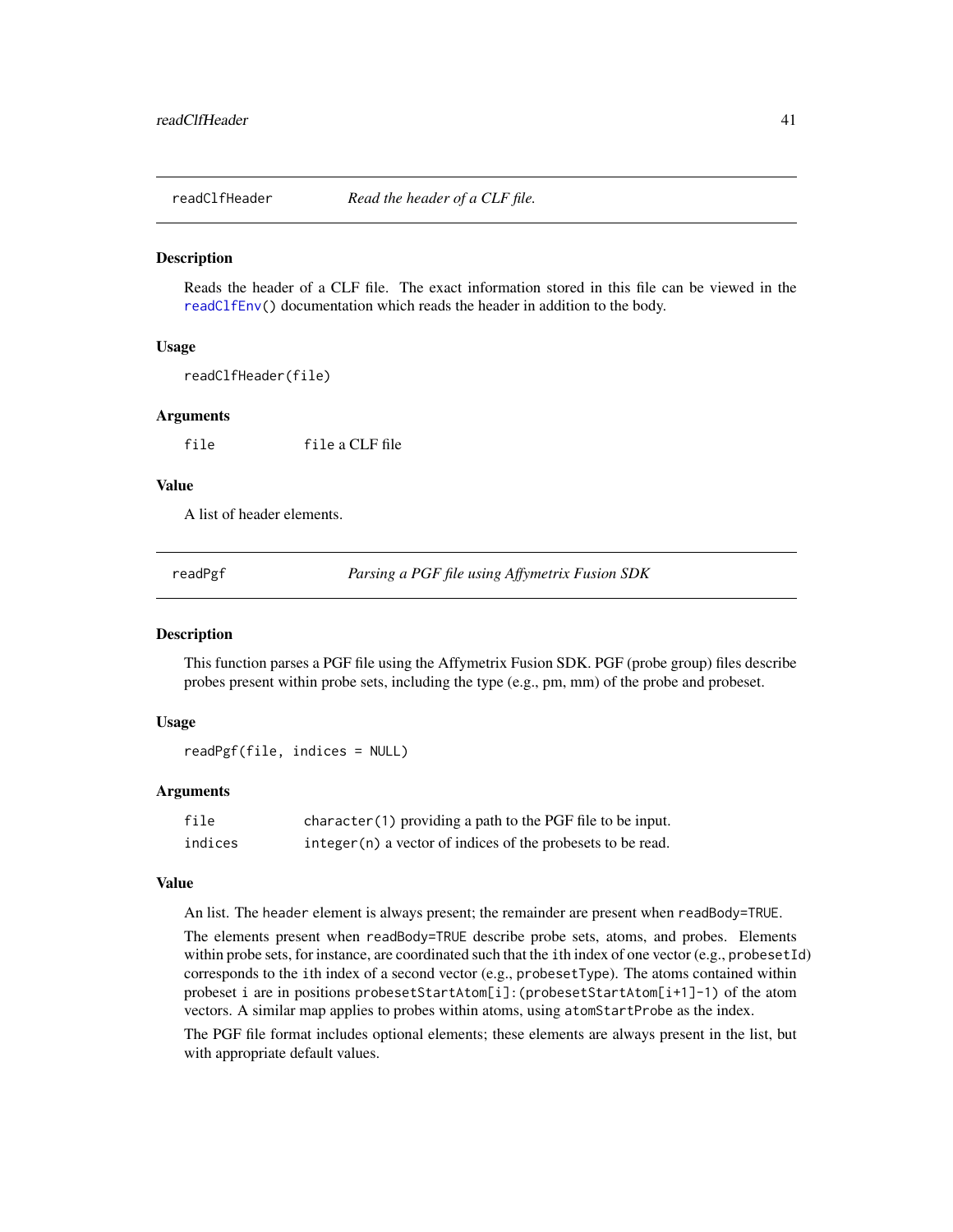<span id="page-40-0"></span>

Reads the header of a CLF file. The exact information stored in this file can be viewed in the [readClfEnv\(](#page-39-1)) documentation which reads the header in addition to the body.

#### Usage

readClfHeader(file)

#### Arguments

file file a CLF file

#### Value

A list of header elements.

readPgf *Parsing a PGF file using Affymetrix Fusion SDK*

#### Description

This function parses a PGF file using the Affymetrix Fusion SDK. PGF (probe group) files describe probes present within probe sets, including the type (e.g., pm, mm) of the probe and probeset.

#### Usage

```
readPgf(file, indices = NULL)
```
#### Arguments

| file    | $character(1)$ providing a path to the PGF file to be input.  |
|---------|---------------------------------------------------------------|
| indices | $integer(n)$ a vector of indices of the probesets to be read. |

#### Value

An list. The header element is always present; the remainder are present when readBody=TRUE.

The elements present when readBody=TRUE describe probe sets, atoms, and probes. Elements within probe sets, for instance, are coordinated such that the ith index of one vector (e.g., probesetId) corresponds to the ith index of a second vector (e.g., probesetType). The atoms contained within probeset i are in positions probesetStartAtom[i]:(probesetStartAtom[i+1]-1) of the atom vectors. A similar map applies to probes within atoms, using atomStartProbe as the index.

The PGF file format includes optional elements; these elements are always present in the list, but with appropriate default values.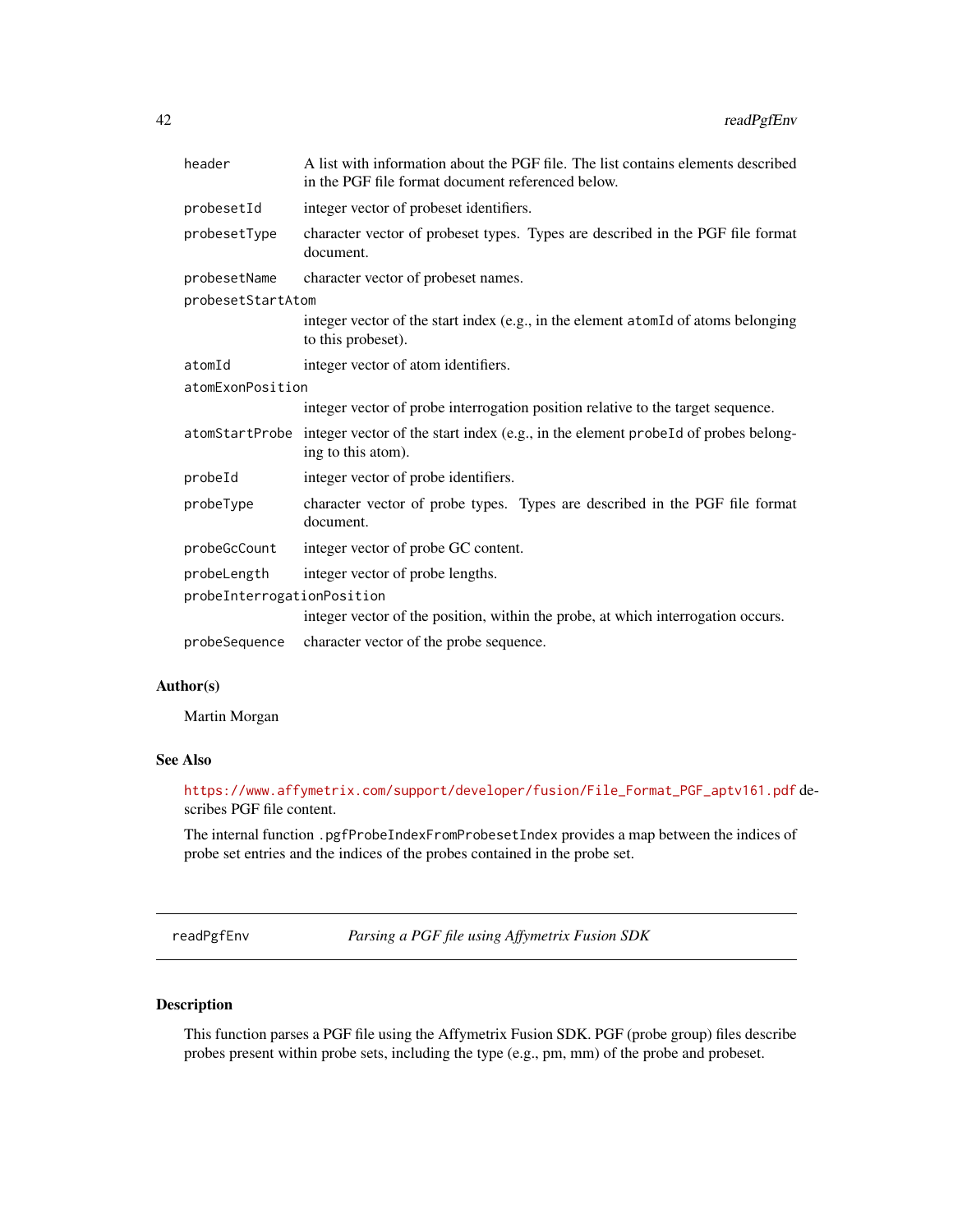<span id="page-41-0"></span>

| header                     | A list with information about the PGF file. The list contains elements described<br>in the PGF file format document referenced below. |
|----------------------------|---------------------------------------------------------------------------------------------------------------------------------------|
| probesetId                 | integer vector of probeset identifiers.                                                                                               |
| probesetType               | character vector of probeset types. Types are described in the PGF file format<br>document.                                           |
| probesetName               | character vector of probeset names.                                                                                                   |
| probesetStartAtom          |                                                                                                                                       |
|                            | integer vector of the start index (e.g., in the element atomId of atoms belonging<br>to this probeset).                               |
| atomId                     | integer vector of atom identifiers.                                                                                                   |
| atomExonPosition           |                                                                                                                                       |
|                            | integer vector of probe interrogation position relative to the target sequence.                                                       |
|                            | atomStartProbe integer vector of the start index (e.g., in the element probeId of probes belong-<br>ing to this atom).                |
| probeId                    | integer vector of probe identifiers.                                                                                                  |
| probeType                  | character vector of probe types. Types are described in the PGF file format<br>document.                                              |
| probeGcCount               | integer vector of probe GC content.                                                                                                   |
| probeLength                | integer vector of probe lengths.                                                                                                      |
| probeInterrogationPosition |                                                                                                                                       |
|                            | integer vector of the position, within the probe, at which interrogation occurs.                                                      |
| probeSequence              | character vector of the probe sequence.                                                                                               |

## Author(s)

Martin Morgan

## See Also

[https://www.affymetrix.com/support/developer/fusion/File\\_Format\\_PGF\\_aptv161.pdf](https://www.affymetrix.com/support/developer/fusion/File_Format_PGF_aptv161.pdf) describes PGF file content.

The internal function .pgfProbeIndexFromProbesetIndex provides a map between the indices of probe set entries and the indices of the probes contained in the probe set.

readPgfEnv *Parsing a PGF file using Affymetrix Fusion SDK*

## Description

This function parses a PGF file using the Affymetrix Fusion SDK. PGF (probe group) files describe probes present within probe sets, including the type (e.g., pm, mm) of the probe and probeset.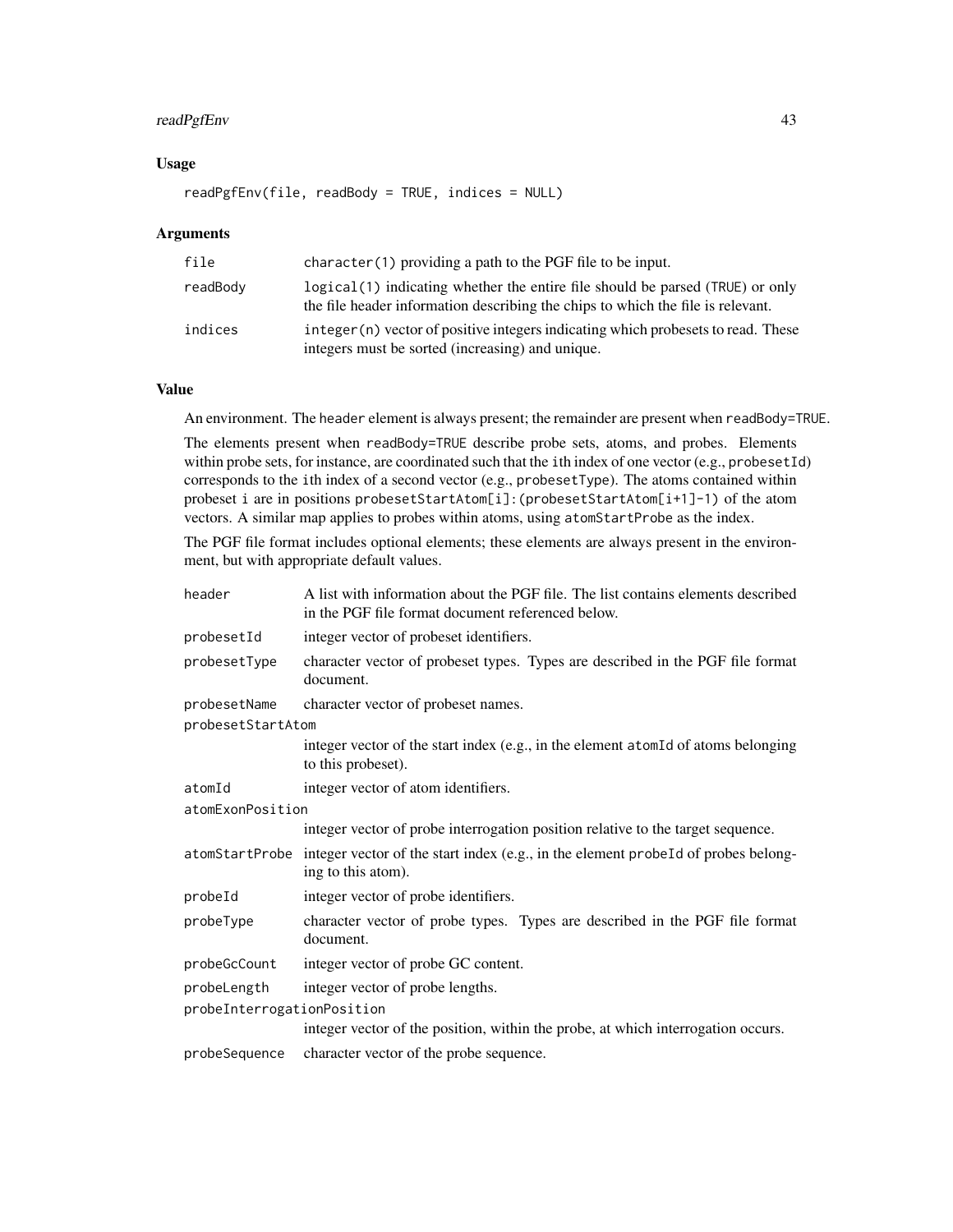## readPgfEnv 43

## Usage

```
readPgfEnv(file, readBody = TRUE, indices = NULL)
```
#### Arguments

| file     | $character(1)$ providing a path to the PGF file to be input.                                                                                                      |
|----------|-------------------------------------------------------------------------------------------------------------------------------------------------------------------|
| readBody | logical (1) indicating whether the entire file should be parsed (TRUE) or only<br>the file header information describing the chips to which the file is relevant. |
| indices  | integer (n) vector of positive integers indicating which probesets to read. These<br>integers must be sorted (increasing) and unique.                             |

### Value

An environment. The header element is always present; the remainder are present when readBody=TRUE.

The elements present when readBody=TRUE describe probe sets, atoms, and probes. Elements within probe sets, for instance, are coordinated such that the ith index of one vector (e.g., probesetId) corresponds to the ith index of a second vector (e.g., probesetType). The atoms contained within probeset i are in positions probesetStartAtom[i]:(probesetStartAtom[i+1]-1) of the atom vectors. A similar map applies to probes within atoms, using atomStartProbe as the index.

The PGF file format includes optional elements; these elements are always present in the environment, but with appropriate default values.

| header                     | A list with information about the PGF file. The list contains elements described<br>in the PGF file format document referenced below. |
|----------------------------|---------------------------------------------------------------------------------------------------------------------------------------|
| probesetId                 | integer vector of probeset identifiers.                                                                                               |
| probesetType               | character vector of probeset types. Types are described in the PGF file format<br>document.                                           |
| probesetName               | character vector of probeset names.                                                                                                   |
| probesetStartAtom          |                                                                                                                                       |
|                            | integer vector of the start index (e.g., in the element atomId of atoms belonging<br>to this probeset).                               |
| atomId                     | integer vector of atom identifiers.                                                                                                   |
| atomExonPosition           |                                                                                                                                       |
|                            | integer vector of probe interrogation position relative to the target sequence.                                                       |
|                            | atomStartProbe integer vector of the start index (e.g., in the element probeId of probes belong-<br>ing to this atom).                |
| probeId                    | integer vector of probe identifiers.                                                                                                  |
| probeType                  | character vector of probe types. Types are described in the PGF file format<br>document.                                              |
| probeGcCount               | integer vector of probe GC content.                                                                                                   |
| probeLength                | integer vector of probe lengths.                                                                                                      |
| probeInterrogationPosition |                                                                                                                                       |
|                            | integer vector of the position, within the probe, at which interrogation occurs.                                                      |
| probeSequence              | character vector of the probe sequence.                                                                                               |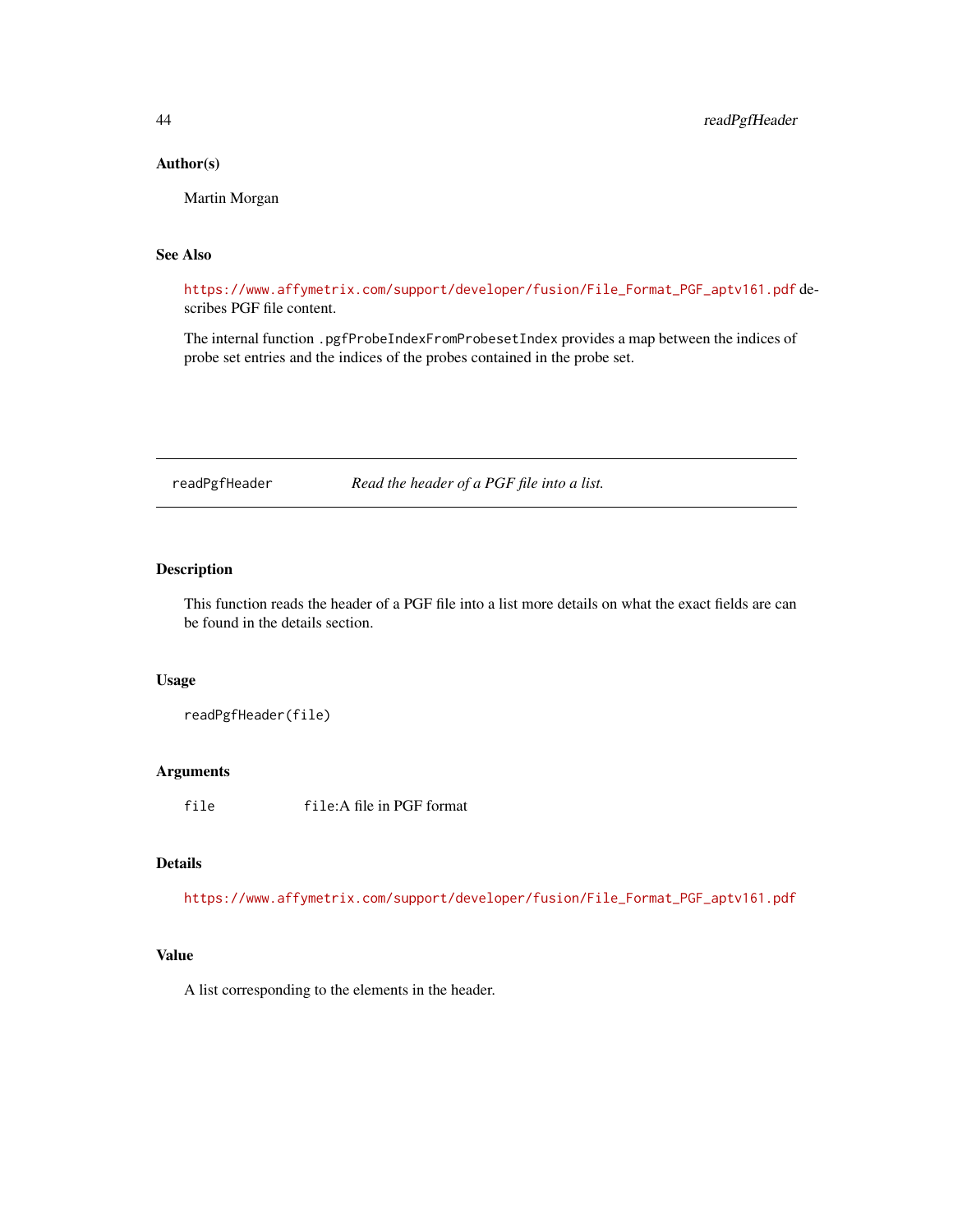## <span id="page-43-0"></span>Author(s)

Martin Morgan

## See Also

[https://www.affymetrix.com/support/developer/fusion/File\\_Format\\_PGF\\_aptv161.pdf](https://www.affymetrix.com/support/developer/fusion/File_Format_PGF_aptv161.pdf) describes PGF file content.

The internal function .pgfProbeIndexFromProbesetIndex provides a map between the indices of probe set entries and the indices of the probes contained in the probe set.

readPgfHeader *Read the header of a PGF file into a list.*

## Description

This function reads the header of a PGF file into a list more details on what the exact fields are can be found in the details section.

#### Usage

readPgfHeader(file)

#### Arguments

file file:A file in PGF format

## Details

[https://www.affymetrix.com/support/developer/fusion/File\\_Format\\_PGF\\_aptv161.pdf](https://www.affymetrix.com/support/developer/fusion/File_Format_PGF_aptv161.pdf)

## Value

A list corresponding to the elements in the header.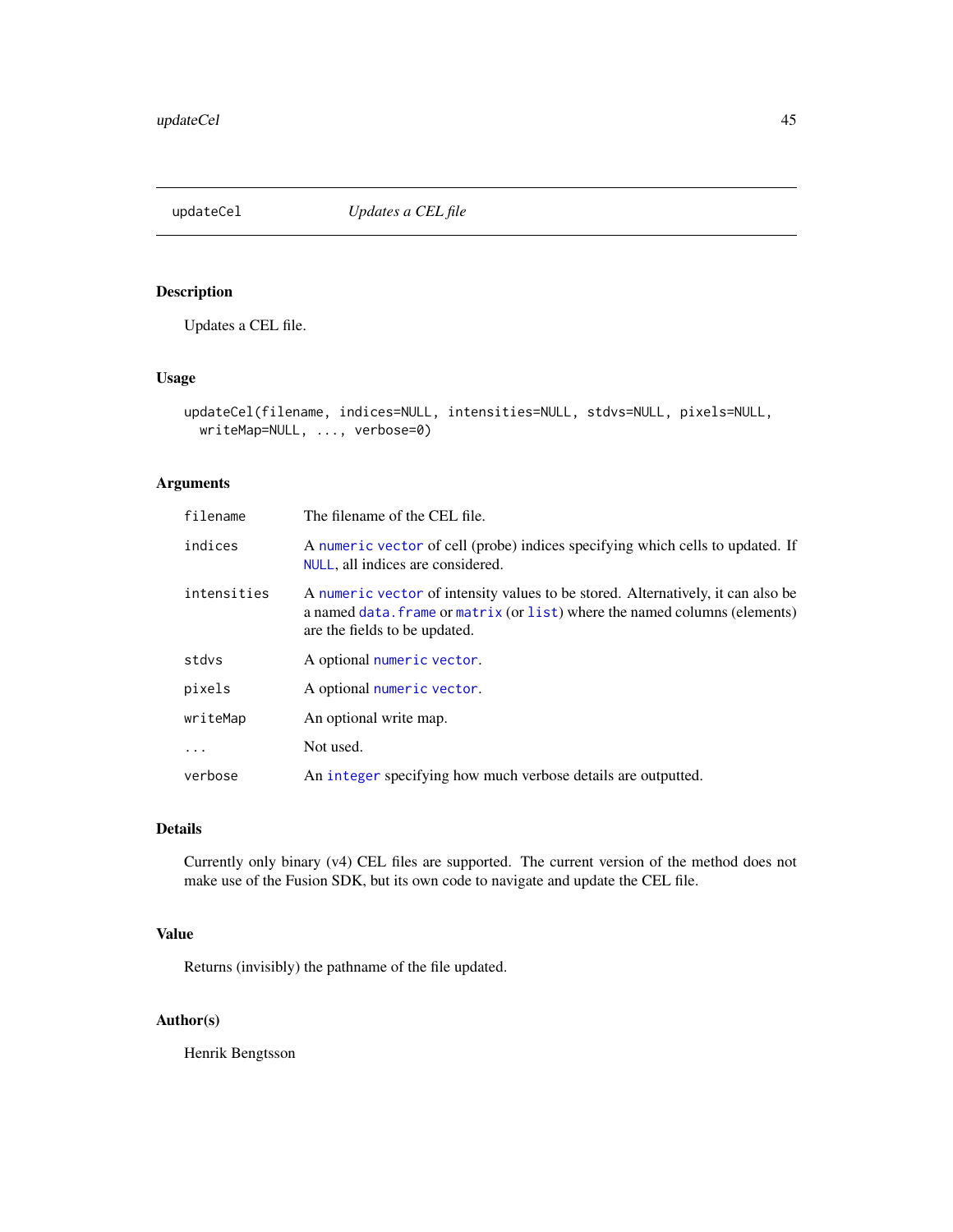<span id="page-44-1"></span><span id="page-44-0"></span>updateCel *Updates a CEL file*

## Description

Updates a CEL file.

## Usage

```
updateCel(filename, indices=NULL, intensities=NULL, stdvs=NULL, pixels=NULL,
 writeMap=NULL, ..., verbose=0)
```
## Arguments

| filename    | The filename of the CEL file.                                                                                                                                                                   |  |
|-------------|-------------------------------------------------------------------------------------------------------------------------------------------------------------------------------------------------|--|
| indices     | A numeric vector of cell (probe) indices specifying which cells to updated. If<br>NULL, all indices are considered.                                                                             |  |
| intensities | A numeric vector of intensity values to be stored. Alternatively, it can also be<br>a named data. frame or matrix (or list) where the named columns (elements)<br>are the fields to be updated. |  |
| stdvs       | A optional numeric vector.                                                                                                                                                                      |  |
| pixels      | A optional numeric vector.                                                                                                                                                                      |  |
| writeMap    | An optional write map.                                                                                                                                                                          |  |
| $\ddots$ .  | Not used.                                                                                                                                                                                       |  |
| verbose     | An integer specifying how much verbose details are outputted.                                                                                                                                   |  |

## Details

Currently only binary (v4) CEL files are supported. The current version of the method does not make use of the Fusion SDK, but its own code to navigate and update the CEL file.

## Value

Returns (invisibly) the pathname of the file updated.

## Author(s)

Henrik Bengtsson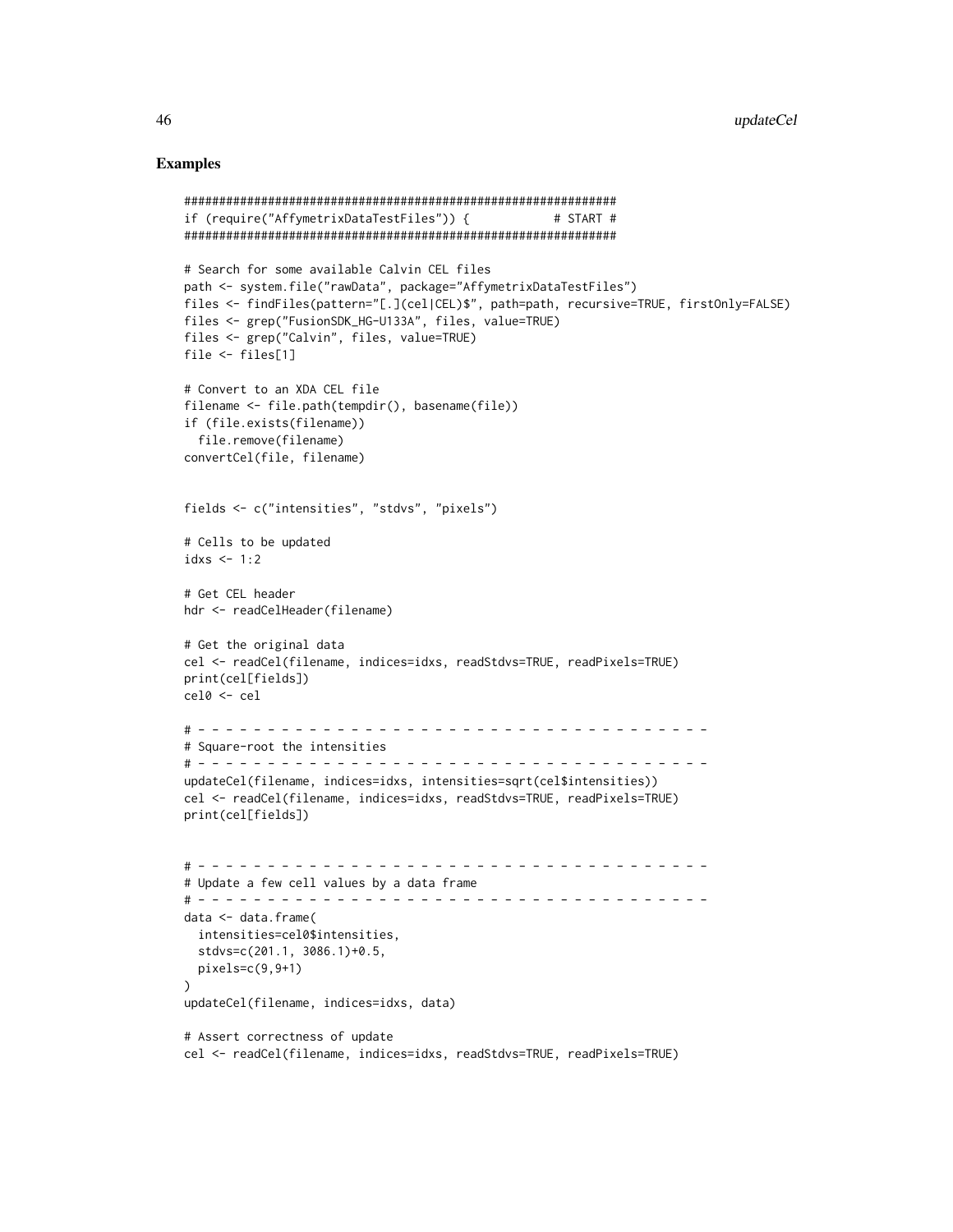### Examples

```
##############################################################
if (require("AffymetrixDataTestFiles")) { # START #
##############################################################
# Search for some available Calvin CEL files
path <- system.file("rawData", package="AffymetrixDataTestFiles")
files <- findFiles(pattern="[.](cel|CEL)$", path=path, recursive=TRUE, firstOnly=FALSE)
files <- grep("FusionSDK_HG-U133A", files, value=TRUE)
files <- grep("Calvin", files, value=TRUE)
file <- files[1]
# Convert to an XDA CEL file
filename <- file.path(tempdir(), basename(file))
if (file.exists(filename))
  file.remove(filename)
convertCel(file, filename)
fields <- c("intensities", "stdvs", "pixels")
# Cells to be updated
idxs \leq -1:2# Get CEL header
hdr <- readCelHeader(filename)
# Get the original data
cel <- readCel(filename, indices=idxs, readStdvs=TRUE, readPixels=TRUE)
print(cel[fields])
cel0 <- cel
# - - - - - - - - - - - - - - - - - - - - - - - - - - - - - - - - - - - - -
# Square-root the intensities
# - - - - - - - - - - - - - - - - - - - - - - - - - - - - - - - - - - - - -
updateCel(filename, indices=idxs, intensities=sqrt(cel$intensities))
cel <- readCel(filename, indices=idxs, readStdvs=TRUE, readPixels=TRUE)
print(cel[fields])
# - - - - - - - - - - - - - - - - - - - - - - - - - - - - - - - - - - - - -
# Update a few cell values by a data frame
# - - - - - - - - - - - - - - - - - - - - - - - - - - - - - - - - - - - - -
data <- data.frame(
  intensities=cel0$intensities,
  stdvs=c(201.1, 3086.1)+0.5,
  pixels=c(9,9+1)
)
updateCel(filename, indices=idxs, data)
# Assert correctness of update
cel <- readCel(filename, indices=idxs, readStdvs=TRUE, readPixels=TRUE)
```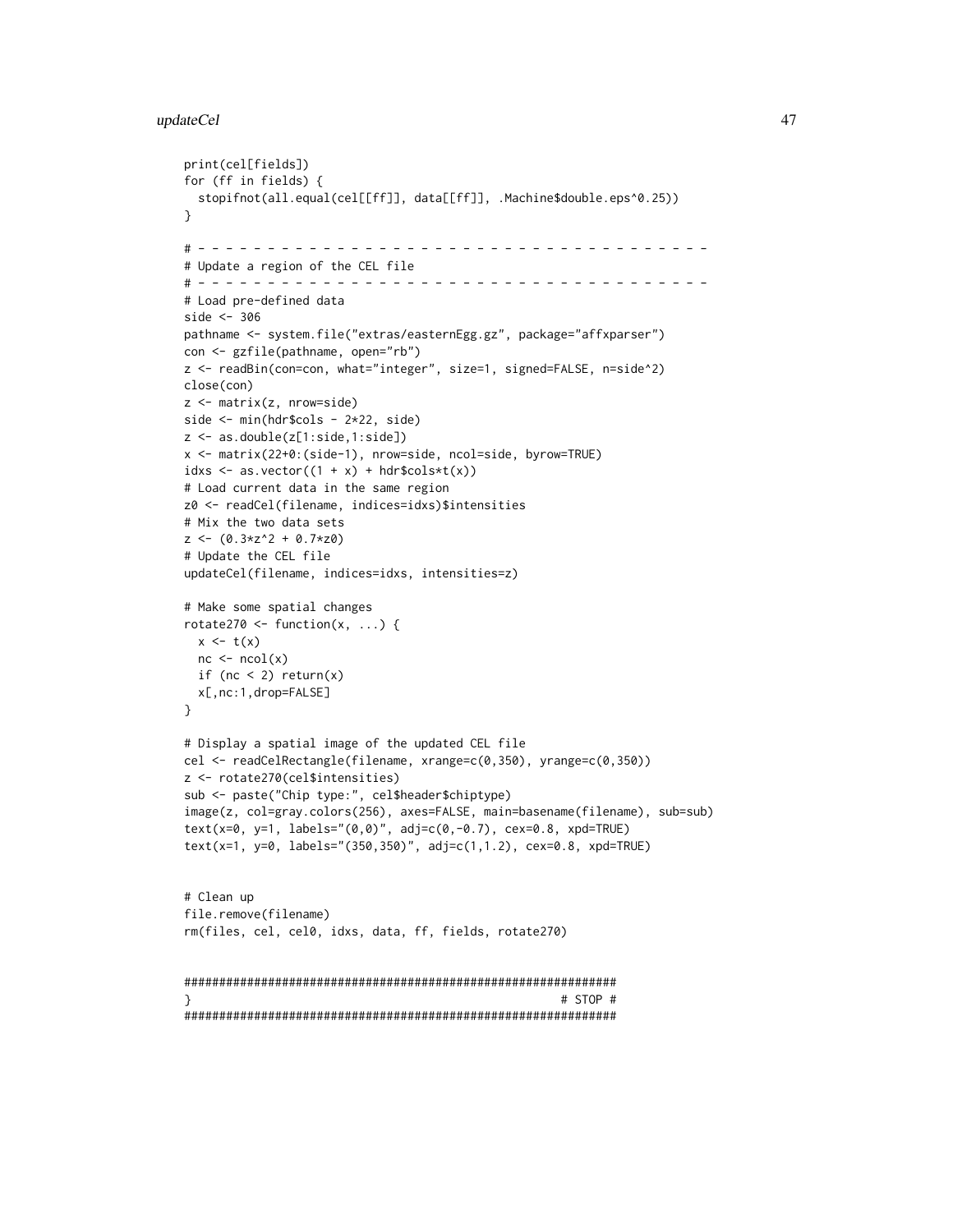#### updateCel 47

print(cel[fields])

```
for (ff in fields) {
 stopifnot(all.equal(cel[[ff]], data[[ff]], .Machine$double.eps^0.25))
}
# - - - - - - - - - - - - - - - - - - - - - - - - - - - - - - - - - - - - -
# Update a region of the CEL file
# - - - - - - - - - - - - - - - - - - - - - - - - - - - - - - - - - - - - -
# Load pre-defined data
side <- 306
pathname <- system.file("extras/easternEgg.gz", package="affxparser")
con <- gzfile(pathname, open="rb")
z <- readBin(con=con, what="integer", size=1, signed=FALSE, n=side^2)
close(con)
z <- matrix(z, nrow=side)
side <- min(hdr$cols - 2*22, side)
z <- as.double(z[1:side,1:side])
x <- matrix(22+0:(side-1), nrow=side, ncol=side, byrow=TRUE)
idxs \leq as.vector((1 + x) + hdr$cols*t(x))
# Load current data in the same region
z0 <- readCel(filename, indices=idxs)$intensities
# Mix the two data sets
z \leftarrow (0.3*z^2 + 0.7*z0)# Update the CEL file
updateCel(filename, indices=idxs, intensities=z)
# Make some spatial changes
rotate270 <- function(x, ...) {
 x \leftarrow t(x)nc \leftarrow ncol(x)if (nc < 2) return(x)
 x[,nc:1,drop=FALSE]
}
# Display a spatial image of the updated CEL file
cel <- readCelRectangle(filename, xrange=c(0,350), yrange=c(0,350))
z <- rotate270(cel$intensities)
sub <- paste("Chip type:", cel$header$chiptype)
image(z, col=gray.colors(256), axes=FALSE, main=basename(filename), sub=sub)
text(x=0, y=1, labels="(0,0)", adj=c(0,-0.7), cex=0.8, xpd=TRUE)
text(x=1, y=0, labels="(350,350)", adj=c(1,1.2), cex=0.8, xpd=TRUE)
# Clean up
file.remove(filename)
rm(files, cel, cel0, idxs, data, ff, fields, rotate270)
##############################################################
} # STOP #
##############################################################
```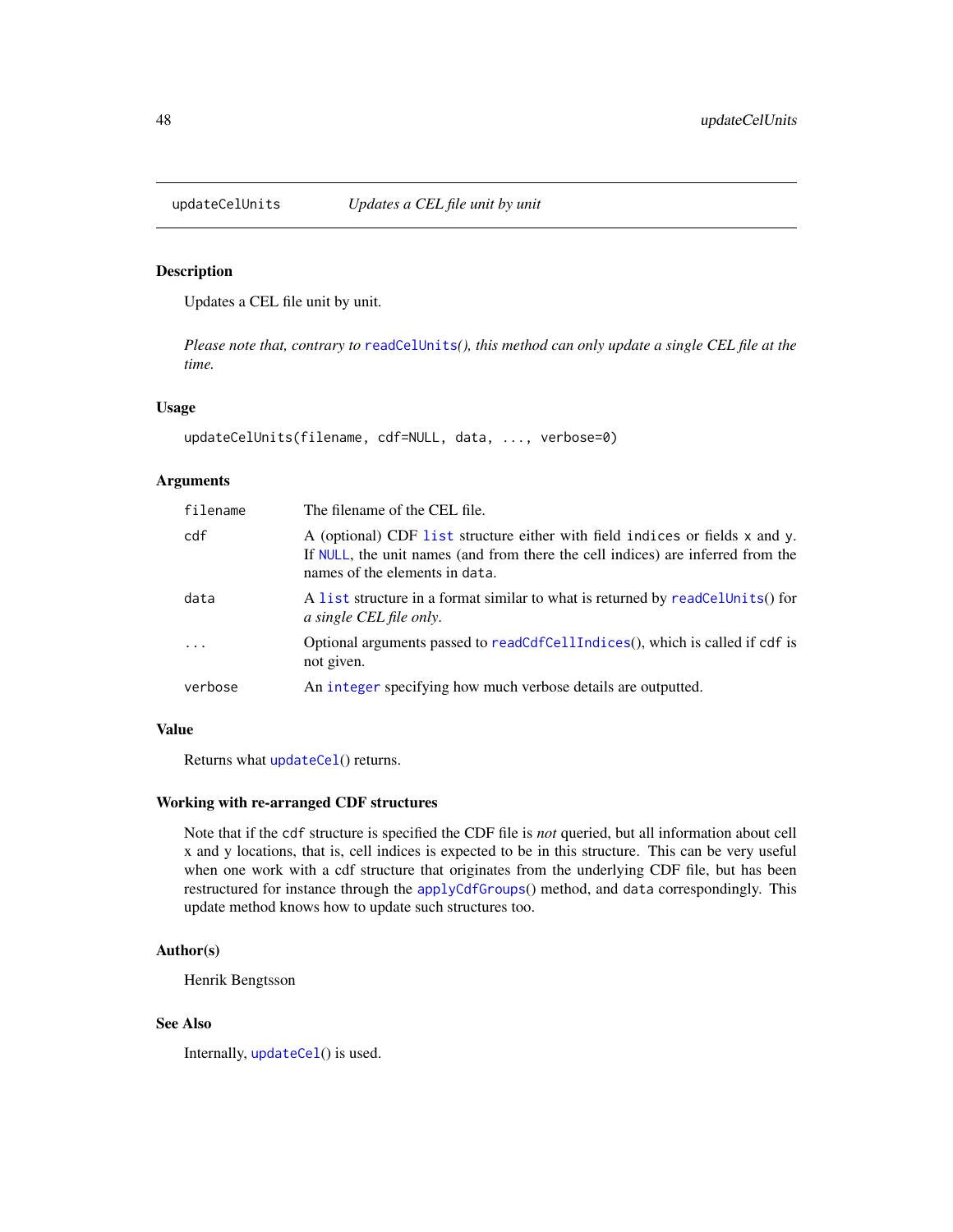<span id="page-47-0"></span>

Updates a CEL file unit by unit.

*Please note that, contrary to* [readCelUnits](#page-35-1)*(), this method can only update a single CEL file at the time.*

#### Usage

```
updateCelUnits(filename, cdf=NULL, data, ..., verbose=0)
```
## Arguments

| filename  | The filename of the CEL file.                                                                                                                                                                     |
|-----------|---------------------------------------------------------------------------------------------------------------------------------------------------------------------------------------------------|
| cdf       | A (optional) CDF list structure either with field indices or fields x and y.<br>If NULL, the unit names (and from there the cell indices) are inferred from the<br>names of the elements in data. |
| data      | A list structure in a format similar to what is returned by readCelUnits() for<br>a single CEL file only.                                                                                         |
| $\ddotsc$ | Optional arguments passed to readCdfCellIndices(), which is called if cdf is<br>not given.                                                                                                        |
| verbose   | An integer specifying how much verbose details are outputted.                                                                                                                                     |

## Value

Returns what [updateCel](#page-44-1)() returns.

## Working with re-arranged CDF structures

Note that if the cdf structure is specified the CDF file is *not* queried, but all information about cell x and y locations, that is, cell indices is expected to be in this structure. This can be very useful when one work with a cdf structure that originates from the underlying CDF file, but has been restructured for instance through the [applyCdfGroups](#page-7-1)() method, and data correspondingly. This update method knows how to update such structures too.

## Author(s)

Henrik Bengtsson

## See Also

Internally, [updateCel](#page-44-1)() is used.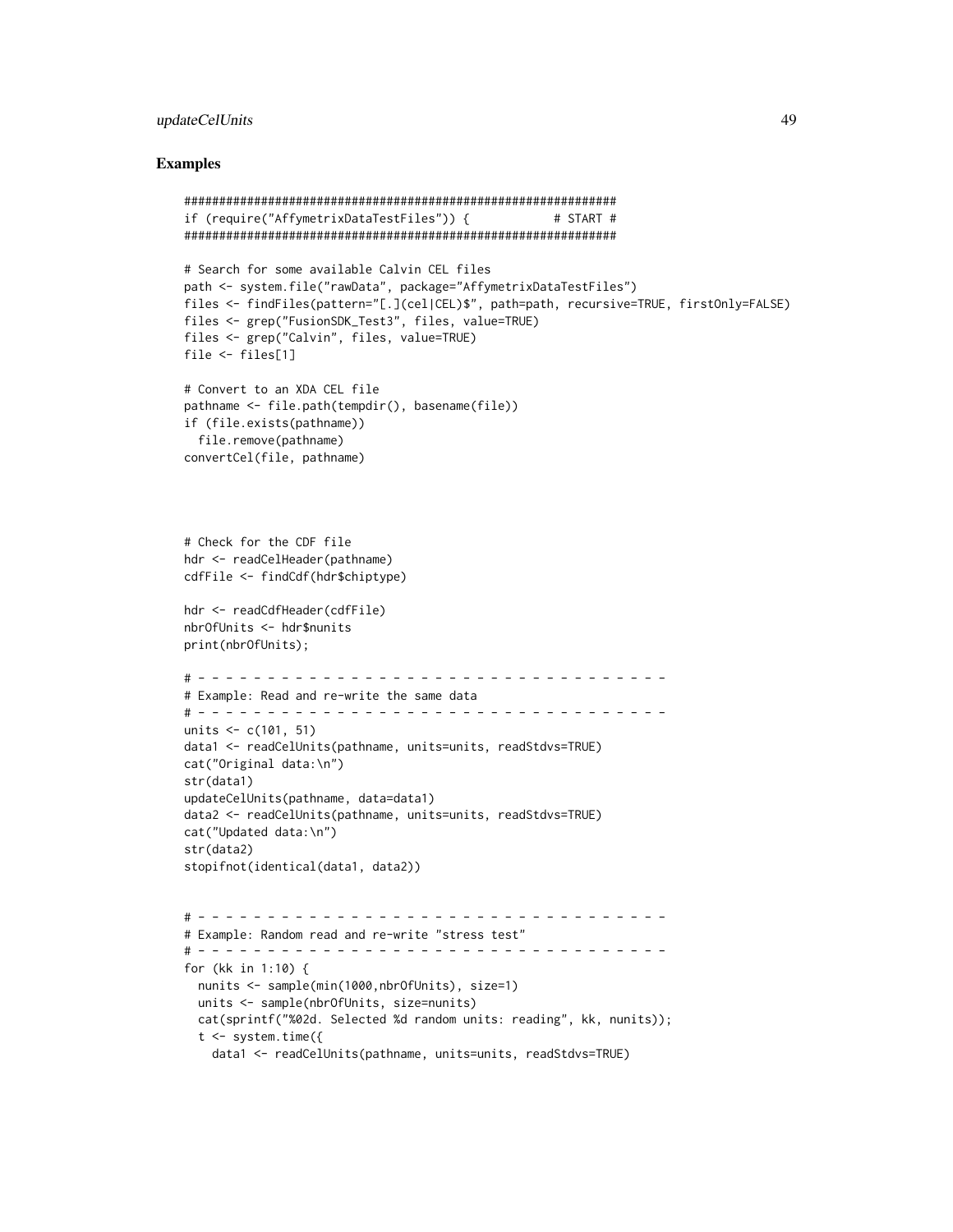## updateCelUnits 49

#### Examples

```
##############################################################
if (require("AffymetrixDataTestFiles")) { # START #
##############################################################
# Search for some available Calvin CEL files
path <- system.file("rawData", package="AffymetrixDataTestFiles")
files <- findFiles(pattern="[.](cel|CEL)$", path=path, recursive=TRUE, firstOnly=FALSE)
files <- grep("FusionSDK_Test3", files, value=TRUE)
files <- grep("Calvin", files, value=TRUE)
file <- files[1]
# Convert to an XDA CEL file
pathname <- file.path(tempdir(), basename(file))
if (file.exists(pathname))
  file.remove(pathname)
convertCel(file, pathname)
# Check for the CDF file
hdr <- readCelHeader(pathname)
cdfFile <- findCdf(hdr$chiptype)
hdr <- readCdfHeader(cdfFile)
nbrOfUnits <- hdr$nunits
print(nbrOfUnits);
# - - - - - - - - - - - - - - - - - - - - - - - - - - - - - - - - - -
# Example: Read and re-write the same data
# - - - - - - - - - - - - - - - - - - - - - - - - - - - - - - - - - -
units <- c(101, 51)
data1 <- readCelUnits(pathname, units=units, readStdvs=TRUE)
cat("Original data:\n")
str(data1)
updateCelUnits(pathname, data=data1)
data2 <- readCelUnits(pathname, units=units, readStdvs=TRUE)
cat("Updated data:\n")
str(data2)
stopifnot(identical(data1, data2))
# - - - - - - - - - - - - - - - - - - - - - - - - - - - - - - - - - -
# Example: Random read and re-write "stress test"
# - - - - - - - - - - - - - - - - - - - - - - - - - - - - - - - - - -
for (kk in 1:10) {
  nunits <- sample(min(1000,nbrOfUnits), size=1)
  units <- sample(nbrOfUnits, size=nunits)
  cat(sprintf("%02d. Selected %d random units: reading", kk, nunits));
  t <- system.time({
   data1 <- readCelUnits(pathname, units=units, readStdvs=TRUE)
```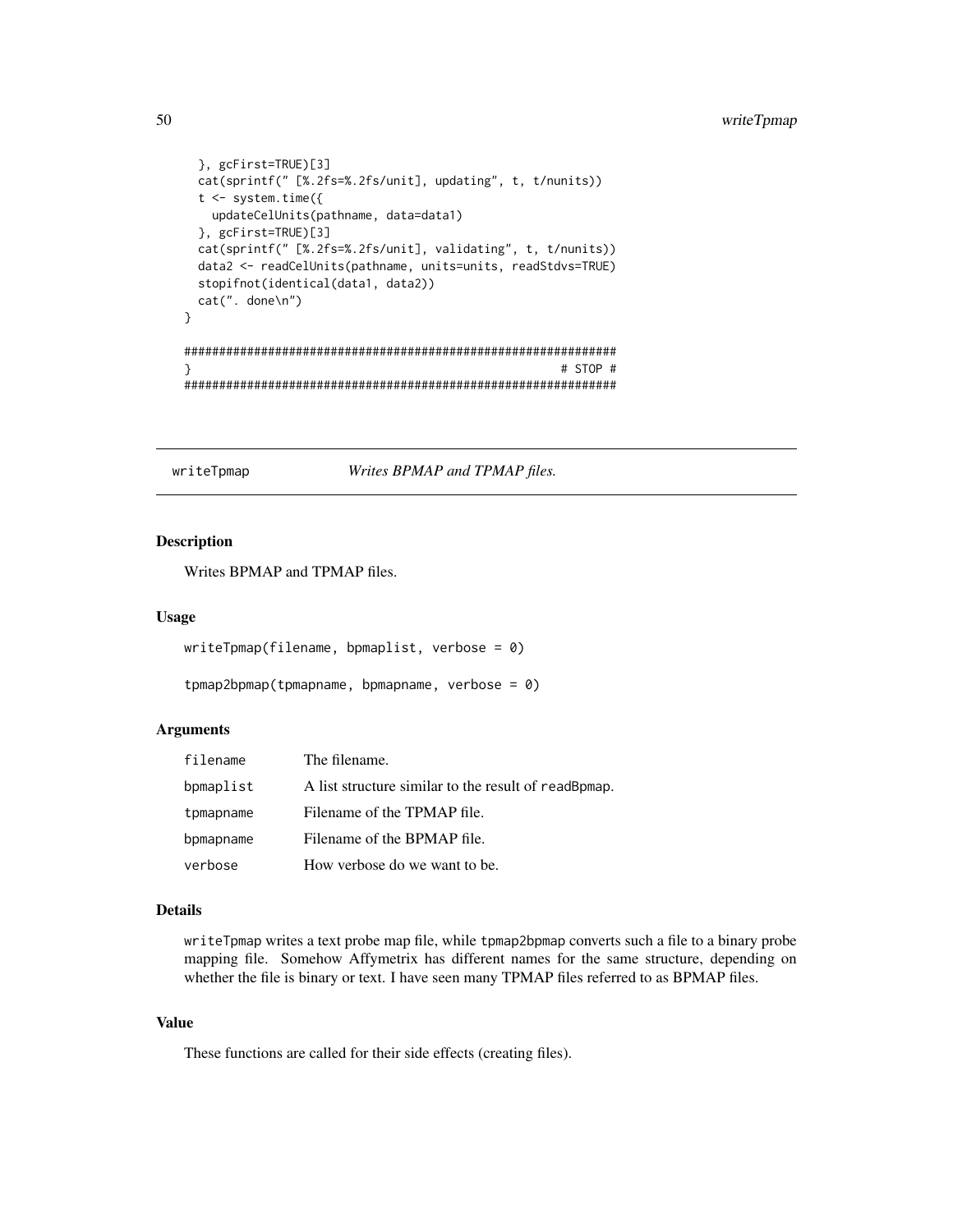```
}, gcFirst=TRUE)[3]
 cat(sprintf(" [%.2fs=%.2fs/unit], updating", t, t/nunits))
 t <- system.time({
   updateCelUnits(pathname, data=data1)
 }, gcFirst=TRUE)[3]
 cat(sprintf(" [%.2fs=%.2fs/unit], validating", t, t/nunits))
 data2 <- readCelUnits(pathname, units=units, readStdvs=TRUE)
 stopifnot(identical(data1, data2))
 cat(". done\n")
}
##############################################################
} # STOP #
##############################################################
```
writeTpmap *Writes BPMAP and TPMAP files.*

## <span id="page-49-1"></span>Description

Writes BPMAP and TPMAP files.

#### Usage

```
writeTpmap(filename, bpmaplist, verbose = 0)
```

```
tpmap2bpmap(tpmapname, bpmapname, verbose = 0)
```
#### Arguments

| filename  | The filename.                                        |
|-----------|------------------------------------------------------|
| bpmaplist | A list structure similar to the result of readBpmap. |
| tpmapname | Filename of the TPMAP file.                          |
| bpmapname | Filename of the BPMAP file.                          |
| verbose   | How verbose do we want to be.                        |

## Details

writeTpmap writes a text probe map file, while tpmap2bpmap converts such a file to a binary probe mapping file. Somehow Affymetrix has different names for the same structure, depending on whether the file is binary or text. I have seen many TPMAP files referred to as BPMAP files.

## Value

These functions are called for their side effects (creating files).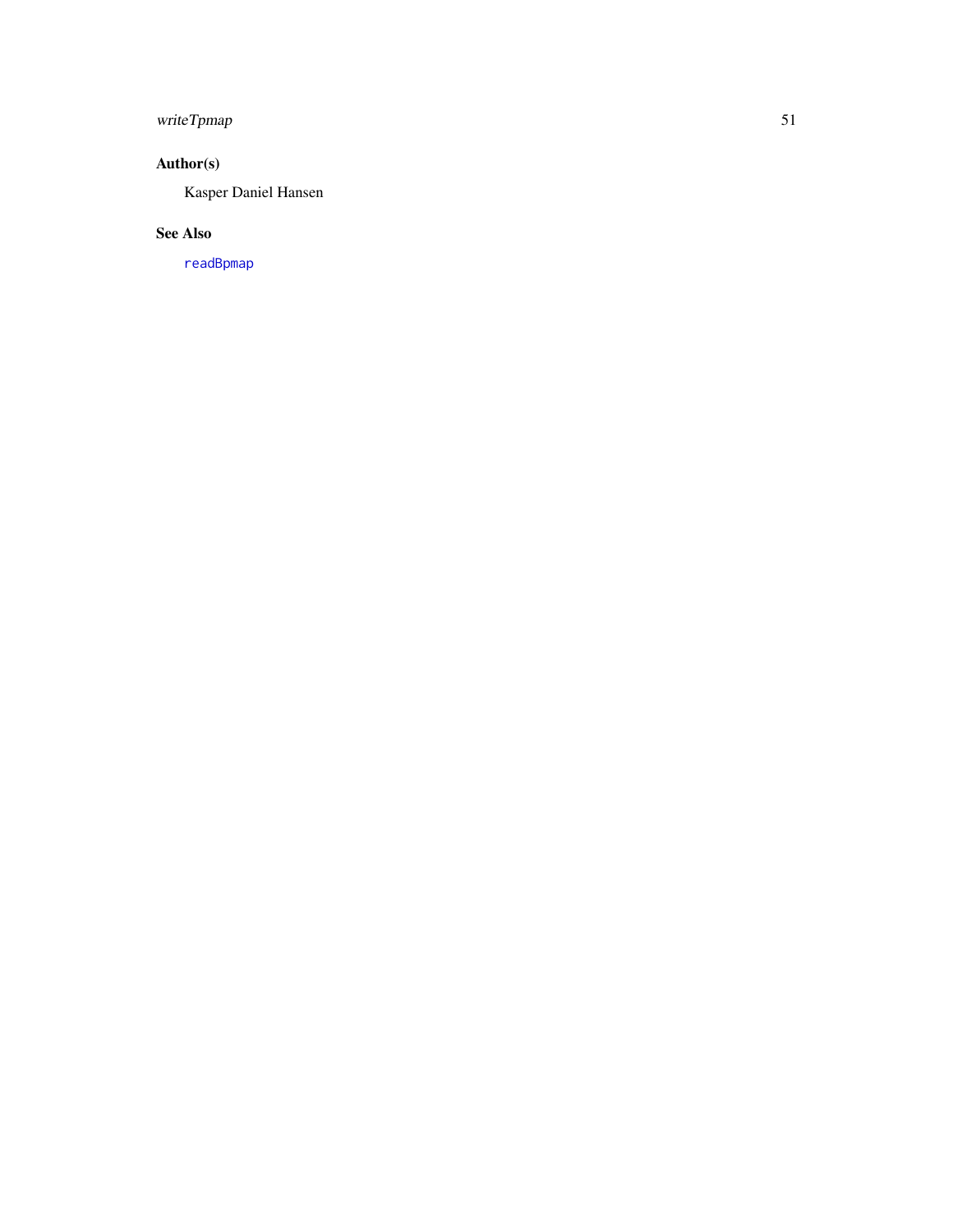## <span id="page-50-0"></span>writeTpmap 51

## Author(s)

Kasper Daniel Hansen

## See Also

[readBpmap](#page-17-1)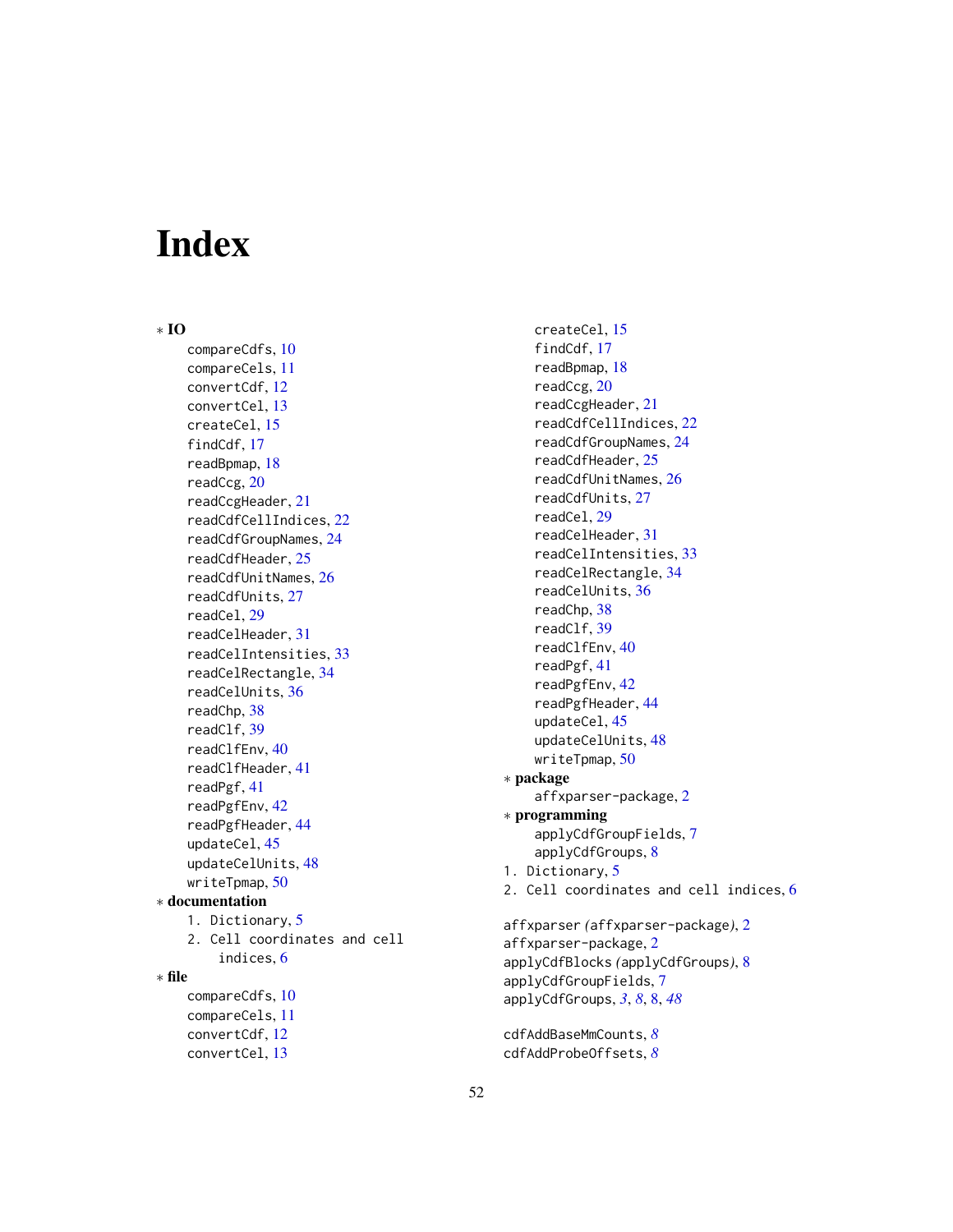# <span id="page-51-0"></span>**Index**

∗ IO

compareCdfs, [10](#page-9-0) compareCels, [11](#page-10-0) convertCdf, [12](#page-11-0) convertCel, [13](#page-12-0) createCel, [15](#page-14-0) findCdf, [17](#page-16-0) readBpmap, [18](#page-17-0) readCcg, [20](#page-19-0) readCcgHeader, [21](#page-20-0) readCdfCellIndices, [22](#page-21-0) readCdfGroupNames, [24](#page-23-0) readCdfHeader, [25](#page-24-0) readCdfUnitNames, [26](#page-25-0) readCdfUnits, [27](#page-26-0) readCel, [29](#page-28-0) readCelHeader, [31](#page-30-0) readCelIntensities, [33](#page-32-0) readCelRectangle, [34](#page-33-0) readCelUnits, [36](#page-35-0) readChp, [38](#page-37-0) readClf, [39](#page-38-0) readClfEnv, [40](#page-39-0) readClfHeader, [41](#page-40-0) readPgf, [41](#page-40-0) readPgfEnv, [42](#page-41-0) readPgfHeader, [44](#page-43-0) updateCel, [45](#page-44-0) updateCelUnits, [48](#page-47-0) writeTpmap, [50](#page-49-0) ∗ documentation 1. Dictionary, [5](#page-4-0) 2. Cell coordinates and cell indices, [6](#page-5-0) ∗ file compareCdfs, [10](#page-9-0) compareCels, [11](#page-10-0) convertCdf, [12](#page-11-0) convertCel, [13](#page-12-0)

createCel, [15](#page-14-0) findCdf, [17](#page-16-0) readBpmap, [18](#page-17-0) readCcg, [20](#page-19-0) readCcgHeader, [21](#page-20-0) readCdfCellIndices, [22](#page-21-0) readCdfGroupNames, [24](#page-23-0) readCdfHeader, [25](#page-24-0) readCdfUnitNames, [26](#page-25-0) readCdfUnits, [27](#page-26-0) readCel, [29](#page-28-0) readCelHeader, [31](#page-30-0) readCelIntensities, [33](#page-32-0) readCelRectangle, [34](#page-33-0) readCelUnits, [36](#page-35-0) readChp, [38](#page-37-0) readClf, [39](#page-38-0) readClfEnv, [40](#page-39-0) readPgf, [41](#page-40-0) readPgfEnv, [42](#page-41-0) readPgfHeader, [44](#page-43-0) updateCel, [45](#page-44-0) updateCelUnits, [48](#page-47-0) writeTpmap, [50](#page-49-0) ∗ package affxparser-package, [2](#page-1-0) ∗ programming applyCdfGroupFields, [7](#page-6-0) applyCdfGroups, [8](#page-7-0) 1. Dictionary, [5](#page-4-0) 2. Cell coordinates and cell indices, [6](#page-5-0) affxparser *(*affxparser-package*)*, [2](#page-1-0) affxparser-package, [2](#page-1-0) applyCdfBlocks *(*applyCdfGroups*)*, [8](#page-7-0) applyCdfGroupFields, [7](#page-6-0) applyCdfGroups, *[3](#page-2-0)*, *[8](#page-7-0)*, [8,](#page-7-0) *[48](#page-47-0)*

cdfAddBaseMmCounts, *[8](#page-7-0)* cdfAddProbeOffsets, *[8](#page-7-0)*